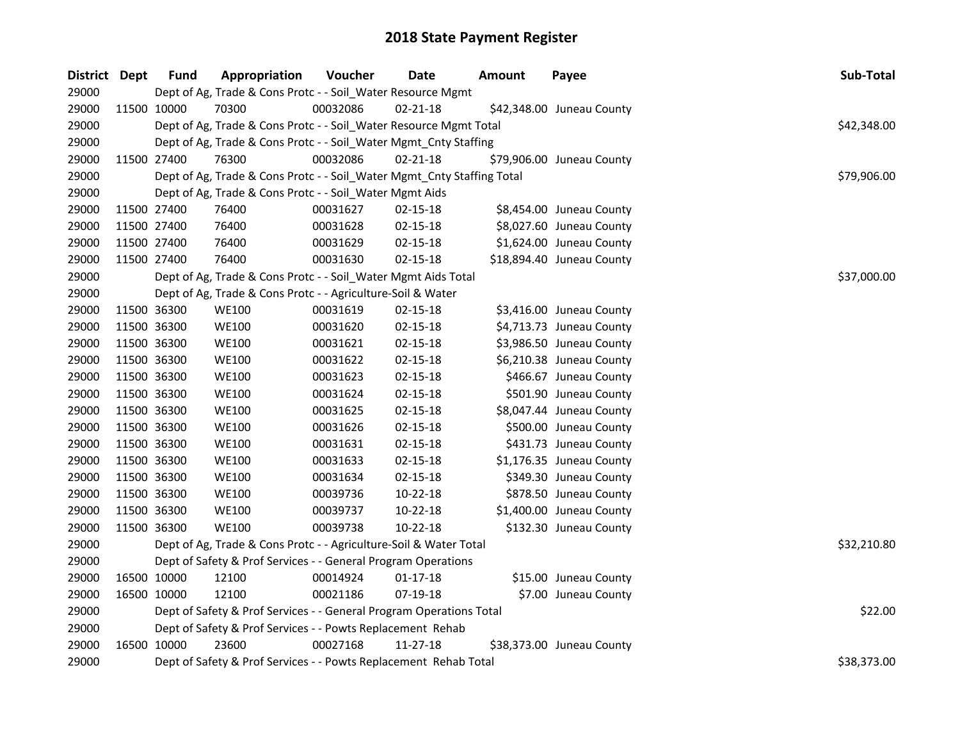| District Dept |             | <b>Fund</b> | Appropriation                                                          | Voucher  | Date           | <b>Amount</b> | Payee                     | Sub-Total   |  |  |  |
|---------------|-------------|-------------|------------------------------------------------------------------------|----------|----------------|---------------|---------------------------|-------------|--|--|--|
| 29000         |             |             | Dept of Ag, Trade & Cons Protc - - Soil_Water Resource Mgmt            |          |                |               |                           |             |  |  |  |
| 29000         | 11500 10000 |             | 70300                                                                  | 00032086 | $02 - 21 - 18$ |               | \$42,348.00 Juneau County |             |  |  |  |
| 29000         |             |             | Dept of Ag, Trade & Cons Protc - - Soil_Water Resource Mgmt Total      |          |                |               |                           | \$42,348.00 |  |  |  |
| 29000         |             |             | Dept of Ag, Trade & Cons Protc - - Soil_Water Mgmt_Cnty Staffing       |          |                |               |                           |             |  |  |  |
| 29000         | 11500 27400 |             | 76300                                                                  | 00032086 | $02 - 21 - 18$ |               | \$79,906.00 Juneau County |             |  |  |  |
| 29000         |             |             | Dept of Ag, Trade & Cons Protc - - Soil_Water Mgmt_Cnty Staffing Total |          |                |               |                           | \$79,906.00 |  |  |  |
| 29000         |             |             | Dept of Ag, Trade & Cons Protc - - Soil_Water Mgmt Aids                |          |                |               |                           |             |  |  |  |
| 29000         | 11500 27400 |             | 76400                                                                  | 00031627 | 02-15-18       |               | \$8,454.00 Juneau County  |             |  |  |  |
| 29000         | 11500 27400 |             | 76400                                                                  | 00031628 | 02-15-18       |               | \$8,027.60 Juneau County  |             |  |  |  |
| 29000         | 11500 27400 |             | 76400                                                                  | 00031629 | 02-15-18       |               | \$1,624.00 Juneau County  |             |  |  |  |
| 29000         | 11500 27400 |             | 76400                                                                  | 00031630 | 02-15-18       |               | \$18,894.40 Juneau County |             |  |  |  |
| 29000         |             |             | Dept of Ag, Trade & Cons Protc - - Soil_Water Mgmt Aids Total          |          |                |               |                           | \$37,000.00 |  |  |  |
| 29000         |             |             | Dept of Ag, Trade & Cons Protc - - Agriculture-Soil & Water            |          |                |               |                           |             |  |  |  |
| 29000         | 11500 36300 |             | <b>WE100</b>                                                           | 00031619 | 02-15-18       |               | \$3,416.00 Juneau County  |             |  |  |  |
| 29000         | 11500 36300 |             | <b>WE100</b>                                                           | 00031620 | 02-15-18       |               | \$4,713.73 Juneau County  |             |  |  |  |
| 29000         | 11500 36300 |             | <b>WE100</b>                                                           | 00031621 | $02 - 15 - 18$ |               | \$3,986.50 Juneau County  |             |  |  |  |
| 29000         | 11500 36300 |             | <b>WE100</b>                                                           | 00031622 | 02-15-18       |               | \$6,210.38 Juneau County  |             |  |  |  |
| 29000         | 11500 36300 |             | <b>WE100</b>                                                           | 00031623 | $02 - 15 - 18$ |               | \$466.67 Juneau County    |             |  |  |  |
| 29000         | 11500 36300 |             | <b>WE100</b>                                                           | 00031624 | $02 - 15 - 18$ |               | \$501.90 Juneau County    |             |  |  |  |
| 29000         | 11500 36300 |             | <b>WE100</b>                                                           | 00031625 | $02 - 15 - 18$ |               | \$8,047.44 Juneau County  |             |  |  |  |
| 29000         | 11500 36300 |             | <b>WE100</b>                                                           | 00031626 | $02 - 15 - 18$ |               | \$500.00 Juneau County    |             |  |  |  |
| 29000         | 11500 36300 |             | <b>WE100</b>                                                           | 00031631 | $02 - 15 - 18$ |               | \$431.73 Juneau County    |             |  |  |  |
| 29000         | 11500 36300 |             | <b>WE100</b>                                                           | 00031633 | $02 - 15 - 18$ |               | \$1,176.35 Juneau County  |             |  |  |  |
| 29000         | 11500 36300 |             | <b>WE100</b>                                                           | 00031634 | $02 - 15 - 18$ |               | \$349.30 Juneau County    |             |  |  |  |
| 29000         | 11500 36300 |             | <b>WE100</b>                                                           | 00039736 | 10-22-18       |               | \$878.50 Juneau County    |             |  |  |  |
| 29000         | 11500 36300 |             | <b>WE100</b>                                                           | 00039737 | 10-22-18       |               | \$1,400.00 Juneau County  |             |  |  |  |
| 29000         | 11500 36300 |             | <b>WE100</b>                                                           | 00039738 | 10-22-18       |               | \$132.30 Juneau County    |             |  |  |  |
| 29000         |             |             | Dept of Ag, Trade & Cons Protc - - Agriculture-Soil & Water Total      |          |                |               |                           | \$32,210.80 |  |  |  |
| 29000         |             |             | Dept of Safety & Prof Services - - General Program Operations          |          |                |               |                           |             |  |  |  |
| 29000         | 16500 10000 |             | 12100                                                                  | 00014924 | $01 - 17 - 18$ |               | \$15.00 Juneau County     |             |  |  |  |
| 29000         | 16500 10000 |             | 12100                                                                  | 00021186 | 07-19-18       |               | \$7.00 Juneau County      |             |  |  |  |
| 29000         |             |             | Dept of Safety & Prof Services - - General Program Operations Total    |          |                |               |                           | \$22.00     |  |  |  |
| 29000         |             |             | Dept of Safety & Prof Services - - Powts Replacement Rehab             |          |                |               |                           |             |  |  |  |
| 29000         | 16500 10000 |             | 23600                                                                  | 00027168 | 11-27-18       |               | \$38,373.00 Juneau County |             |  |  |  |
| 29000         |             |             | Dept of Safety & Prof Services - - Powts Replacement Rehab Total       |          | \$38,373.00    |               |                           |             |  |  |  |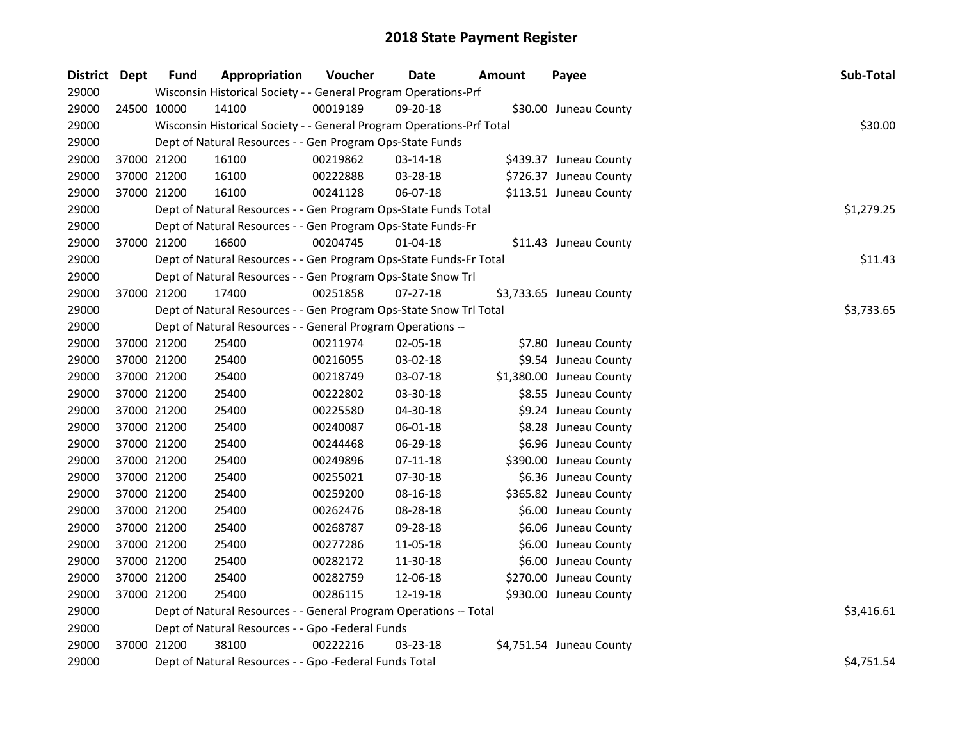| District Dept |             | <b>Fund</b> | Appropriation                                                         | Voucher  | Date           | <b>Amount</b> | Payee                    | Sub-Total  |  |  |  |
|---------------|-------------|-------------|-----------------------------------------------------------------------|----------|----------------|---------------|--------------------------|------------|--|--|--|
| 29000         |             |             | Wisconsin Historical Society - - General Program Operations-Prf       |          |                |               |                          |            |  |  |  |
| 29000         | 24500 10000 |             | 14100                                                                 | 00019189 | 09-20-18       |               | \$30.00 Juneau County    |            |  |  |  |
| 29000         |             |             | Wisconsin Historical Society - - General Program Operations-Prf Total |          |                |               |                          | \$30.00    |  |  |  |
| 29000         |             |             | Dept of Natural Resources - - Gen Program Ops-State Funds             |          |                |               |                          |            |  |  |  |
| 29000         |             | 37000 21200 | 16100                                                                 | 00219862 | 03-14-18       |               | \$439.37 Juneau County   |            |  |  |  |
| 29000         |             | 37000 21200 | 16100                                                                 | 00222888 | 03-28-18       |               | \$726.37 Juneau County   |            |  |  |  |
| 29000         |             | 37000 21200 | 16100                                                                 | 00241128 | 06-07-18       |               | \$113.51 Juneau County   |            |  |  |  |
| 29000         |             |             | Dept of Natural Resources - - Gen Program Ops-State Funds Total       |          |                |               |                          | \$1,279.25 |  |  |  |
| 29000         |             |             | Dept of Natural Resources - - Gen Program Ops-State Funds-Fr          |          |                |               |                          |            |  |  |  |
| 29000         |             | 37000 21200 | 16600                                                                 | 00204745 | 01-04-18       |               | \$11.43 Juneau County    |            |  |  |  |
| 29000         |             |             | Dept of Natural Resources - - Gen Program Ops-State Funds-Fr Total    |          |                |               |                          | \$11.43    |  |  |  |
| 29000         |             |             | Dept of Natural Resources - - Gen Program Ops-State Snow Trl          |          |                |               |                          |            |  |  |  |
| 29000         |             | 37000 21200 | 17400                                                                 | 00251858 | 07-27-18       |               | \$3,733.65 Juneau County |            |  |  |  |
| 29000         |             |             | Dept of Natural Resources - - Gen Program Ops-State Snow Trl Total    |          |                |               |                          | \$3,733.65 |  |  |  |
| 29000         |             |             | Dept of Natural Resources - - General Program Operations --           |          |                |               |                          |            |  |  |  |
| 29000         |             | 37000 21200 | 25400                                                                 | 00211974 | 02-05-18       |               | \$7.80 Juneau County     |            |  |  |  |
| 29000         |             | 37000 21200 | 25400                                                                 | 00216055 | 03-02-18       |               | \$9.54 Juneau County     |            |  |  |  |
| 29000         |             | 37000 21200 | 25400                                                                 | 00218749 | 03-07-18       |               | \$1,380.00 Juneau County |            |  |  |  |
| 29000         |             | 37000 21200 | 25400                                                                 | 00222802 | 03-30-18       |               | \$8.55 Juneau County     |            |  |  |  |
| 29000         |             | 37000 21200 | 25400                                                                 | 00225580 | 04-30-18       |               | \$9.24 Juneau County     |            |  |  |  |
| 29000         |             | 37000 21200 | 25400                                                                 | 00240087 | 06-01-18       |               | \$8.28 Juneau County     |            |  |  |  |
| 29000         |             | 37000 21200 | 25400                                                                 | 00244468 | 06-29-18       |               | \$6.96 Juneau County     |            |  |  |  |
| 29000         |             | 37000 21200 | 25400                                                                 | 00249896 | $07 - 11 - 18$ |               | \$390.00 Juneau County   |            |  |  |  |
| 29000         |             | 37000 21200 | 25400                                                                 | 00255021 | 07-30-18       |               | \$6.36 Juneau County     |            |  |  |  |
| 29000         |             | 37000 21200 | 25400                                                                 | 00259200 | 08-16-18       |               | \$365.82 Juneau County   |            |  |  |  |
| 29000         |             | 37000 21200 | 25400                                                                 | 00262476 | 08-28-18       |               | \$6.00 Juneau County     |            |  |  |  |
| 29000         |             | 37000 21200 | 25400                                                                 | 00268787 | 09-28-18       |               | \$6.06 Juneau County     |            |  |  |  |
| 29000         |             | 37000 21200 | 25400                                                                 | 00277286 | 11-05-18       |               | \$6.00 Juneau County     |            |  |  |  |
| 29000         |             | 37000 21200 | 25400                                                                 | 00282172 | 11-30-18       |               | \$6.00 Juneau County     |            |  |  |  |
| 29000         |             | 37000 21200 | 25400                                                                 | 00282759 | 12-06-18       |               | \$270.00 Juneau County   |            |  |  |  |
| 29000         |             | 37000 21200 | 25400                                                                 | 00286115 | 12-19-18       |               | \$930.00 Juneau County   |            |  |  |  |
| 29000         |             |             | Dept of Natural Resources - - General Program Operations -- Total     |          |                |               |                          | \$3,416.61 |  |  |  |
| 29000         |             |             | Dept of Natural Resources - - Gpo -Federal Funds                      |          |                |               |                          |            |  |  |  |
| 29000         |             | 37000 21200 | 38100                                                                 | 00222216 | 03-23-18       |               | \$4,751.54 Juneau County |            |  |  |  |
| 29000         |             |             | Dept of Natural Resources - - Gpo -Federal Funds Total                |          |                |               |                          | \$4,751.54 |  |  |  |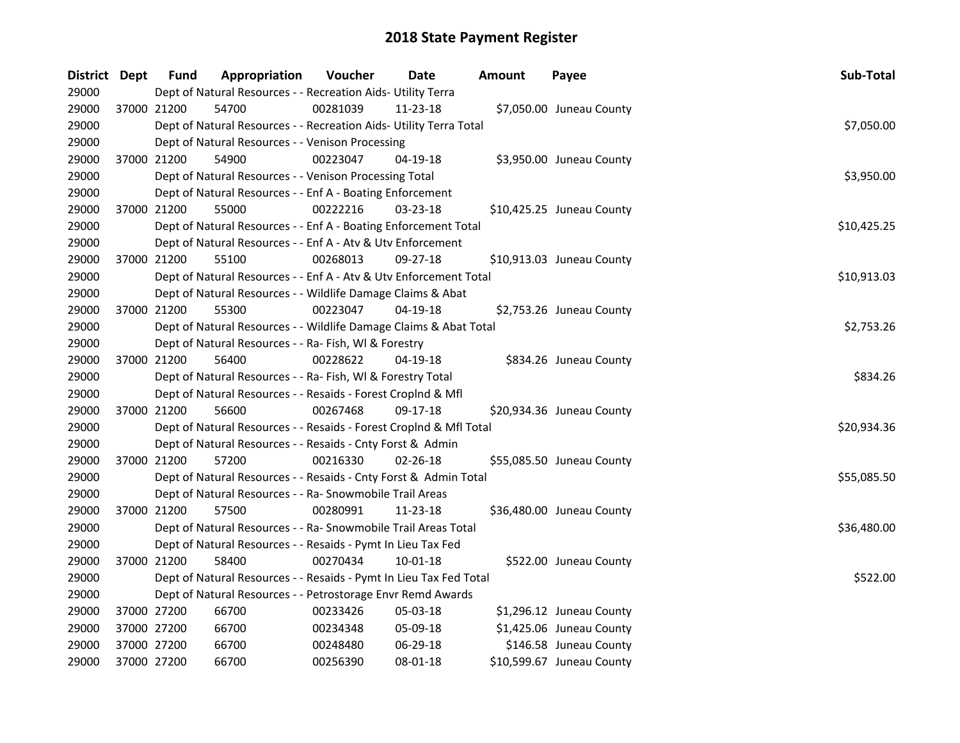| District Dept | <b>Fund</b> | Appropriation                                                      | Voucher  | <b>Date</b>    | <b>Amount</b> | Payee                     | Sub-Total   |
|---------------|-------------|--------------------------------------------------------------------|----------|----------------|---------------|---------------------------|-------------|
| 29000         |             | Dept of Natural Resources - - Recreation Aids- Utility Terra       |          |                |               |                           |             |
| 29000         | 37000 21200 | 54700                                                              | 00281039 | 11-23-18       |               | \$7,050.00 Juneau County  |             |
| 29000         |             | Dept of Natural Resources - - Recreation Aids- Utility Terra Total |          |                |               |                           | \$7,050.00  |
| 29000         |             | Dept of Natural Resources - - Venison Processing                   |          |                |               |                           |             |
| 29000         | 37000 21200 | 54900                                                              | 00223047 | 04-19-18       |               | \$3,950.00 Juneau County  |             |
| 29000         |             | Dept of Natural Resources - - Venison Processing Total             |          |                |               |                           | \$3,950.00  |
| 29000         |             | Dept of Natural Resources - - Enf A - Boating Enforcement          |          |                |               |                           |             |
| 29000         | 37000 21200 | 55000                                                              | 00222216 | 03-23-18       |               | \$10,425.25 Juneau County |             |
| 29000         |             | Dept of Natural Resources - - Enf A - Boating Enforcement Total    |          |                |               |                           | \$10,425.25 |
| 29000         |             | Dept of Natural Resources - - Enf A - Atv & Utv Enforcement        |          |                |               |                           |             |
| 29000         | 37000 21200 | 55100                                                              | 00268013 | 09-27-18       |               | \$10,913.03 Juneau County |             |
| 29000         |             | Dept of Natural Resources - - Enf A - Atv & Utv Enforcement Total  |          |                |               |                           | \$10,913.03 |
| 29000         |             | Dept of Natural Resources - - Wildlife Damage Claims & Abat        |          |                |               |                           |             |
| 29000         | 37000 21200 | 55300                                                              | 00223047 | $04 - 19 - 18$ |               | \$2,753.26 Juneau County  |             |
| 29000         |             | Dept of Natural Resources - - Wildlife Damage Claims & Abat Total  |          |                |               |                           | \$2,753.26  |
| 29000         |             | Dept of Natural Resources - - Ra- Fish, WI & Forestry              |          |                |               |                           |             |
| 29000         | 37000 21200 | 56400                                                              | 00228622 | $04 - 19 - 18$ |               | \$834.26 Juneau County    |             |
| 29000         |             | Dept of Natural Resources - - Ra- Fish, WI & Forestry Total        |          |                |               |                           | \$834.26    |
| 29000         |             | Dept of Natural Resources - - Resaids - Forest Croplnd & Mfl       |          |                |               |                           |             |
| 29000         | 37000 21200 | 56600                                                              | 00267468 | 09-17-18       |               | \$20,934.36 Juneau County |             |
| 29000         |             | Dept of Natural Resources - - Resaids - Forest CropInd & Mfl Total |          |                |               |                           | \$20,934.36 |
| 29000         |             | Dept of Natural Resources - - Resaids - Cnty Forst & Admin         |          |                |               |                           |             |
| 29000         | 37000 21200 | 57200                                                              | 00216330 | $02 - 26 - 18$ |               | \$55,085.50 Juneau County |             |
| 29000         |             | Dept of Natural Resources - - Resaids - Cnty Forst & Admin Total   |          |                |               |                           | \$55,085.50 |
| 29000         |             | Dept of Natural Resources - - Ra- Snowmobile Trail Areas           |          |                |               |                           |             |
| 29000         | 37000 21200 | 57500                                                              | 00280991 | 11-23-18       |               | \$36,480.00 Juneau County |             |
| 29000         |             | Dept of Natural Resources - - Ra- Snowmobile Trail Areas Total     |          |                |               |                           | \$36,480.00 |
| 29000         |             | Dept of Natural Resources - - Resaids - Pymt In Lieu Tax Fed       |          |                |               |                           |             |
| 29000         | 37000 21200 | 58400                                                              | 00270434 | $10 - 01 - 18$ |               | \$522.00 Juneau County    |             |
| 29000         |             | Dept of Natural Resources - - Resaids - Pymt In Lieu Tax Fed Total |          |                |               |                           | \$522.00    |
| 29000         |             | Dept of Natural Resources - - Petrostorage Envr Remd Awards        |          |                |               |                           |             |
| 29000         | 37000 27200 | 66700                                                              | 00233426 | 05-03-18       |               | \$1,296.12 Juneau County  |             |
| 29000         | 37000 27200 | 66700                                                              | 00234348 | 05-09-18       |               | \$1,425.06 Juneau County  |             |
| 29000         | 37000 27200 | 66700                                                              | 00248480 | 06-29-18       |               | \$146.58 Juneau County    |             |
| 29000         | 37000 27200 | 66700                                                              | 00256390 | 08-01-18       |               | \$10,599.67 Juneau County |             |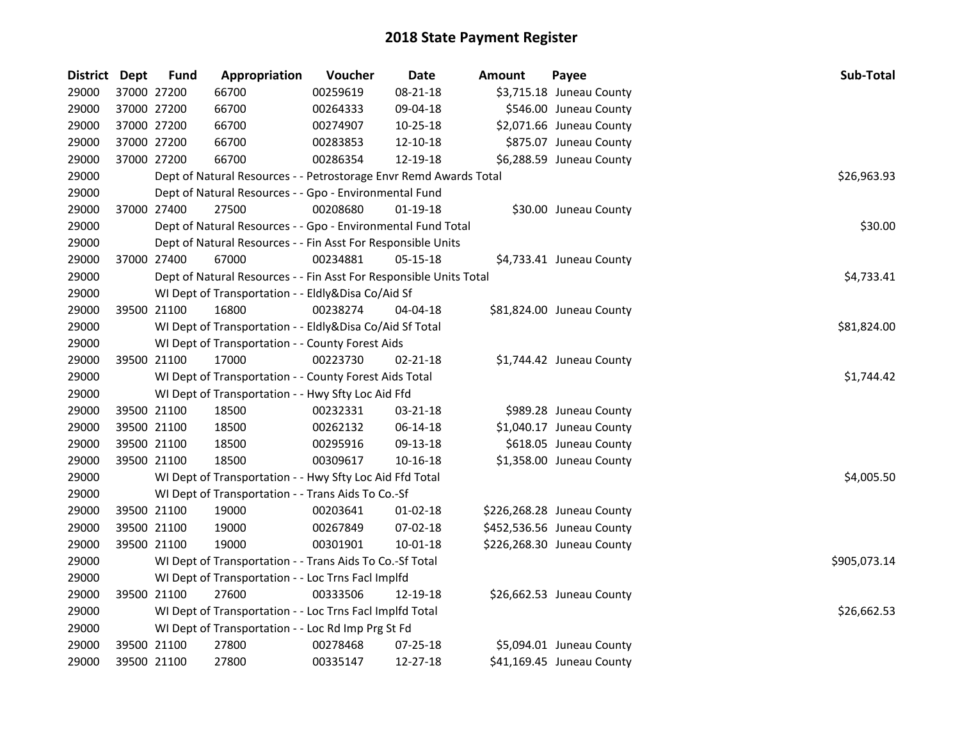| District Dept |             | <b>Fund</b> | Appropriation                                                      | Voucher  | <b>Date</b>    | Amount | Payee                      | Sub-Total    |
|---------------|-------------|-------------|--------------------------------------------------------------------|----------|----------------|--------|----------------------------|--------------|
| 29000         |             | 37000 27200 | 66700                                                              | 00259619 | 08-21-18       |        | \$3,715.18 Juneau County   |              |
| 29000         | 37000 27200 |             | 66700                                                              | 00264333 | 09-04-18       |        | \$546.00 Juneau County     |              |
| 29000         | 37000 27200 |             | 66700                                                              | 00274907 | 10-25-18       |        | \$2,071.66 Juneau County   |              |
| 29000         | 37000 27200 |             | 66700                                                              | 00283853 | 12-10-18       |        | \$875.07 Juneau County     |              |
| 29000         |             | 37000 27200 | 66700                                                              | 00286354 | 12-19-18       |        | \$6,288.59 Juneau County   |              |
| 29000         |             |             | Dept of Natural Resources - - Petrostorage Envr Remd Awards Total  |          |                |        |                            | \$26,963.93  |
| 29000         |             |             | Dept of Natural Resources - - Gpo - Environmental Fund             |          |                |        |                            |              |
| 29000         |             | 37000 27400 | 27500                                                              | 00208680 | $01-19-18$     |        | \$30.00 Juneau County      |              |
| 29000         |             |             | Dept of Natural Resources - - Gpo - Environmental Fund Total       |          |                |        |                            | \$30.00      |
| 29000         |             |             | Dept of Natural Resources - - Fin Asst For Responsible Units       |          |                |        |                            |              |
| 29000         |             | 37000 27400 | 67000                                                              | 00234881 | 05-15-18       |        | \$4,733.41 Juneau County   |              |
| 29000         |             |             | Dept of Natural Resources - - Fin Asst For Responsible Units Total |          |                |        |                            | \$4,733.41   |
| 29000         |             |             | WI Dept of Transportation - - Eldly&Disa Co/Aid Sf                 |          |                |        |                            |              |
| 29000         |             | 39500 21100 | 16800                                                              | 00238274 | 04-04-18       |        | \$81,824.00 Juneau County  |              |
| 29000         |             |             | WI Dept of Transportation - - Eldly&Disa Co/Aid Sf Total           |          |                |        |                            | \$81,824.00  |
| 29000         |             |             | WI Dept of Transportation - - County Forest Aids                   |          |                |        |                            |              |
| 29000         |             | 39500 21100 | 17000                                                              | 00223730 | 02-21-18       |        | \$1,744.42 Juneau County   |              |
| 29000         |             |             | WI Dept of Transportation - - County Forest Aids Total             |          |                |        |                            | \$1,744.42   |
| 29000         |             |             | WI Dept of Transportation - - Hwy Sfty Loc Aid Ffd                 |          |                |        |                            |              |
| 29000         |             | 39500 21100 | 18500                                                              | 00232331 | 03-21-18       |        | \$989.28 Juneau County     |              |
| 29000         | 39500 21100 |             | 18500                                                              | 00262132 | 06-14-18       |        | \$1,040.17 Juneau County   |              |
| 29000         | 39500 21100 |             | 18500                                                              | 00295916 | 09-13-18       |        | \$618.05 Juneau County     |              |
| 29000         |             | 39500 21100 | 18500                                                              | 00309617 | $10 - 16 - 18$ |        | \$1,358.00 Juneau County   |              |
| 29000         |             |             | WI Dept of Transportation - - Hwy Sfty Loc Aid Ffd Total           |          |                |        |                            | \$4,005.50   |
| 29000         |             |             | WI Dept of Transportation - - Trans Aids To Co.-Sf                 |          |                |        |                            |              |
| 29000         |             | 39500 21100 | 19000                                                              | 00203641 | $01 - 02 - 18$ |        | \$226,268.28 Juneau County |              |
| 29000         | 39500 21100 |             | 19000                                                              | 00267849 | 07-02-18       |        | \$452,536.56 Juneau County |              |
| 29000         |             | 39500 21100 | 19000                                                              | 00301901 | 10-01-18       |        | \$226,268.30 Juneau County |              |
| 29000         |             |             | WI Dept of Transportation - - Trans Aids To Co.-Sf Total           |          |                |        |                            | \$905,073.14 |
| 29000         |             |             | WI Dept of Transportation - - Loc Trns Facl Implfd                 |          |                |        |                            |              |
| 29000         |             | 39500 21100 | 27600                                                              | 00333506 | 12-19-18       |        | \$26,662.53 Juneau County  |              |
| 29000         |             |             | WI Dept of Transportation - - Loc Trns Facl Implfd Total           |          |                |        |                            | \$26,662.53  |
| 29000         |             |             | WI Dept of Transportation - - Loc Rd Imp Prg St Fd                 |          |                |        |                            |              |
| 29000         |             | 39500 21100 | 27800                                                              | 00278468 | 07-25-18       |        | \$5,094.01 Juneau County   |              |
| 29000         |             | 39500 21100 | 27800                                                              | 00335147 | 12-27-18       |        | \$41,169.45 Juneau County  |              |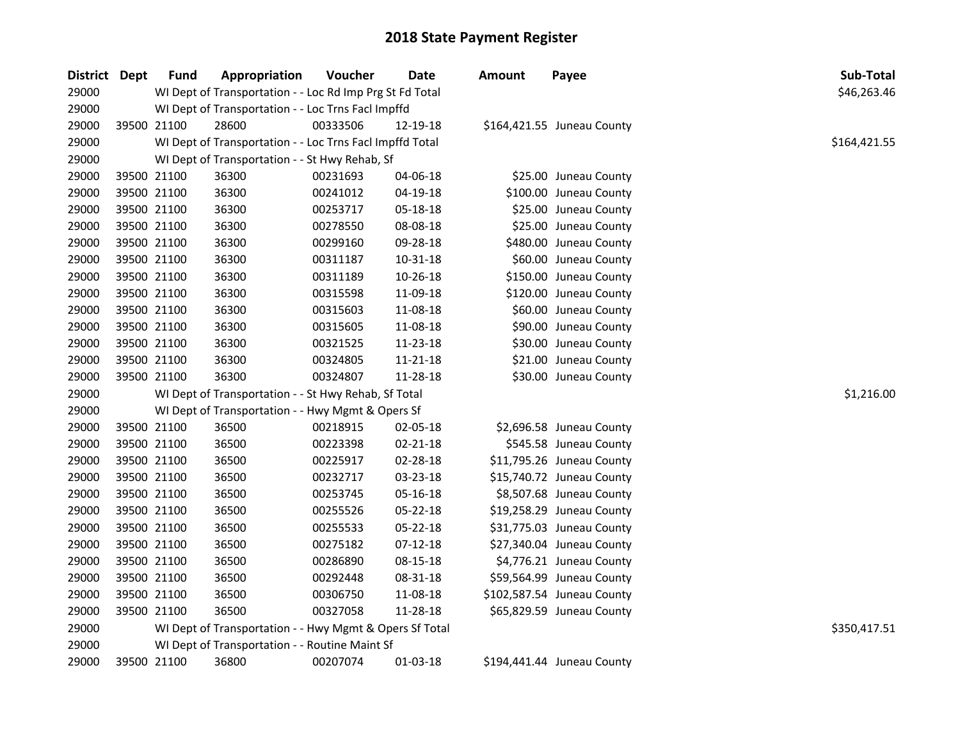| District | <b>Dept</b> | Fund        | Appropriation                                            | Voucher  | <b>Date</b>    | Amount | Payee                      | Sub-Total    |
|----------|-------------|-------------|----------------------------------------------------------|----------|----------------|--------|----------------------------|--------------|
| 29000    |             |             | WI Dept of Transportation - - Loc Rd Imp Prg St Fd Total |          |                |        |                            | \$46,263.46  |
| 29000    |             |             | WI Dept of Transportation - - Loc Trns Facl Impffd       |          |                |        |                            |              |
| 29000    |             | 39500 21100 | 28600                                                    | 00333506 | 12-19-18       |        | \$164,421.55 Juneau County |              |
| 29000    |             |             | WI Dept of Transportation - - Loc Trns Facl Impffd Total |          |                |        |                            | \$164,421.55 |
| 29000    |             |             | WI Dept of Transportation - - St Hwy Rehab, Sf           |          |                |        |                            |              |
| 29000    |             | 39500 21100 | 36300                                                    | 00231693 | 04-06-18       |        | \$25.00 Juneau County      |              |
| 29000    |             | 39500 21100 | 36300                                                    | 00241012 | 04-19-18       |        | \$100.00 Juneau County     |              |
| 29000    |             | 39500 21100 | 36300                                                    | 00253717 | 05-18-18       |        | \$25.00 Juneau County      |              |
| 29000    |             | 39500 21100 | 36300                                                    | 00278550 | 08-08-18       |        | \$25.00 Juneau County      |              |
| 29000    |             | 39500 21100 | 36300                                                    | 00299160 | 09-28-18       |        | \$480.00 Juneau County     |              |
| 29000    |             | 39500 21100 | 36300                                                    | 00311187 | 10-31-18       |        | \$60.00 Juneau County      |              |
| 29000    |             | 39500 21100 | 36300                                                    | 00311189 | 10-26-18       |        | \$150.00 Juneau County     |              |
| 29000    |             | 39500 21100 | 36300                                                    | 00315598 | 11-09-18       |        | \$120.00 Juneau County     |              |
| 29000    |             | 39500 21100 | 36300                                                    | 00315603 | 11-08-18       |        | \$60.00 Juneau County      |              |
| 29000    |             | 39500 21100 | 36300                                                    | 00315605 | 11-08-18       |        | \$90.00 Juneau County      |              |
| 29000    |             | 39500 21100 | 36300                                                    | 00321525 | 11-23-18       |        | \$30.00 Juneau County      |              |
| 29000    |             | 39500 21100 | 36300                                                    | 00324805 | 11-21-18       |        | \$21.00 Juneau County      |              |
| 29000    |             | 39500 21100 | 36300                                                    | 00324807 | 11-28-18       |        | \$30.00 Juneau County      |              |
| 29000    |             |             | WI Dept of Transportation - - St Hwy Rehab, Sf Total     |          |                |        |                            | \$1,216.00   |
| 29000    |             |             | WI Dept of Transportation - - Hwy Mgmt & Opers Sf        |          |                |        |                            |              |
| 29000    |             | 39500 21100 | 36500                                                    | 00218915 | 02-05-18       |        | \$2,696.58 Juneau County   |              |
| 29000    |             | 39500 21100 | 36500                                                    | 00223398 | 02-21-18       |        | \$545.58 Juneau County     |              |
| 29000    |             | 39500 21100 | 36500                                                    | 00225917 | 02-28-18       |        | \$11,795.26 Juneau County  |              |
| 29000    |             | 39500 21100 | 36500                                                    | 00232717 | 03-23-18       |        | \$15,740.72 Juneau County  |              |
| 29000    |             | 39500 21100 | 36500                                                    | 00253745 | 05-16-18       |        | \$8,507.68 Juneau County   |              |
| 29000    |             | 39500 21100 | 36500                                                    | 00255526 | 05-22-18       |        | \$19,258.29 Juneau County  |              |
| 29000    |             | 39500 21100 | 36500                                                    | 00255533 | 05-22-18       |        | \$31,775.03 Juneau County  |              |
| 29000    |             | 39500 21100 | 36500                                                    | 00275182 | $07 - 12 - 18$ |        | \$27,340.04 Juneau County  |              |
| 29000    |             | 39500 21100 | 36500                                                    | 00286890 | 08-15-18       |        | \$4,776.21 Juneau County   |              |
| 29000    |             | 39500 21100 | 36500                                                    | 00292448 | 08-31-18       |        | \$59,564.99 Juneau County  |              |
| 29000    |             | 39500 21100 | 36500                                                    | 00306750 | 11-08-18       |        | \$102,587.54 Juneau County |              |
| 29000    |             | 39500 21100 | 36500                                                    | 00327058 | 11-28-18       |        | \$65,829.59 Juneau County  |              |
| 29000    |             |             | WI Dept of Transportation - - Hwy Mgmt & Opers Sf Total  |          |                |        |                            | \$350,417.51 |
| 29000    |             |             | WI Dept of Transportation - - Routine Maint Sf           |          |                |        |                            |              |
| 29000    |             | 39500 21100 | 36800                                                    | 00207074 | 01-03-18       |        | \$194,441.44 Juneau County |              |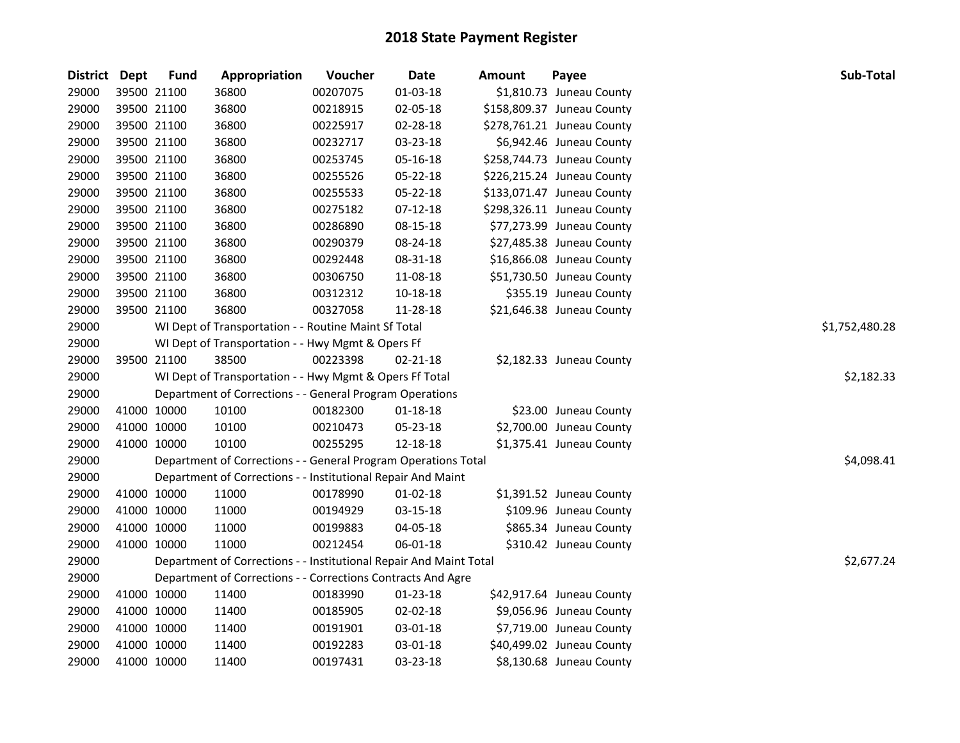| <b>District</b> | Dept        | Fund | Appropriation                                                      | Voucher  | <b>Date</b>    | <b>Amount</b> | Payee                      | Sub-Total      |
|-----------------|-------------|------|--------------------------------------------------------------------|----------|----------------|---------------|----------------------------|----------------|
| 29000           | 39500 21100 |      | 36800                                                              | 00207075 | $01-03-18$     |               | \$1,810.73 Juneau County   |                |
| 29000           | 39500 21100 |      | 36800                                                              | 00218915 | 02-05-18       |               | \$158,809.37 Juneau County |                |
| 29000           | 39500 21100 |      | 36800                                                              | 00225917 | 02-28-18       |               | \$278,761.21 Juneau County |                |
| 29000           | 39500 21100 |      | 36800                                                              | 00232717 | 03-23-18       |               | \$6,942.46 Juneau County   |                |
| 29000           | 39500 21100 |      | 36800                                                              | 00253745 | 05-16-18       |               | \$258,744.73 Juneau County |                |
| 29000           | 39500 21100 |      | 36800                                                              | 00255526 | 05-22-18       |               | \$226,215.24 Juneau County |                |
| 29000           | 39500 21100 |      | 36800                                                              | 00255533 | 05-22-18       |               | \$133,071.47 Juneau County |                |
| 29000           | 39500 21100 |      | 36800                                                              | 00275182 | $07 - 12 - 18$ |               | \$298,326.11 Juneau County |                |
| 29000           | 39500 21100 |      | 36800                                                              | 00286890 | 08-15-18       |               | \$77,273.99 Juneau County  |                |
| 29000           | 39500 21100 |      | 36800                                                              | 00290379 | 08-24-18       |               | \$27,485.38 Juneau County  |                |
| 29000           | 39500 21100 |      | 36800                                                              | 00292448 | 08-31-18       |               | \$16,866.08 Juneau County  |                |
| 29000           | 39500 21100 |      | 36800                                                              | 00306750 | 11-08-18       |               | \$51,730.50 Juneau County  |                |
| 29000           | 39500 21100 |      | 36800                                                              | 00312312 | 10-18-18       |               | \$355.19 Juneau County     |                |
| 29000           | 39500 21100 |      | 36800                                                              | 00327058 | 11-28-18       |               | \$21,646.38 Juneau County  |                |
| 29000           |             |      | WI Dept of Transportation - - Routine Maint Sf Total               |          |                |               |                            | \$1,752,480.28 |
| 29000           |             |      | WI Dept of Transportation - - Hwy Mgmt & Opers Ff                  |          |                |               |                            |                |
| 29000           | 39500 21100 |      | 38500                                                              | 00223398 | $02 - 21 - 18$ |               | \$2,182.33 Juneau County   |                |
| 29000           |             |      | WI Dept of Transportation - - Hwy Mgmt & Opers Ff Total            |          |                |               |                            | \$2,182.33     |
| 29000           |             |      | Department of Corrections - - General Program Operations           |          |                |               |                            |                |
| 29000           | 41000 10000 |      | 10100                                                              | 00182300 | $01 - 18 - 18$ |               | \$23.00 Juneau County      |                |
| 29000           | 41000 10000 |      | 10100                                                              | 00210473 | 05-23-18       |               | \$2,700.00 Juneau County   |                |
| 29000           | 41000 10000 |      | 10100                                                              | 00255295 | 12-18-18       |               | \$1,375.41 Juneau County   |                |
| 29000           |             |      | Department of Corrections - - General Program Operations Total     |          |                |               |                            | \$4,098.41     |
| 29000           |             |      | Department of Corrections - - Institutional Repair And Maint       |          |                |               |                            |                |
| 29000           | 41000 10000 |      | 11000                                                              | 00178990 | 01-02-18       |               | \$1,391.52 Juneau County   |                |
| 29000           | 41000 10000 |      | 11000                                                              | 00194929 | 03-15-18       |               | \$109.96 Juneau County     |                |
| 29000           | 41000 10000 |      | 11000                                                              | 00199883 | 04-05-18       |               | \$865.34 Juneau County     |                |
| 29000           | 41000 10000 |      | 11000                                                              | 00212454 | 06-01-18       |               | \$310.42 Juneau County     |                |
| 29000           |             |      | Department of Corrections - - Institutional Repair And Maint Total |          |                |               |                            | \$2,677.24     |
| 29000           |             |      | Department of Corrections - - Corrections Contracts And Agre       |          |                |               |                            |                |
| 29000           | 41000 10000 |      | 11400                                                              | 00183990 | 01-23-18       |               | \$42,917.64 Juneau County  |                |
| 29000           | 41000 10000 |      | 11400                                                              | 00185905 | 02-02-18       |               | \$9,056.96 Juneau County   |                |
| 29000           | 41000 10000 |      | 11400                                                              | 00191901 | 03-01-18       |               | \$7,719.00 Juneau County   |                |
| 29000           | 41000 10000 |      | 11400                                                              | 00192283 | 03-01-18       |               | \$40,499.02 Juneau County  |                |
| 29000           | 41000 10000 |      | 11400                                                              | 00197431 | 03-23-18       |               | \$8,130.68 Juneau County   |                |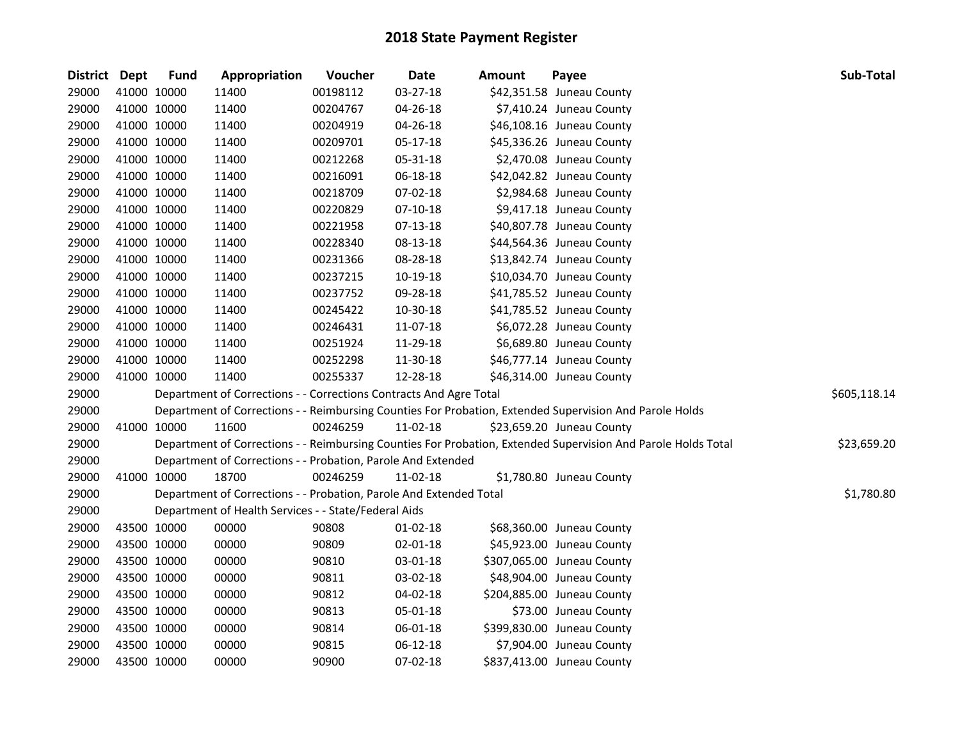| District Dept |             | <b>Fund</b> | Appropriation                                                      | Voucher  | Date           | <b>Amount</b> | Payee                                                                                                         | Sub-Total    |
|---------------|-------------|-------------|--------------------------------------------------------------------|----------|----------------|---------------|---------------------------------------------------------------------------------------------------------------|--------------|
| 29000         |             | 41000 10000 | 11400                                                              | 00198112 | 03-27-18       |               | \$42,351.58 Juneau County                                                                                     |              |
| 29000         |             | 41000 10000 | 11400                                                              | 00204767 | 04-26-18       |               | \$7,410.24 Juneau County                                                                                      |              |
| 29000         |             | 41000 10000 | 11400                                                              | 00204919 | 04-26-18       |               | \$46,108.16 Juneau County                                                                                     |              |
| 29000         |             | 41000 10000 | 11400                                                              | 00209701 | 05-17-18       |               | \$45,336.26 Juneau County                                                                                     |              |
| 29000         | 41000 10000 |             | 11400                                                              | 00212268 | 05-31-18       |               | \$2,470.08 Juneau County                                                                                      |              |
| 29000         |             | 41000 10000 | 11400                                                              | 00216091 | 06-18-18       |               | \$42,042.82 Juneau County                                                                                     |              |
| 29000         |             | 41000 10000 | 11400                                                              | 00218709 | 07-02-18       |               | \$2,984.68 Juneau County                                                                                      |              |
| 29000         |             | 41000 10000 | 11400                                                              | 00220829 | $07-10-18$     |               | \$9,417.18 Juneau County                                                                                      |              |
| 29000         |             | 41000 10000 | 11400                                                              | 00221958 | 07-13-18       |               | \$40,807.78 Juneau County                                                                                     |              |
| 29000         | 41000 10000 |             | 11400                                                              | 00228340 | 08-13-18       |               | \$44,564.36 Juneau County                                                                                     |              |
| 29000         | 41000 10000 |             | 11400                                                              | 00231366 | 08-28-18       |               | \$13,842.74 Juneau County                                                                                     |              |
| 29000         | 41000 10000 |             | 11400                                                              | 00237215 | 10-19-18       |               | \$10,034.70 Juneau County                                                                                     |              |
| 29000         | 41000 10000 |             | 11400                                                              | 00237752 | 09-28-18       |               | \$41,785.52 Juneau County                                                                                     |              |
| 29000         |             | 41000 10000 | 11400                                                              | 00245422 | 10-30-18       |               | \$41,785.52 Juneau County                                                                                     |              |
| 29000         |             | 41000 10000 | 11400                                                              | 00246431 | 11-07-18       |               | \$6,072.28 Juneau County                                                                                      |              |
| 29000         |             | 41000 10000 | 11400                                                              | 00251924 | 11-29-18       |               | \$6,689.80 Juneau County                                                                                      |              |
| 29000         |             | 41000 10000 | 11400                                                              | 00252298 | 11-30-18       |               | \$46,777.14 Juneau County                                                                                     |              |
| 29000         |             | 41000 10000 | 11400                                                              | 00255337 | 12-28-18       |               | \$46,314.00 Juneau County                                                                                     |              |
| 29000         |             |             | Department of Corrections - - Corrections Contracts And Agre Total |          |                |               |                                                                                                               | \$605,118.14 |
| 29000         |             |             |                                                                    |          |                |               | Department of Corrections - - Reimbursing Counties For Probation, Extended Supervision And Parole Holds       |              |
| 29000         |             | 41000 10000 | 11600                                                              | 00246259 | $11 - 02 - 18$ |               | \$23,659.20 Juneau County                                                                                     |              |
| 29000         |             |             |                                                                    |          |                |               | Department of Corrections - - Reimbursing Counties For Probation, Extended Supervision And Parole Holds Total | \$23,659.20  |
| 29000         |             |             | Department of Corrections - - Probation, Parole And Extended       |          |                |               |                                                                                                               |              |
| 29000         | 41000 10000 |             | 18700                                                              | 00246259 | 11-02-18       |               | \$1,780.80 Juneau County                                                                                      |              |
| 29000         |             |             | Department of Corrections - - Probation, Parole And Extended Total |          |                |               |                                                                                                               | \$1,780.80   |
| 29000         |             |             | Department of Health Services - - State/Federal Aids               |          |                |               |                                                                                                               |              |
| 29000         |             | 43500 10000 | 00000                                                              | 90808    | 01-02-18       |               | \$68,360.00 Juneau County                                                                                     |              |
| 29000         |             | 43500 10000 | 00000                                                              | 90809    | 02-01-18       |               | \$45,923.00 Juneau County                                                                                     |              |
| 29000         |             | 43500 10000 | 00000                                                              | 90810    | 03-01-18       |               | \$307,065.00 Juneau County                                                                                    |              |
| 29000         |             | 43500 10000 | 00000                                                              | 90811    | 03-02-18       |               | \$48,904.00 Juneau County                                                                                     |              |
| 29000         | 43500 10000 |             | 00000                                                              | 90812    | 04-02-18       |               | \$204,885.00 Juneau County                                                                                    |              |
| 29000         |             | 43500 10000 | 00000                                                              | 90813    | 05-01-18       |               | \$73.00 Juneau County                                                                                         |              |
| 29000         | 43500 10000 |             | 00000                                                              | 90814    | 06-01-18       |               | \$399,830.00 Juneau County                                                                                    |              |
| 29000         |             | 43500 10000 | 00000                                                              | 90815    | 06-12-18       |               | \$7,904.00 Juneau County                                                                                      |              |
| 29000         | 43500 10000 |             | 00000                                                              | 90900    | 07-02-18       |               | \$837,413.00 Juneau County                                                                                    |              |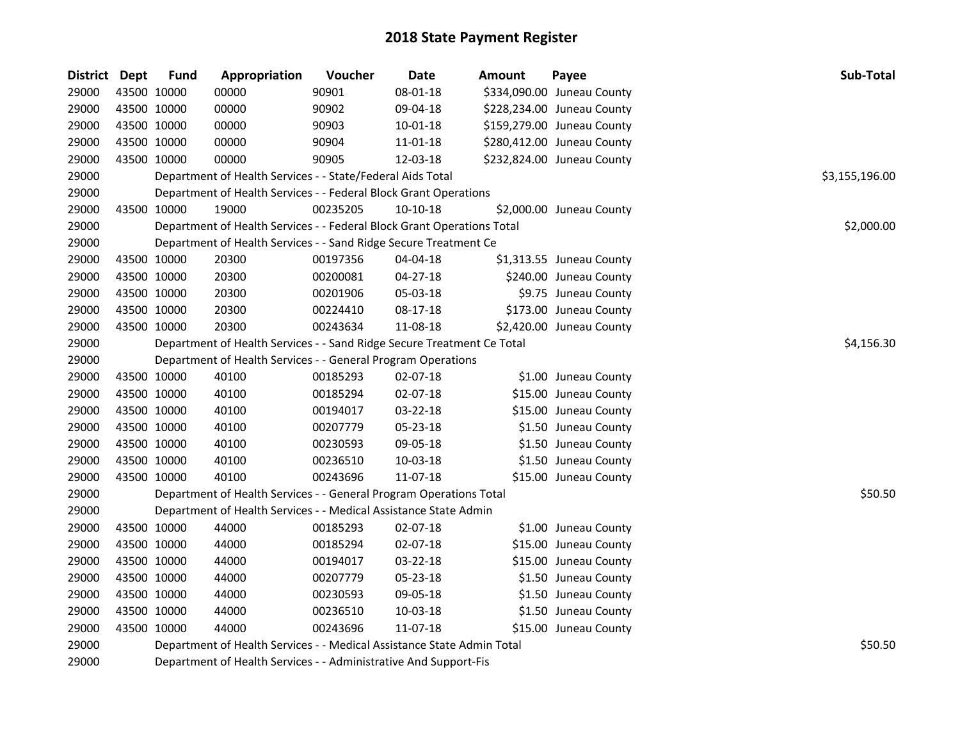| District Dept |             | <b>Fund</b> | Appropriation                                                          | Voucher    | <b>Date</b> | <b>Amount</b> | Payee                      | Sub-Total      |
|---------------|-------------|-------------|------------------------------------------------------------------------|------------|-------------|---------------|----------------------------|----------------|
| 29000         |             | 43500 10000 | 00000                                                                  | 90901      | 08-01-18    |               | \$334,090.00 Juneau County |                |
| 29000         | 43500 10000 |             | 00000                                                                  | 90902      | 09-04-18    |               | \$228,234.00 Juneau County |                |
| 29000         |             | 43500 10000 | 00000                                                                  | 90903      | 10-01-18    |               | \$159,279.00 Juneau County |                |
| 29000         | 43500 10000 |             | 00000                                                                  | 90904      | 11-01-18    |               | \$280,412.00 Juneau County |                |
| 29000         | 43500 10000 |             | 00000                                                                  | 90905      | 12-03-18    |               | \$232,824.00 Juneau County |                |
| 29000         |             |             | Department of Health Services - - State/Federal Aids Total             |            |             |               |                            | \$3,155,196.00 |
| 29000         |             |             | Department of Health Services - - Federal Block Grant Operations       |            |             |               |                            |                |
| 29000         | 43500 10000 |             | 19000                                                                  | 00235205   | $10-10-18$  |               | \$2,000.00 Juneau County   |                |
| 29000         |             |             | Department of Health Services - - Federal Block Grant Operations Total |            |             |               |                            | \$2,000.00     |
| 29000         |             |             | Department of Health Services - - Sand Ridge Secure Treatment Ce       |            |             |               |                            |                |
| 29000         |             | 43500 10000 | 20300                                                                  | 00197356   | 04-04-18    |               | \$1,313.55 Juneau County   |                |
| 29000         | 43500 10000 |             | 20300                                                                  | 00200081   | 04-27-18    |               | \$240.00 Juneau County     |                |
| 29000         | 43500 10000 |             | 20300                                                                  | 00201906   | 05-03-18    |               | \$9.75 Juneau County       |                |
| 29000         | 43500 10000 |             | 20300                                                                  | 00224410   | 08-17-18    |               | \$173.00 Juneau County     |                |
| 29000         | 43500 10000 |             | 20300                                                                  | 00243634   | 11-08-18    |               | \$2,420.00 Juneau County   |                |
| 29000         |             |             | Department of Health Services - - Sand Ridge Secure Treatment Ce Total | \$4,156.30 |             |               |                            |                |
| 29000         |             |             | Department of Health Services - - General Program Operations           |            |             |               |                            |                |
| 29000         | 43500 10000 |             | 40100                                                                  | 00185293   | 02-07-18    |               | \$1.00 Juneau County       |                |
| 29000         | 43500 10000 |             | 40100                                                                  | 00185294   | 02-07-18    |               | \$15.00 Juneau County      |                |
| 29000         | 43500 10000 |             | 40100                                                                  | 00194017   | 03-22-18    |               | \$15.00 Juneau County      |                |
| 29000         | 43500 10000 |             | 40100                                                                  | 00207779   | 05-23-18    |               | \$1.50 Juneau County       |                |
| 29000         | 43500 10000 |             | 40100                                                                  | 00230593   | 09-05-18    |               | \$1.50 Juneau County       |                |
| 29000         | 43500 10000 |             | 40100                                                                  | 00236510   | 10-03-18    |               | \$1.50 Juneau County       |                |
| 29000         | 43500 10000 |             | 40100                                                                  | 00243696   | 11-07-18    |               | \$15.00 Juneau County      |                |
| 29000         |             |             | Department of Health Services - - General Program Operations Total     |            |             |               |                            | \$50.50        |
| 29000         |             |             | Department of Health Services - - Medical Assistance State Admin       |            |             |               |                            |                |
| 29000         | 43500 10000 |             | 44000                                                                  | 00185293   | 02-07-18    |               | \$1.00 Juneau County       |                |
| 29000         | 43500 10000 |             | 44000                                                                  | 00185294   | 02-07-18    |               | \$15.00 Juneau County      |                |
| 29000         | 43500 10000 |             | 44000                                                                  | 00194017   | 03-22-18    |               | \$15.00 Juneau County      |                |
| 29000         | 43500 10000 |             | 44000                                                                  | 00207779   | 05-23-18    |               | \$1.50 Juneau County       |                |
| 29000         |             | 43500 10000 | 44000                                                                  | 00230593   | 09-05-18    |               | \$1.50 Juneau County       |                |
| 29000         | 43500 10000 |             | 44000                                                                  | 00236510   | 10-03-18    |               | \$1.50 Juneau County       |                |
| 29000         | 43500 10000 |             | 44000                                                                  | 00243696   | 11-07-18    |               | \$15.00 Juneau County      |                |
| 29000         |             |             | Department of Health Services - - Medical Assistance State Admin Total |            |             |               |                            | \$50.50        |
| 29000         |             |             | Department of Health Services - - Administrative And Support-Fis       |            |             |               |                            |                |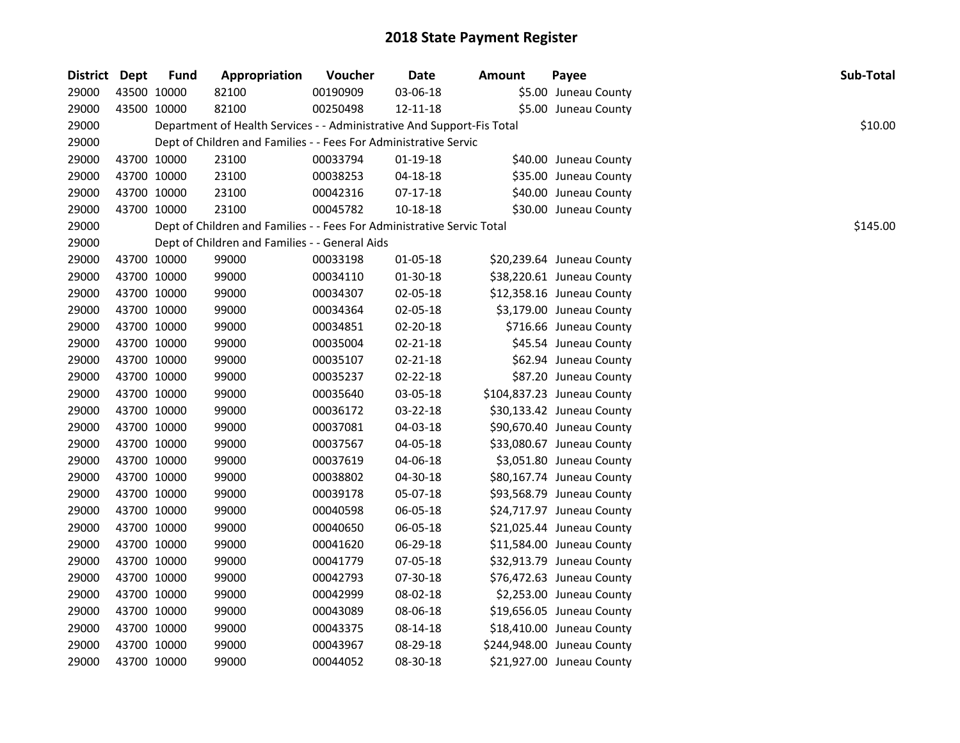| District Dept | <b>Fund</b> | Appropriation                                                          | Voucher  | <b>Date</b>    | <b>Amount</b> | Payee                      | Sub-Total |          |
|---------------|-------------|------------------------------------------------------------------------|----------|----------------|---------------|----------------------------|-----------|----------|
| 29000         | 43500 10000 | 82100                                                                  | 00190909 | 03-06-18       |               | \$5.00 Juneau County       |           |          |
| 29000         | 43500 10000 | 82100                                                                  | 00250498 | 12-11-18       |               | \$5.00 Juneau County       |           |          |
| 29000         |             | Department of Health Services - - Administrative And Support-Fis Total |          |                |               |                            |           | \$10.00  |
| 29000         |             | Dept of Children and Families - - Fees For Administrative Servic       |          |                |               |                            |           |          |
| 29000         | 43700 10000 | 23100                                                                  | 00033794 | $01 - 19 - 18$ |               | \$40.00 Juneau County      |           |          |
| 29000         | 43700 10000 | 23100                                                                  | 00038253 | 04-18-18       |               | \$35.00 Juneau County      |           |          |
| 29000         | 43700 10000 | 23100                                                                  | 00042316 | $07-17-18$     |               | \$40.00 Juneau County      |           |          |
| 29000         | 43700 10000 | 23100                                                                  | 00045782 | 10-18-18       |               | \$30.00 Juneau County      |           |          |
| 29000         |             | Dept of Children and Families - - Fees For Administrative Servic Total |          |                |               |                            |           | \$145.00 |
| 29000         |             | Dept of Children and Families - - General Aids                         |          |                |               |                            |           |          |
| 29000         | 43700 10000 | 99000                                                                  | 00033198 | 01-05-18       |               | \$20,239.64 Juneau County  |           |          |
| 29000         | 43700 10000 | 99000                                                                  | 00034110 | 01-30-18       |               | \$38,220.61 Juneau County  |           |          |
| 29000         | 43700 10000 | 99000                                                                  | 00034307 | 02-05-18       |               | \$12,358.16 Juneau County  |           |          |
| 29000         | 43700 10000 | 99000                                                                  | 00034364 | 02-05-18       |               | \$3,179.00 Juneau County   |           |          |
| 29000         | 43700 10000 | 99000                                                                  | 00034851 | 02-20-18       |               | \$716.66 Juneau County     |           |          |
| 29000         | 43700 10000 | 99000                                                                  | 00035004 | 02-21-18       |               | \$45.54 Juneau County      |           |          |
| 29000         | 43700 10000 | 99000                                                                  | 00035107 | 02-21-18       |               | \$62.94 Juneau County      |           |          |
| 29000         | 43700 10000 | 99000                                                                  | 00035237 | $02 - 22 - 18$ |               | \$87.20 Juneau County      |           |          |
| 29000         | 43700 10000 | 99000                                                                  | 00035640 | 03-05-18       |               | \$104,837.23 Juneau County |           |          |
| 29000         | 43700 10000 | 99000                                                                  | 00036172 | 03-22-18       |               | \$30,133.42 Juneau County  |           |          |
| 29000         | 43700 10000 | 99000                                                                  | 00037081 | 04-03-18       |               | \$90,670.40 Juneau County  |           |          |
| 29000         | 43700 10000 | 99000                                                                  | 00037567 | 04-05-18       |               | \$33,080.67 Juneau County  |           |          |
| 29000         | 43700 10000 | 99000                                                                  | 00037619 | 04-06-18       |               | \$3,051.80 Juneau County   |           |          |
| 29000         | 43700 10000 | 99000                                                                  | 00038802 | 04-30-18       |               | \$80,167.74 Juneau County  |           |          |
| 29000         | 43700 10000 | 99000                                                                  | 00039178 | 05-07-18       |               | \$93,568.79 Juneau County  |           |          |
| 29000         | 43700 10000 | 99000                                                                  | 00040598 | 06-05-18       |               | \$24,717.97 Juneau County  |           |          |
| 29000         | 43700 10000 | 99000                                                                  | 00040650 | 06-05-18       |               | \$21,025.44 Juneau County  |           |          |
| 29000         | 43700 10000 | 99000                                                                  | 00041620 | 06-29-18       |               | \$11,584.00 Juneau County  |           |          |
| 29000         | 43700 10000 | 99000                                                                  | 00041779 | 07-05-18       |               | \$32,913.79 Juneau County  |           |          |
| 29000         | 43700 10000 | 99000                                                                  | 00042793 | 07-30-18       |               | \$76,472.63 Juneau County  |           |          |
| 29000         | 43700 10000 | 99000                                                                  | 00042999 | 08-02-18       |               | \$2,253.00 Juneau County   |           |          |
| 29000         | 43700 10000 | 99000                                                                  | 00043089 | 08-06-18       |               | \$19,656.05 Juneau County  |           |          |
| 29000         | 43700 10000 | 99000                                                                  | 00043375 | 08-14-18       |               | \$18,410.00 Juneau County  |           |          |
| 29000         | 43700 10000 | 99000                                                                  | 00043967 | 08-29-18       |               | \$244,948.00 Juneau County |           |          |
| 29000         | 43700 10000 | 99000                                                                  | 00044052 | 08-30-18       |               | \$21,927.00 Juneau County  |           |          |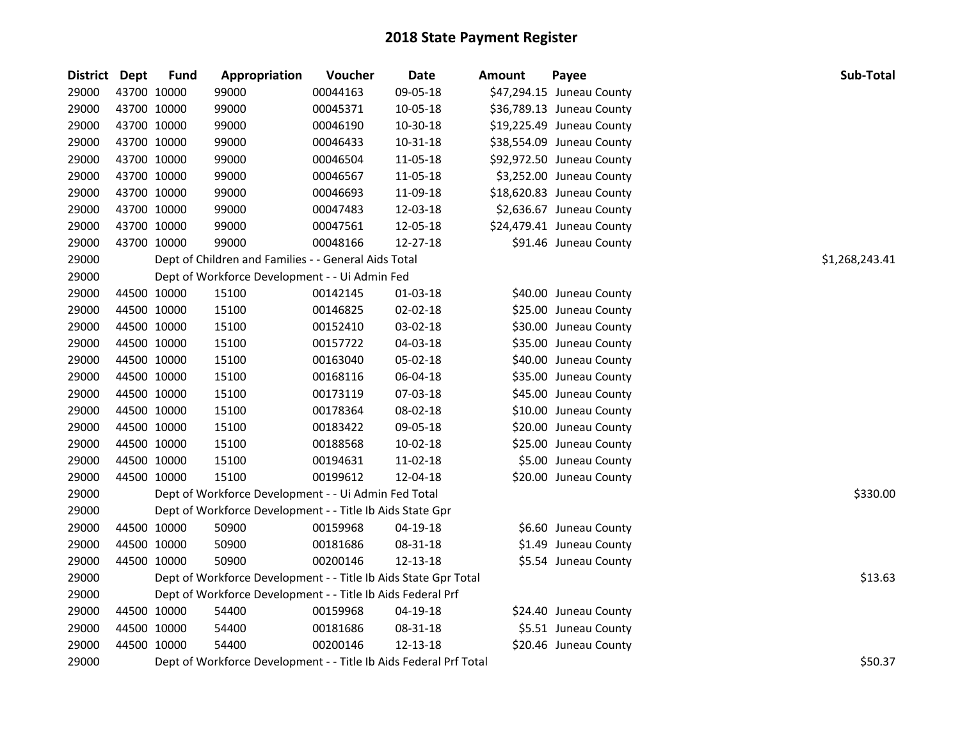| <b>District</b> | Dept        | <b>Fund</b> | Appropriation                                                     | Voucher  | <b>Date</b> | <b>Amount</b> | Payee                     | Sub-Total      |
|-----------------|-------------|-------------|-------------------------------------------------------------------|----------|-------------|---------------|---------------------------|----------------|
| 29000           |             | 43700 10000 | 99000                                                             | 00044163 | 09-05-18    |               | \$47,294.15 Juneau County |                |
| 29000           |             | 43700 10000 | 99000                                                             | 00045371 | 10-05-18    |               | \$36,789.13 Juneau County |                |
| 29000           |             | 43700 10000 | 99000                                                             | 00046190 | 10-30-18    |               | \$19,225.49 Juneau County |                |
| 29000           | 43700 10000 |             | 99000                                                             | 00046433 | 10-31-18    |               | \$38,554.09 Juneau County |                |
| 29000           | 43700 10000 |             | 99000                                                             | 00046504 | 11-05-18    |               | \$92,972.50 Juneau County |                |
| 29000           |             | 43700 10000 | 99000                                                             | 00046567 | 11-05-18    |               | \$3,252.00 Juneau County  |                |
| 29000           |             | 43700 10000 | 99000                                                             | 00046693 | 11-09-18    |               | \$18,620.83 Juneau County |                |
| 29000           | 43700 10000 |             | 99000                                                             | 00047483 | 12-03-18    |               | \$2,636.67 Juneau County  |                |
| 29000           | 43700 10000 |             | 99000                                                             | 00047561 | 12-05-18    |               | \$24,479.41 Juneau County |                |
| 29000           | 43700 10000 |             | 99000                                                             | 00048166 | 12-27-18    |               | \$91.46 Juneau County     |                |
| 29000           |             |             | Dept of Children and Families - - General Aids Total              |          |             |               |                           | \$1,268,243.41 |
| 29000           |             |             | Dept of Workforce Development - - Ui Admin Fed                    |          |             |               |                           |                |
| 29000           |             | 44500 10000 | 15100                                                             | 00142145 | 01-03-18    |               | \$40.00 Juneau County     |                |
| 29000           |             | 44500 10000 | 15100                                                             | 00146825 | 02-02-18    |               | \$25.00 Juneau County     |                |
| 29000           |             | 44500 10000 | 15100                                                             | 00152410 | 03-02-18    |               | \$30.00 Juneau County     |                |
| 29000           | 44500 10000 |             | 15100                                                             | 00157722 | 04-03-18    |               | \$35.00 Juneau County     |                |
| 29000           |             | 44500 10000 | 15100                                                             | 00163040 | 05-02-18    |               | \$40.00 Juneau County     |                |
| 29000           |             | 44500 10000 | 15100                                                             | 00168116 | 06-04-18    |               | \$35.00 Juneau County     |                |
| 29000           |             | 44500 10000 | 15100                                                             | 00173119 | 07-03-18    |               | \$45.00 Juneau County     |                |
| 29000           |             | 44500 10000 | 15100                                                             | 00178364 | 08-02-18    |               | \$10.00 Juneau County     |                |
| 29000           |             | 44500 10000 | 15100                                                             | 00183422 | 09-05-18    |               | \$20.00 Juneau County     |                |
| 29000           | 44500 10000 |             | 15100                                                             | 00188568 | 10-02-18    |               | \$25.00 Juneau County     |                |
| 29000           |             | 44500 10000 | 15100                                                             | 00194631 | 11-02-18    |               | \$5.00 Juneau County      |                |
| 29000           | 44500 10000 |             | 15100                                                             | 00199612 | 12-04-18    |               | \$20.00 Juneau County     |                |
| 29000           |             |             | Dept of Workforce Development - - Ui Admin Fed Total              |          |             |               |                           | \$330.00       |
| 29000           |             |             | Dept of Workforce Development - - Title Ib Aids State Gpr         |          |             |               |                           |                |
| 29000           | 44500 10000 |             | 50900                                                             | 00159968 | 04-19-18    |               | \$6.60 Juneau County      |                |
| 29000           | 44500 10000 |             | 50900                                                             | 00181686 | 08-31-18    |               | \$1.49 Juneau County      |                |
| 29000           | 44500 10000 |             | 50900                                                             | 00200146 | 12-13-18    |               | \$5.54 Juneau County      |                |
| 29000           |             |             | Dept of Workforce Development - - Title Ib Aids State Gpr Total   |          |             |               |                           | \$13.63        |
| 29000           |             |             | Dept of Workforce Development - - Title Ib Aids Federal Prf       |          |             |               |                           |                |
| 29000           |             | 44500 10000 | 54400                                                             | 00159968 | 04-19-18    |               | \$24.40 Juneau County     |                |
| 29000           | 44500 10000 |             | 54400                                                             | 00181686 | 08-31-18    |               | \$5.51 Juneau County      |                |
| 29000           | 44500 10000 |             | 54400                                                             | 00200146 | 12-13-18    |               | \$20.46 Juneau County     |                |
| 29000           |             |             | Dept of Workforce Development - - Title Ib Aids Federal Prf Total |          |             |               |                           | \$50.37        |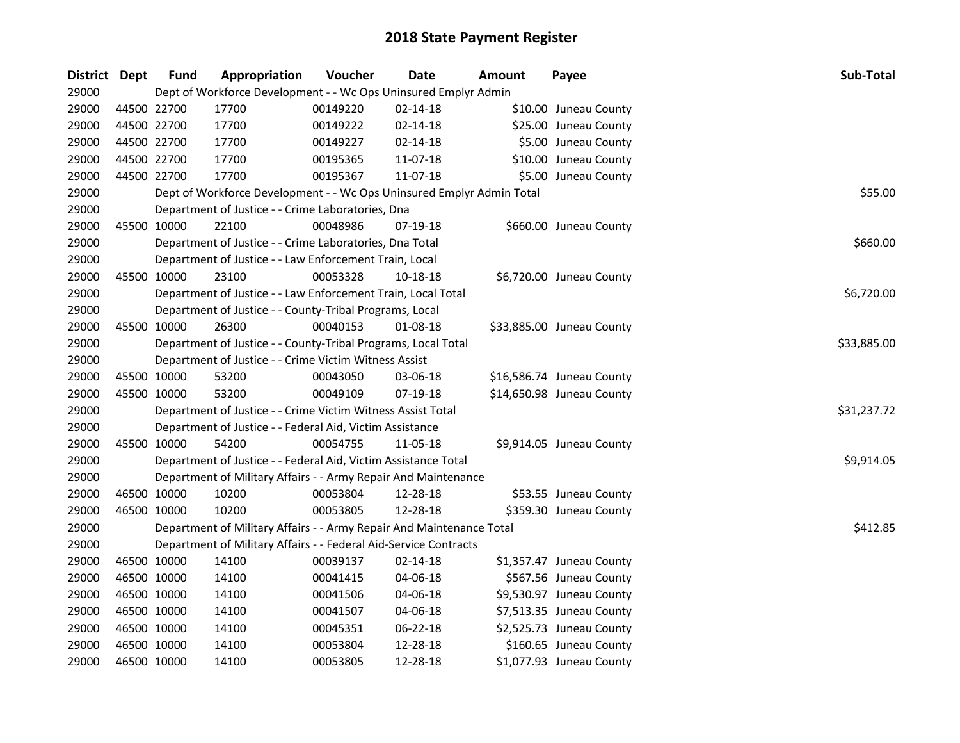| District Dept |             | <b>Fund</b> | Appropriation                                                         | Voucher  | <b>Date</b>    | Amount | Payee                     | Sub-Total   |
|---------------|-------------|-------------|-----------------------------------------------------------------------|----------|----------------|--------|---------------------------|-------------|
| 29000         |             |             | Dept of Workforce Development - - Wc Ops Uninsured Emplyr Admin       |          |                |        |                           |             |
| 29000         | 44500 22700 |             | 17700                                                                 | 00149220 | $02 - 14 - 18$ |        | \$10.00 Juneau County     |             |
| 29000         | 44500 22700 |             | 17700                                                                 | 00149222 | $02 - 14 - 18$ |        | \$25.00 Juneau County     |             |
| 29000         |             | 44500 22700 | 17700                                                                 | 00149227 | $02 - 14 - 18$ |        | \$5.00 Juneau County      |             |
| 29000         | 44500 22700 |             | 17700                                                                 | 00195365 | 11-07-18       |        | \$10.00 Juneau County     |             |
| 29000         | 44500 22700 |             | 17700                                                                 | 00195367 | 11-07-18       |        | \$5.00 Juneau County      |             |
| 29000         |             |             | Dept of Workforce Development - - Wc Ops Uninsured Emplyr Admin Total | \$55.00  |                |        |                           |             |
| 29000         |             |             | Department of Justice - - Crime Laboratories, Dna                     |          |                |        |                           |             |
| 29000         |             | 45500 10000 | 22100                                                                 | 00048986 | 07-19-18       |        | \$660.00 Juneau County    |             |
| 29000         |             |             | Department of Justice - - Crime Laboratories, Dna Total               |          |                |        |                           | \$660.00    |
| 29000         |             |             | Department of Justice - - Law Enforcement Train, Local                |          |                |        |                           |             |
| 29000         |             | 45500 10000 | 23100                                                                 | 00053328 | 10-18-18       |        | \$6,720.00 Juneau County  |             |
| 29000         |             |             | Department of Justice - - Law Enforcement Train, Local Total          |          |                |        |                           | \$6,720.00  |
| 29000         |             |             | Department of Justice - - County-Tribal Programs, Local               |          |                |        |                           |             |
| 29000         | 45500 10000 |             | 26300                                                                 | 00040153 | 01-08-18       |        | \$33,885.00 Juneau County |             |
| 29000         |             |             | Department of Justice - - County-Tribal Programs, Local Total         |          |                |        |                           | \$33,885.00 |
| 29000         |             |             | Department of Justice - - Crime Victim Witness Assist                 |          |                |        |                           |             |
| 29000         | 45500 10000 |             | 53200                                                                 | 00043050 | 03-06-18       |        | \$16,586.74 Juneau County |             |
| 29000         | 45500 10000 |             | 53200                                                                 | 00049109 | 07-19-18       |        | \$14,650.98 Juneau County |             |
| 29000         |             |             | Department of Justice - - Crime Victim Witness Assist Total           |          |                |        |                           | \$31,237.72 |
| 29000         |             |             | Department of Justice - - Federal Aid, Victim Assistance              |          |                |        |                           |             |
| 29000         |             | 45500 10000 | 54200                                                                 | 00054755 | 11-05-18       |        | \$9,914.05 Juneau County  |             |
| 29000         |             |             | Department of Justice - - Federal Aid, Victim Assistance Total        |          |                |        |                           | \$9,914.05  |
| 29000         |             |             | Department of Military Affairs - - Army Repair And Maintenance        |          |                |        |                           |             |
| 29000         | 46500 10000 |             | 10200                                                                 | 00053804 | 12-28-18       |        | \$53.55 Juneau County     |             |
| 29000         | 46500 10000 |             | 10200                                                                 | 00053805 | 12-28-18       |        | \$359.30 Juneau County    |             |
| 29000         |             |             | Department of Military Affairs - - Army Repair And Maintenance Total  |          |                |        |                           | \$412.85    |
| 29000         |             |             | Department of Military Affairs - - Federal Aid-Service Contracts      |          |                |        |                           |             |
| 29000         | 46500 10000 |             | 14100                                                                 | 00039137 | 02-14-18       |        | \$1,357.47 Juneau County  |             |
| 29000         | 46500 10000 |             | 14100                                                                 | 00041415 | 04-06-18       |        | \$567.56 Juneau County    |             |
| 29000         | 46500 10000 |             | 14100                                                                 | 00041506 | 04-06-18       |        | \$9,530.97 Juneau County  |             |
| 29000         | 46500 10000 |             | 14100                                                                 | 00041507 | 04-06-18       |        | \$7,513.35 Juneau County  |             |
| 29000         | 46500 10000 |             | 14100                                                                 | 00045351 | 06-22-18       |        | \$2,525.73 Juneau County  |             |
| 29000         | 46500 10000 |             | 14100                                                                 | 00053804 | 12-28-18       |        | \$160.65 Juneau County    |             |
| 29000         | 46500 10000 |             | 14100                                                                 | 00053805 | 12-28-18       |        | \$1,077.93 Juneau County  |             |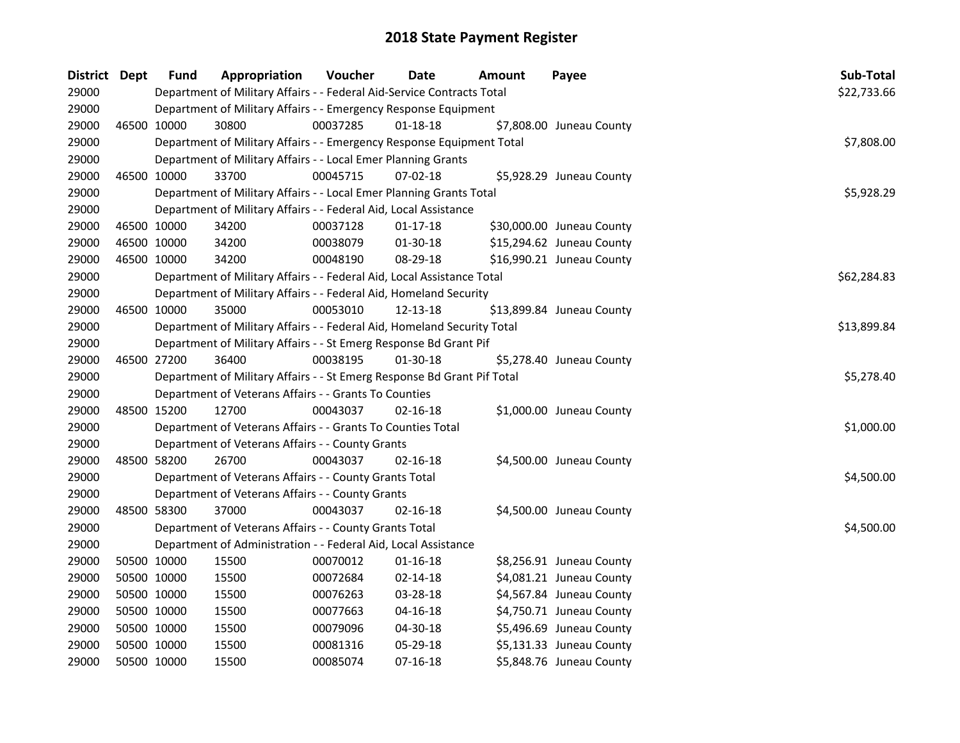| District Dept | <b>Fund</b> | Appropriation                                                           | Voucher  | <b>Date</b>    | Amount | Payee                     | Sub-Total   |
|---------------|-------------|-------------------------------------------------------------------------|----------|----------------|--------|---------------------------|-------------|
| 29000         |             | Department of Military Affairs - - Federal Aid-Service Contracts Total  |          |                |        |                           | \$22,733.66 |
| 29000         |             | Department of Military Affairs - - Emergency Response Equipment         |          |                |        |                           |             |
| 29000         | 46500 10000 | 30800                                                                   | 00037285 | $01 - 18 - 18$ |        | \$7,808.00 Juneau County  |             |
| 29000         |             | Department of Military Affairs - - Emergency Response Equipment Total   |          |                |        |                           | \$7,808.00  |
| 29000         |             | Department of Military Affairs - - Local Emer Planning Grants           |          |                |        |                           |             |
| 29000         | 46500 10000 | 33700                                                                   | 00045715 | $07 - 02 - 18$ |        | \$5,928.29 Juneau County  |             |
| 29000         |             | Department of Military Affairs - - Local Emer Planning Grants Total     |          |                |        |                           | \$5,928.29  |
| 29000         |             | Department of Military Affairs - - Federal Aid, Local Assistance        |          |                |        |                           |             |
| 29000         | 46500 10000 | 34200                                                                   | 00037128 | $01-17-18$     |        | \$30,000.00 Juneau County |             |
| 29000         | 46500 10000 | 34200                                                                   | 00038079 | 01-30-18       |        | \$15,294.62 Juneau County |             |
| 29000         | 46500 10000 | 34200                                                                   | 00048190 | 08-29-18       |        | \$16,990.21 Juneau County |             |
| 29000         |             | Department of Military Affairs - - Federal Aid, Local Assistance Total  |          |                |        |                           | \$62,284.83 |
| 29000         |             | Department of Military Affairs - - Federal Aid, Homeland Security       |          |                |        |                           |             |
| 29000         | 46500 10000 | 35000                                                                   | 00053010 | 12-13-18       |        | \$13,899.84 Juneau County |             |
| 29000         |             | Department of Military Affairs - - Federal Aid, Homeland Security Total |          |                |        |                           | \$13,899.84 |
| 29000         |             | Department of Military Affairs - - St Emerg Response Bd Grant Pif       |          |                |        |                           |             |
| 29000         | 46500 27200 | 36400                                                                   | 00038195 | $01-30-18$     |        | \$5,278.40 Juneau County  |             |
| 29000         |             | Department of Military Affairs - - St Emerg Response Bd Grant Pif Total |          |                |        |                           | \$5,278.40  |
| 29000         |             | Department of Veterans Affairs - - Grants To Counties                   |          |                |        |                           |             |
| 29000         | 48500 15200 | 12700                                                                   | 00043037 | $02 - 16 - 18$ |        | \$1,000.00 Juneau County  |             |
| 29000         |             | Department of Veterans Affairs - - Grants To Counties Total             |          |                |        |                           | \$1,000.00  |
| 29000         |             | Department of Veterans Affairs - - County Grants                        |          |                |        |                           |             |
| 29000         | 48500 58200 | 26700                                                                   | 00043037 | $02 - 16 - 18$ |        | \$4,500.00 Juneau County  |             |
| 29000         |             | Department of Veterans Affairs - - County Grants Total                  |          |                |        |                           | \$4,500.00  |
| 29000         |             | Department of Veterans Affairs - - County Grants                        |          |                |        |                           |             |
| 29000         | 48500 58300 | 37000                                                                   | 00043037 | 02-16-18       |        | \$4,500.00 Juneau County  |             |
| 29000         |             | Department of Veterans Affairs - - County Grants Total                  |          |                |        |                           | \$4,500.00  |
| 29000         |             | Department of Administration - - Federal Aid, Local Assistance          |          |                |        |                           |             |
| 29000         | 50500 10000 | 15500                                                                   | 00070012 | $01 - 16 - 18$ |        | \$8,256.91 Juneau County  |             |
| 29000         | 50500 10000 | 15500                                                                   | 00072684 | $02 - 14 - 18$ |        | \$4,081.21 Juneau County  |             |
| 29000         | 50500 10000 | 15500                                                                   | 00076263 | 03-28-18       |        | \$4,567.84 Juneau County  |             |
| 29000         | 50500 10000 | 15500                                                                   | 00077663 | $04 - 16 - 18$ |        | \$4,750.71 Juneau County  |             |
| 29000         | 50500 10000 | 15500                                                                   | 00079096 | 04-30-18       |        | \$5,496.69 Juneau County  |             |
| 29000         | 50500 10000 | 15500                                                                   | 00081316 | 05-29-18       |        | \$5,131.33 Juneau County  |             |
| 29000         | 50500 10000 | 15500                                                                   | 00085074 | 07-16-18       |        | \$5,848.76 Juneau County  |             |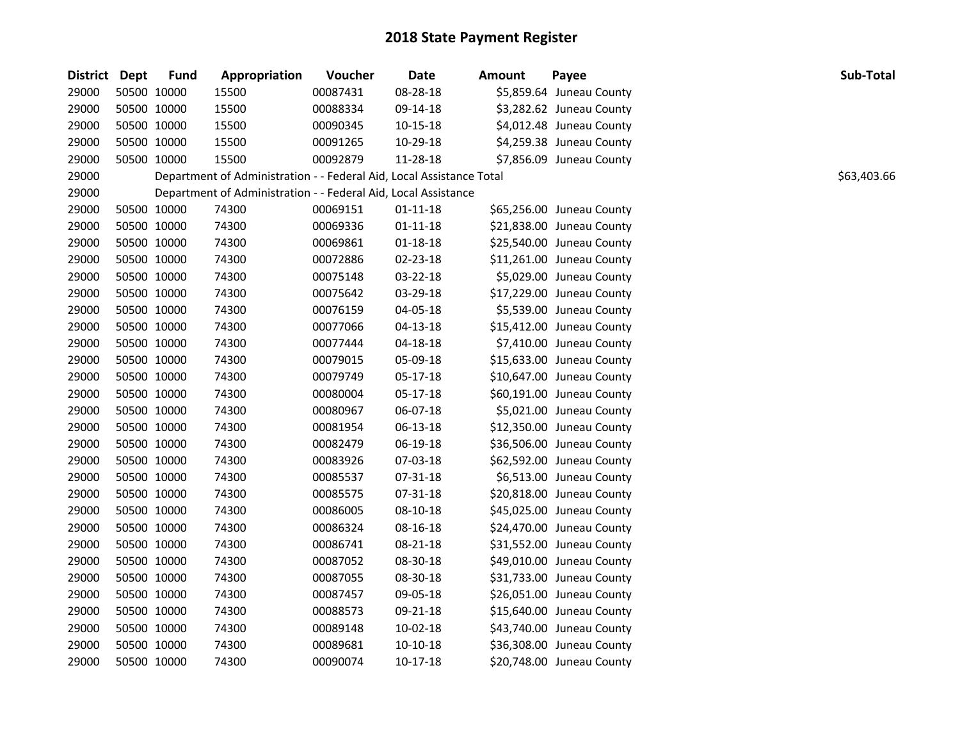| District | Dept        | <b>Fund</b> | Appropriation                                                        | Voucher  | <b>Date</b>    | Amount | Payee                     | Sub-Total   |
|----------|-------------|-------------|----------------------------------------------------------------------|----------|----------------|--------|---------------------------|-------------|
| 29000    | 50500 10000 |             | 15500                                                                | 00087431 | 08-28-18       |        | \$5,859.64 Juneau County  |             |
| 29000    | 50500 10000 |             | 15500                                                                | 00088334 | 09-14-18       |        | \$3,282.62 Juneau County  |             |
| 29000    | 50500 10000 |             | 15500                                                                | 00090345 | 10-15-18       |        | \$4,012.48 Juneau County  |             |
| 29000    | 50500 10000 |             | 15500                                                                | 00091265 | 10-29-18       |        | \$4,259.38 Juneau County  |             |
| 29000    | 50500 10000 |             | 15500                                                                | 00092879 | 11-28-18       |        | \$7,856.09 Juneau County  |             |
| 29000    |             |             | Department of Administration - - Federal Aid, Local Assistance Total |          |                |        |                           | \$63,403.66 |
| 29000    |             |             | Department of Administration - - Federal Aid, Local Assistance       |          |                |        |                           |             |
| 29000    | 50500 10000 |             | 74300                                                                | 00069151 | $01 - 11 - 18$ |        | \$65,256.00 Juneau County |             |
| 29000    | 50500 10000 |             | 74300                                                                | 00069336 | $01 - 11 - 18$ |        | \$21,838.00 Juneau County |             |
| 29000    | 50500 10000 |             | 74300                                                                | 00069861 | 01-18-18       |        | \$25,540.00 Juneau County |             |
| 29000    | 50500 10000 |             | 74300                                                                | 00072886 | 02-23-18       |        | \$11,261.00 Juneau County |             |
| 29000    | 50500 10000 |             | 74300                                                                | 00075148 | 03-22-18       |        | \$5,029.00 Juneau County  |             |
| 29000    | 50500 10000 |             | 74300                                                                | 00075642 | 03-29-18       |        | \$17,229.00 Juneau County |             |
| 29000    | 50500 10000 |             | 74300                                                                | 00076159 | 04-05-18       |        | \$5,539.00 Juneau County  |             |
| 29000    | 50500 10000 |             | 74300                                                                | 00077066 | 04-13-18       |        | \$15,412.00 Juneau County |             |
| 29000    | 50500 10000 |             | 74300                                                                | 00077444 | 04-18-18       |        | \$7,410.00 Juneau County  |             |
| 29000    | 50500 10000 |             | 74300                                                                | 00079015 | 05-09-18       |        | \$15,633.00 Juneau County |             |
| 29000    | 50500 10000 |             | 74300                                                                | 00079749 | 05-17-18       |        | \$10,647.00 Juneau County |             |
| 29000    | 50500 10000 |             | 74300                                                                | 00080004 | 05-17-18       |        | \$60,191.00 Juneau County |             |
| 29000    | 50500 10000 |             | 74300                                                                | 00080967 | 06-07-18       |        | \$5,021.00 Juneau County  |             |
| 29000    | 50500 10000 |             | 74300                                                                | 00081954 | 06-13-18       |        | \$12,350.00 Juneau County |             |
| 29000    | 50500 10000 |             | 74300                                                                | 00082479 | 06-19-18       |        | \$36,506.00 Juneau County |             |
| 29000    | 50500 10000 |             | 74300                                                                | 00083926 | 07-03-18       |        | \$62,592.00 Juneau County |             |
| 29000    | 50500 10000 |             | 74300                                                                | 00085537 | 07-31-18       |        | \$6,513.00 Juneau County  |             |
| 29000    | 50500 10000 |             | 74300                                                                | 00085575 | 07-31-18       |        | \$20,818.00 Juneau County |             |
| 29000    | 50500 10000 |             | 74300                                                                | 00086005 | 08-10-18       |        | \$45,025.00 Juneau County |             |
| 29000    | 50500 10000 |             | 74300                                                                | 00086324 | 08-16-18       |        | \$24,470.00 Juneau County |             |
| 29000    | 50500 10000 |             | 74300                                                                | 00086741 | 08-21-18       |        | \$31,552.00 Juneau County |             |
| 29000    | 50500 10000 |             | 74300                                                                | 00087052 | 08-30-18       |        | \$49,010.00 Juneau County |             |
| 29000    | 50500 10000 |             | 74300                                                                | 00087055 | 08-30-18       |        | \$31,733.00 Juneau County |             |
| 29000    | 50500 10000 |             | 74300                                                                | 00087457 | 09-05-18       |        | \$26,051.00 Juneau County |             |
| 29000    | 50500 10000 |             | 74300                                                                | 00088573 | 09-21-18       |        | \$15,640.00 Juneau County |             |
| 29000    | 50500 10000 |             | 74300                                                                | 00089148 | 10-02-18       |        | \$43,740.00 Juneau County |             |
| 29000    | 50500 10000 |             | 74300                                                                | 00089681 | $10-10-18$     |        | \$36,308.00 Juneau County |             |
| 29000    | 50500 10000 |             | 74300                                                                | 00090074 | $10-17-18$     |        | \$20,748.00 Juneau County |             |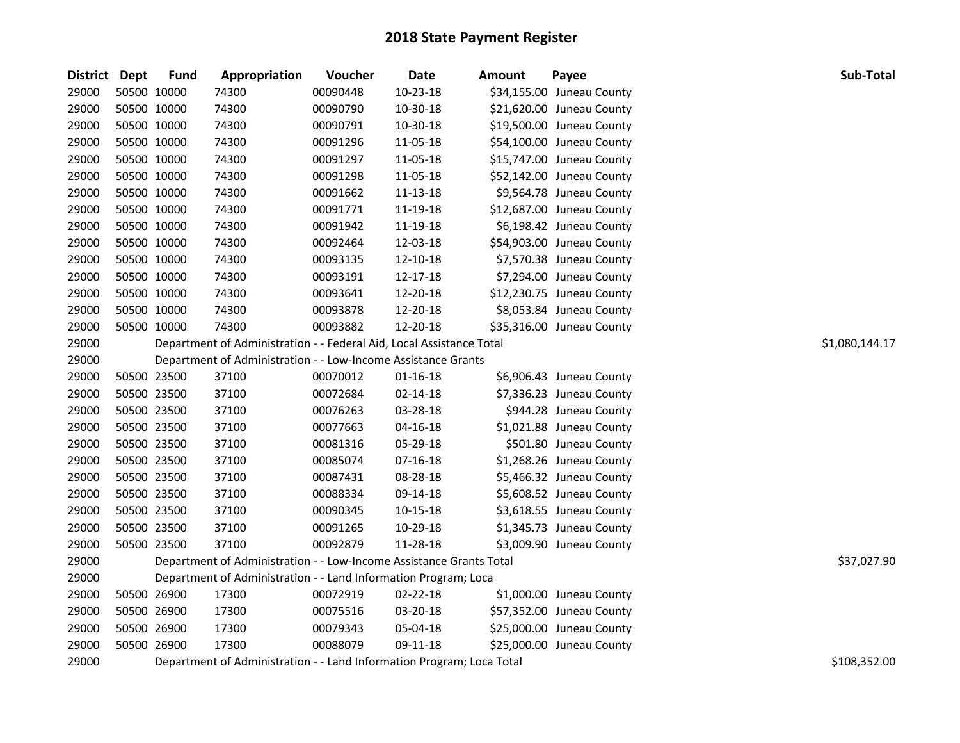| District Dept |             | <b>Fund</b> | Appropriation                                                         | Voucher  | <b>Date</b>    | <b>Amount</b> | Payee                     | Sub-Total      |
|---------------|-------------|-------------|-----------------------------------------------------------------------|----------|----------------|---------------|---------------------------|----------------|
| 29000         | 50500 10000 |             | 74300                                                                 | 00090448 | 10-23-18       |               | \$34,155.00 Juneau County |                |
| 29000         | 50500 10000 |             | 74300                                                                 | 00090790 | 10-30-18       |               | \$21,620.00 Juneau County |                |
| 29000         | 50500 10000 |             | 74300                                                                 | 00090791 | 10-30-18       |               | \$19,500.00 Juneau County |                |
| 29000         | 50500 10000 |             | 74300                                                                 | 00091296 | 11-05-18       |               | \$54,100.00 Juneau County |                |
| 29000         | 50500 10000 |             | 74300                                                                 | 00091297 | 11-05-18       |               | \$15,747.00 Juneau County |                |
| 29000         | 50500 10000 |             | 74300                                                                 | 00091298 | 11-05-18       |               | \$52,142.00 Juneau County |                |
| 29000         | 50500 10000 |             | 74300                                                                 | 00091662 | 11-13-18       |               | \$9,564.78 Juneau County  |                |
| 29000         | 50500 10000 |             | 74300                                                                 | 00091771 | 11-19-18       |               | \$12,687.00 Juneau County |                |
| 29000         | 50500 10000 |             | 74300                                                                 | 00091942 | 11-19-18       |               | \$6,198.42 Juneau County  |                |
| 29000         | 50500 10000 |             | 74300                                                                 | 00092464 | 12-03-18       |               | \$54,903.00 Juneau County |                |
| 29000         | 50500 10000 |             | 74300                                                                 | 00093135 | 12-10-18       |               | \$7,570.38 Juneau County  |                |
| 29000         | 50500 10000 |             | 74300                                                                 | 00093191 | 12-17-18       |               | \$7,294.00 Juneau County  |                |
| 29000         | 50500 10000 |             | 74300                                                                 | 00093641 | 12-20-18       |               | \$12,230.75 Juneau County |                |
| 29000         | 50500 10000 |             | 74300                                                                 | 00093878 | 12-20-18       |               | \$8,053.84 Juneau County  |                |
| 29000         | 50500 10000 |             | 74300                                                                 | 00093882 | 12-20-18       |               | \$35,316.00 Juneau County |                |
| 29000         |             |             | Department of Administration - - Federal Aid, Local Assistance Total  |          |                |               |                           | \$1,080,144.17 |
| 29000         |             |             | Department of Administration - - Low-Income Assistance Grants         |          |                |               |                           |                |
| 29000         | 50500 23500 |             | 37100                                                                 | 00070012 | $01-16-18$     |               | \$6,906.43 Juneau County  |                |
| 29000         | 50500 23500 |             | 37100                                                                 | 00072684 | 02-14-18       |               | \$7,336.23 Juneau County  |                |
| 29000         | 50500 23500 |             | 37100                                                                 | 00076263 | 03-28-18       |               | \$944.28 Juneau County    |                |
| 29000         | 50500 23500 |             | 37100                                                                 | 00077663 | 04-16-18       |               | \$1,021.88 Juneau County  |                |
| 29000         | 50500 23500 |             | 37100                                                                 | 00081316 | 05-29-18       |               | \$501.80 Juneau County    |                |
| 29000         | 50500 23500 |             | 37100                                                                 | 00085074 | $07 - 16 - 18$ |               | \$1,268.26 Juneau County  |                |
| 29000         | 50500 23500 |             | 37100                                                                 | 00087431 | 08-28-18       |               | \$5,466.32 Juneau County  |                |
| 29000         | 50500 23500 |             | 37100                                                                 | 00088334 | 09-14-18       |               | \$5,608.52 Juneau County  |                |
| 29000         | 50500 23500 |             | 37100                                                                 | 00090345 | 10-15-18       |               | \$3,618.55 Juneau County  |                |
| 29000         | 50500 23500 |             | 37100                                                                 | 00091265 | 10-29-18       |               | \$1,345.73 Juneau County  |                |
| 29000         | 50500 23500 |             | 37100                                                                 | 00092879 | 11-28-18       |               | \$3,009.90 Juneau County  |                |
| 29000         |             |             | Department of Administration - - Low-Income Assistance Grants Total   |          |                |               |                           | \$37,027.90    |
| 29000         |             |             | Department of Administration - - Land Information Program; Loca       |          |                |               |                           |                |
| 29000         | 50500 26900 |             | 17300                                                                 | 00072919 | 02-22-18       |               | \$1,000.00 Juneau County  |                |
| 29000         | 50500 26900 |             | 17300                                                                 | 00075516 | 03-20-18       |               | \$57,352.00 Juneau County |                |
| 29000         | 50500 26900 |             | 17300                                                                 | 00079343 | 05-04-18       |               | \$25,000.00 Juneau County |                |
| 29000         | 50500 26900 |             | 17300                                                                 | 00088079 | 09-11-18       |               | \$25,000.00 Juneau County |                |
| 29000         |             |             | Department of Administration - - Land Information Program; Loca Total |          |                |               |                           | \$108,352.00   |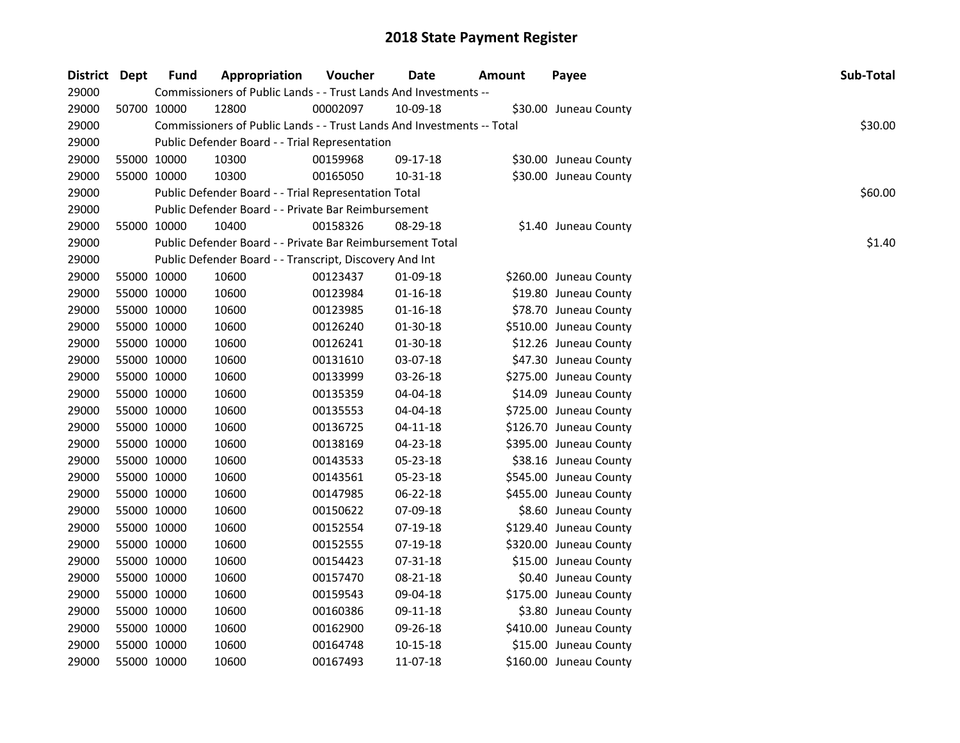| District Dept |             | <b>Fund</b> | Appropriation                                                          | Voucher  | Date           | <b>Amount</b> | Payee                  | Sub-Total |
|---------------|-------------|-------------|------------------------------------------------------------------------|----------|----------------|---------------|------------------------|-----------|
| 29000         |             |             | Commissioners of Public Lands - - Trust Lands And Investments --       |          |                |               |                        |           |
| 29000         |             | 50700 10000 | 12800                                                                  | 00002097 | 10-09-18       |               | \$30.00 Juneau County  |           |
| 29000         |             |             | Commissioners of Public Lands - - Trust Lands And Investments -- Total |          |                |               |                        | \$30.00   |
| 29000         |             |             | Public Defender Board - - Trial Representation                         |          |                |               |                        |           |
| 29000         |             | 55000 10000 | 10300                                                                  | 00159968 | 09-17-18       |               | \$30.00 Juneau County  |           |
| 29000         |             | 55000 10000 | 10300                                                                  | 00165050 | 10-31-18       |               | \$30.00 Juneau County  |           |
| 29000         |             |             | Public Defender Board - - Trial Representation Total                   |          |                |               |                        | \$60.00   |
| 29000         |             |             | Public Defender Board - - Private Bar Reimbursement                    |          |                |               |                        |           |
| 29000         |             | 55000 10000 | 10400                                                                  | 00158326 | 08-29-18       |               | \$1.40 Juneau County   |           |
| 29000         |             |             | Public Defender Board - - Private Bar Reimbursement Total              |          |                |               |                        | \$1.40    |
| 29000         |             |             | Public Defender Board - - Transcript, Discovery And Int                |          |                |               |                        |           |
| 29000         |             | 55000 10000 | 10600                                                                  | 00123437 | 01-09-18       |               | \$260.00 Juneau County |           |
| 29000         |             | 55000 10000 | 10600                                                                  | 00123984 | $01 - 16 - 18$ |               | \$19.80 Juneau County  |           |
| 29000         | 55000 10000 |             | 10600                                                                  | 00123985 | 01-16-18       |               | \$78.70 Juneau County  |           |
| 29000         |             | 55000 10000 | 10600                                                                  | 00126240 | 01-30-18       |               | \$510.00 Juneau County |           |
| 29000         |             | 55000 10000 | 10600                                                                  | 00126241 | 01-30-18       |               | \$12.26 Juneau County  |           |
| 29000         | 55000 10000 |             | 10600                                                                  | 00131610 | 03-07-18       |               | \$47.30 Juneau County  |           |
| 29000         |             | 55000 10000 | 10600                                                                  | 00133999 | 03-26-18       |               | \$275.00 Juneau County |           |
| 29000         |             | 55000 10000 | 10600                                                                  | 00135359 | 04-04-18       |               | \$14.09 Juneau County  |           |
| 29000         |             | 55000 10000 | 10600                                                                  | 00135553 | 04-04-18       |               | \$725.00 Juneau County |           |
| 29000         | 55000 10000 |             | 10600                                                                  | 00136725 | $04 - 11 - 18$ |               | \$126.70 Juneau County |           |
| 29000         | 55000 10000 |             | 10600                                                                  | 00138169 | 04-23-18       |               | \$395.00 Juneau County |           |
| 29000         | 55000 10000 |             | 10600                                                                  | 00143533 | 05-23-18       |               | \$38.16 Juneau County  |           |
| 29000         | 55000 10000 |             | 10600                                                                  | 00143561 | 05-23-18       |               | \$545.00 Juneau County |           |
| 29000         | 55000 10000 |             | 10600                                                                  | 00147985 | 06-22-18       |               | \$455.00 Juneau County |           |
| 29000         | 55000 10000 |             | 10600                                                                  | 00150622 | 07-09-18       |               | \$8.60 Juneau County   |           |
| 29000         | 55000 10000 |             | 10600                                                                  | 00152554 | 07-19-18       |               | \$129.40 Juneau County |           |
| 29000         |             | 55000 10000 | 10600                                                                  | 00152555 | 07-19-18       |               | \$320.00 Juneau County |           |
| 29000         |             | 55000 10000 | 10600                                                                  | 00154423 | 07-31-18       |               | \$15.00 Juneau County  |           |
| 29000         |             | 55000 10000 | 10600                                                                  | 00157470 | 08-21-18       |               | \$0.40 Juneau County   |           |
| 29000         |             | 55000 10000 | 10600                                                                  | 00159543 | 09-04-18       |               | \$175.00 Juneau County |           |
| 29000         |             | 55000 10000 | 10600                                                                  | 00160386 | 09-11-18       |               | \$3.80 Juneau County   |           |
| 29000         | 55000 10000 |             | 10600                                                                  | 00162900 | 09-26-18       |               | \$410.00 Juneau County |           |
| 29000         |             | 55000 10000 | 10600                                                                  | 00164748 | $10 - 15 - 18$ |               | \$15.00 Juneau County  |           |
| 29000         |             | 55000 10000 | 10600                                                                  | 00167493 | 11-07-18       |               | \$160.00 Juneau County |           |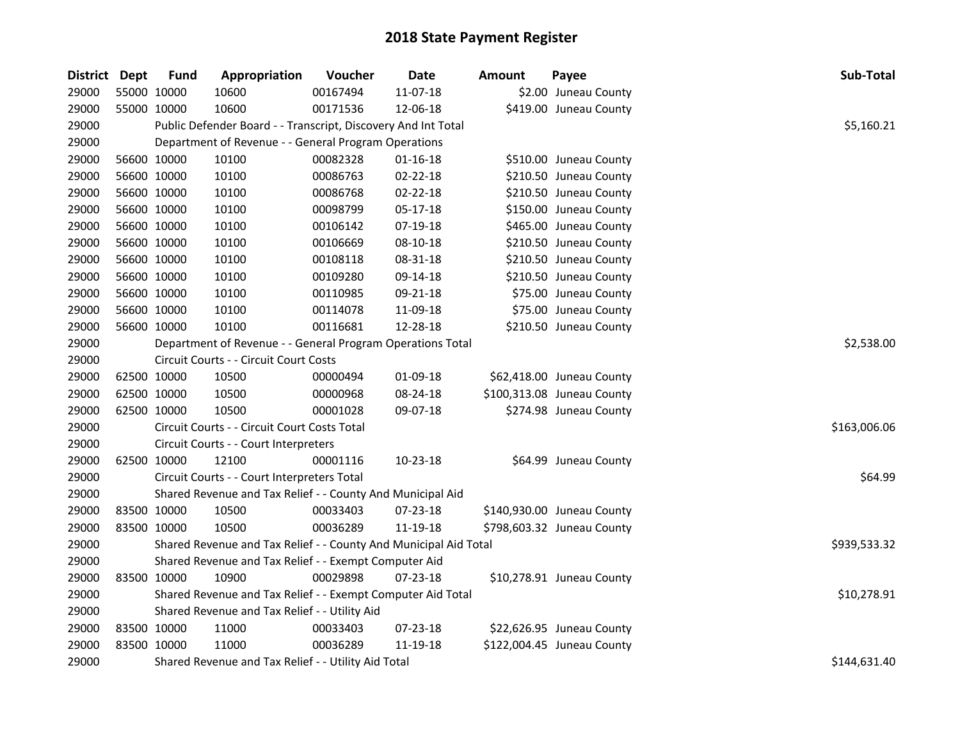| District Dept |             | <b>Fund</b> | Appropriation                                                    | Voucher    | Date           | <b>Amount</b> | Payee                      | Sub-Total    |
|---------------|-------------|-------------|------------------------------------------------------------------|------------|----------------|---------------|----------------------------|--------------|
| 29000         | 55000 10000 |             | 10600                                                            | 00167494   | 11-07-18       |               | \$2.00 Juneau County       |              |
| 29000         | 55000 10000 |             | 10600                                                            | 00171536   | 12-06-18       |               | \$419.00 Juneau County     |              |
| 29000         |             |             | Public Defender Board - - Transcript, Discovery And Int Total    |            |                |               |                            | \$5,160.21   |
| 29000         |             |             | Department of Revenue - - General Program Operations             |            |                |               |                            |              |
| 29000         | 56600 10000 |             | 10100                                                            | 00082328   | $01 - 16 - 18$ |               | \$510.00 Juneau County     |              |
| 29000         | 56600 10000 |             | 10100                                                            | 00086763   | 02-22-18       |               | \$210.50 Juneau County     |              |
| 29000         | 56600 10000 |             | 10100                                                            | 00086768   | $02 - 22 - 18$ |               | \$210.50 Juneau County     |              |
| 29000         | 56600 10000 |             | 10100                                                            | 00098799   | 05-17-18       |               | \$150.00 Juneau County     |              |
| 29000         | 56600 10000 |             | 10100                                                            | 00106142   | 07-19-18       |               | \$465.00 Juneau County     |              |
| 29000         | 56600 10000 |             | 10100                                                            | 00106669   | 08-10-18       |               | \$210.50 Juneau County     |              |
| 29000         | 56600 10000 |             | 10100                                                            | 00108118   | 08-31-18       |               | \$210.50 Juneau County     |              |
| 29000         | 56600 10000 |             | 10100                                                            | 00109280   | 09-14-18       |               | \$210.50 Juneau County     |              |
| 29000         | 56600 10000 |             | 10100                                                            | 00110985   | 09-21-18       |               | \$75.00 Juneau County      |              |
| 29000         | 56600 10000 |             | 10100                                                            | 00114078   | 11-09-18       |               | \$75.00 Juneau County      |              |
| 29000         | 56600 10000 |             | 10100                                                            | 00116681   | 12-28-18       |               | \$210.50 Juneau County     |              |
| 29000         |             |             | Department of Revenue - - General Program Operations Total       | \$2,538.00 |                |               |                            |              |
| 29000         |             |             | Circuit Courts - - Circuit Court Costs                           |            |                |               |                            |              |
| 29000         | 62500 10000 |             | 10500                                                            | 00000494   | 01-09-18       |               | \$62,418.00 Juneau County  |              |
| 29000         | 62500 10000 |             | 10500                                                            | 00000968   | 08-24-18       |               | \$100,313.08 Juneau County |              |
| 29000         | 62500 10000 |             | 10500                                                            | 00001028   | 09-07-18       |               | \$274.98 Juneau County     |              |
| 29000         |             |             | Circuit Courts - - Circuit Court Costs Total                     |            |                |               |                            | \$163,006.06 |
| 29000         |             |             | Circuit Courts - - Court Interpreters                            |            |                |               |                            |              |
| 29000         | 62500 10000 |             | 12100                                                            | 00001116   | 10-23-18       |               | \$64.99 Juneau County      |              |
| 29000         |             |             | Circuit Courts - - Court Interpreters Total                      |            |                |               |                            | \$64.99      |
| 29000         |             |             | Shared Revenue and Tax Relief - - County And Municipal Aid       |            |                |               |                            |              |
| 29000         | 83500 10000 |             | 10500                                                            | 00033403   | 07-23-18       |               | \$140,930.00 Juneau County |              |
| 29000         | 83500 10000 |             | 10500                                                            | 00036289   | 11-19-18       |               | \$798,603.32 Juneau County |              |
| 29000         |             |             | Shared Revenue and Tax Relief - - County And Municipal Aid Total |            |                |               |                            | \$939,533.32 |
| 29000         |             |             | Shared Revenue and Tax Relief - - Exempt Computer Aid            |            |                |               |                            |              |
| 29000         | 83500 10000 |             | 10900                                                            | 00029898   | 07-23-18       |               | \$10,278.91 Juneau County  |              |
| 29000         |             |             | Shared Revenue and Tax Relief - - Exempt Computer Aid Total      |            |                |               |                            | \$10,278.91  |
| 29000         |             |             | Shared Revenue and Tax Relief - - Utility Aid                    |            |                |               |                            |              |
| 29000         | 83500 10000 |             | 11000                                                            | 00033403   | 07-23-18       |               | \$22,626.95 Juneau County  |              |
| 29000         | 83500 10000 |             | 11000                                                            | 00036289   | 11-19-18       |               | \$122,004.45 Juneau County |              |
| 29000         |             |             | Shared Revenue and Tax Relief - - Utility Aid Total              |            |                |               |                            | \$144,631.40 |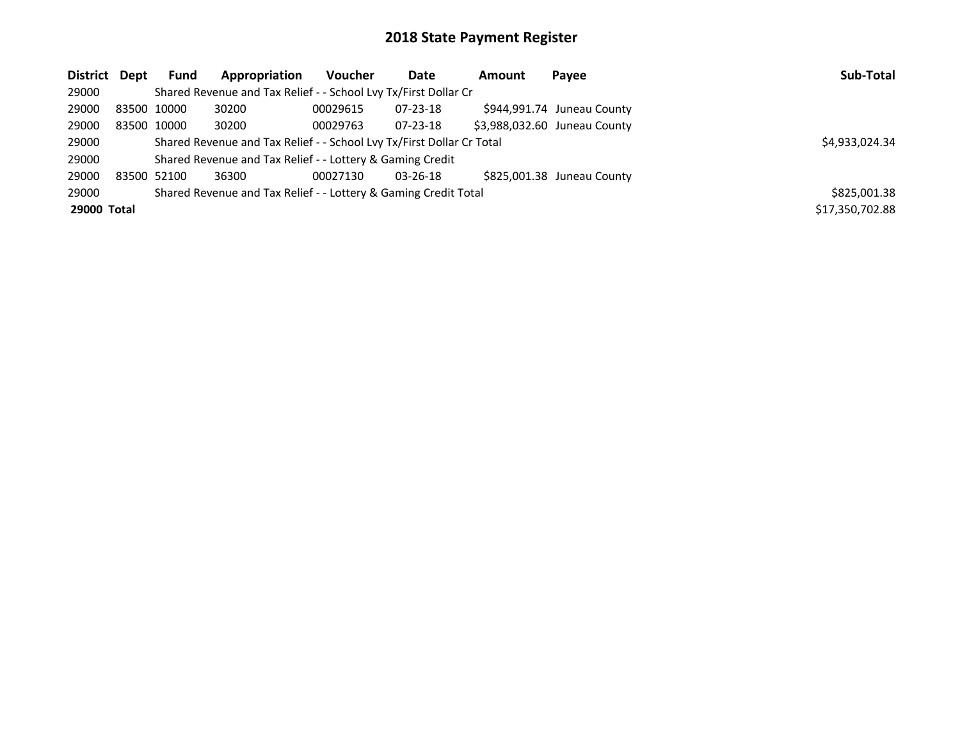| District Dept |             | <b>Fund</b> | Appropriation                                                         | Voucher  | Date           | <b>Amount</b> | Pavee                        | Sub-Total       |
|---------------|-------------|-------------|-----------------------------------------------------------------------|----------|----------------|---------------|------------------------------|-----------------|
| 29000         |             |             | Shared Revenue and Tax Relief - - School Lvy Tx/First Dollar Cr       |          |                |               |                              |                 |
| 29000         |             | 83500 10000 | 30200                                                                 | 00029615 | 07-23-18       |               | \$944,991.74 Juneau County   |                 |
| 29000         |             | 83500 10000 | 30200                                                                 | 00029763 | $07 - 23 - 18$ |               | \$3,988,032.60 Juneau County |                 |
| 29000         |             |             | Shared Revenue and Tax Relief - - School Lvy Tx/First Dollar Cr Total |          |                |               |                              | \$4,933,024.34  |
| 29000         |             |             | Shared Revenue and Tax Relief - - Lottery & Gaming Credit             |          |                |               |                              |                 |
| 29000         | 83500 52100 |             | 36300                                                                 | 00027130 | $03 - 26 - 18$ |               | \$825,001.38 Juneau County   |                 |
| 29000         |             |             | Shared Revenue and Tax Relief - - Lottery & Gaming Credit Total       |          |                |               |                              | \$825,001.38    |
| 29000 Total   |             |             |                                                                       |          |                |               |                              | \$17,350,702.88 |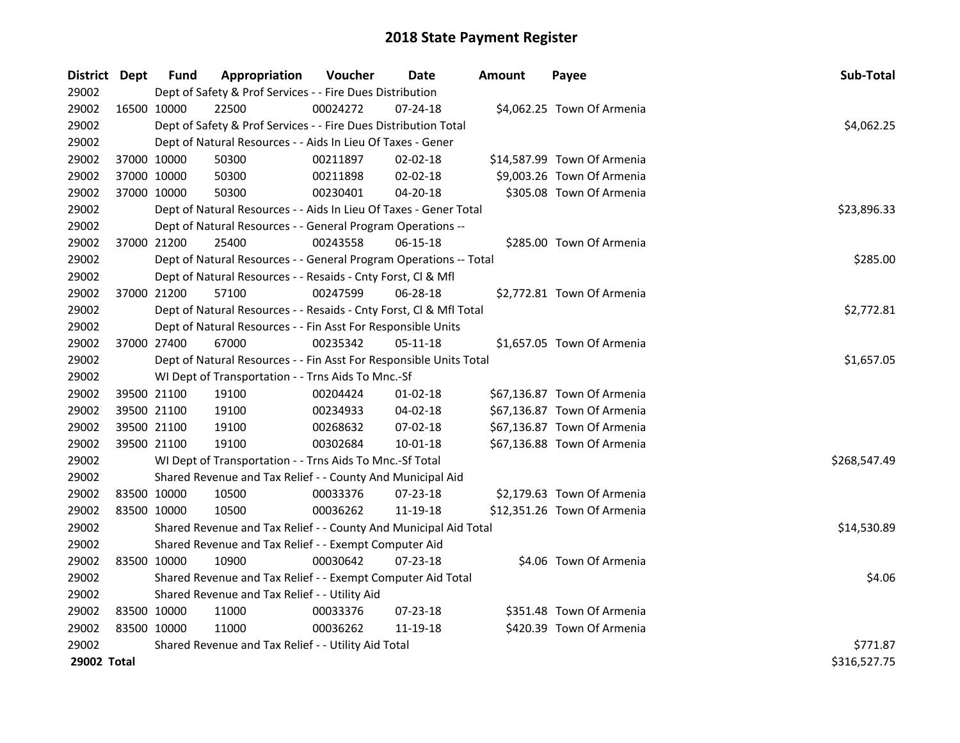| <b>District</b> | Dept        | <b>Fund</b> | Appropriation                                                      | Voucher     | <b>Date</b>    | <b>Amount</b> | Payee                       | Sub-Total    |
|-----------------|-------------|-------------|--------------------------------------------------------------------|-------------|----------------|---------------|-----------------------------|--------------|
| 29002           |             |             | Dept of Safety & Prof Services - - Fire Dues Distribution          |             |                |               |                             |              |
| 29002           | 16500 10000 |             | 22500                                                              | 00024272    | 07-24-18       |               | \$4,062.25 Town Of Armenia  |              |
| 29002           |             |             | Dept of Safety & Prof Services - - Fire Dues Distribution Total    |             |                |               |                             | \$4,062.25   |
| 29002           |             |             | Dept of Natural Resources - - Aids In Lieu Of Taxes - Gener        |             |                |               |                             |              |
| 29002           | 37000 10000 |             | 50300                                                              | 00211897    | 02-02-18       |               | \$14,587.99 Town Of Armenia |              |
| 29002           | 37000 10000 |             | 50300                                                              | 00211898    | $02 - 02 - 18$ |               | \$9,003.26 Town Of Armenia  |              |
| 29002           | 37000 10000 |             | 50300                                                              | 00230401    | 04-20-18       |               | \$305.08 Town Of Armenia    |              |
| 29002           |             |             | Dept of Natural Resources - - Aids In Lieu Of Taxes - Gener Total  | \$23,896.33 |                |               |                             |              |
| 29002           |             |             | Dept of Natural Resources - - General Program Operations --        |             |                |               |                             |              |
| 29002           |             | 37000 21200 | 25400                                                              | 00243558    | $06-15-18$     |               | \$285.00 Town Of Armenia    |              |
| 29002           |             |             | Dept of Natural Resources - - General Program Operations -- Total  |             |                |               |                             | \$285.00     |
| 29002           |             |             | Dept of Natural Resources - - Resaids - Cnty Forst, Cl & Mfl       |             |                |               |                             |              |
| 29002           | 37000 21200 |             | 57100                                                              | 00247599    | 06-28-18       |               | \$2,772.81 Town Of Armenia  |              |
| 29002           |             |             | Dept of Natural Resources - - Resaids - Cnty Forst, Cl & Mfl Total |             |                |               |                             | \$2,772.81   |
| 29002           |             |             | Dept of Natural Resources - - Fin Asst For Responsible Units       |             |                |               |                             |              |
| 29002           | 37000 27400 |             | 67000                                                              | 00235342    | 05-11-18       |               | \$1,657.05 Town Of Armenia  |              |
| 29002           |             |             | Dept of Natural Resources - - Fin Asst For Responsible Units Total | \$1,657.05  |                |               |                             |              |
| 29002           |             |             | WI Dept of Transportation - - Trns Aids To Mnc.-Sf                 |             |                |               |                             |              |
| 29002           | 39500 21100 |             | 19100                                                              | 00204424    | $01 - 02 - 18$ |               | \$67,136.87 Town Of Armenia |              |
| 29002           | 39500 21100 |             | 19100                                                              | 00234933    | 04-02-18       |               | \$67,136.87 Town Of Armenia |              |
| 29002           | 39500 21100 |             | 19100                                                              | 00268632    | 07-02-18       |               | \$67,136.87 Town Of Armenia |              |
| 29002           | 39500 21100 |             | 19100                                                              | 00302684    | $10 - 01 - 18$ |               | \$67,136.88 Town Of Armenia |              |
| 29002           |             |             | WI Dept of Transportation - - Trns Aids To Mnc.-Sf Total           |             |                |               |                             | \$268,547.49 |
| 29002           |             |             | Shared Revenue and Tax Relief - - County And Municipal Aid         |             |                |               |                             |              |
| 29002           | 83500 10000 |             | 10500                                                              | 00033376    | 07-23-18       |               | \$2,179.63 Town Of Armenia  |              |
| 29002           | 83500 10000 |             | 10500                                                              | 00036262    | 11-19-18       |               | \$12,351.26 Town Of Armenia |              |
| 29002           |             |             | Shared Revenue and Tax Relief - - County And Municipal Aid Total   |             |                |               |                             | \$14,530.89  |
| 29002           |             |             | Shared Revenue and Tax Relief - - Exempt Computer Aid              |             |                |               |                             |              |
| 29002           | 83500 10000 |             | 10900                                                              | 00030642    | $07 - 23 - 18$ |               | \$4.06 Town Of Armenia      |              |
| 29002           |             |             | Shared Revenue and Tax Relief - - Exempt Computer Aid Total        |             |                |               |                             | \$4.06       |
| 29002           |             |             | Shared Revenue and Tax Relief - - Utility Aid                      |             |                |               |                             |              |
| 29002           | 83500 10000 |             | 11000                                                              | 00033376    | $07 - 23 - 18$ |               | \$351.48 Town Of Armenia    |              |
| 29002           | 83500 10000 |             | 11000                                                              | 00036262    | 11-19-18       |               | \$420.39 Town Of Armenia    |              |
| 29002           |             |             | Shared Revenue and Tax Relief - - Utility Aid Total                |             |                |               |                             | \$771.87     |
| 29002 Total     |             |             |                                                                    |             |                |               |                             | \$316,527.75 |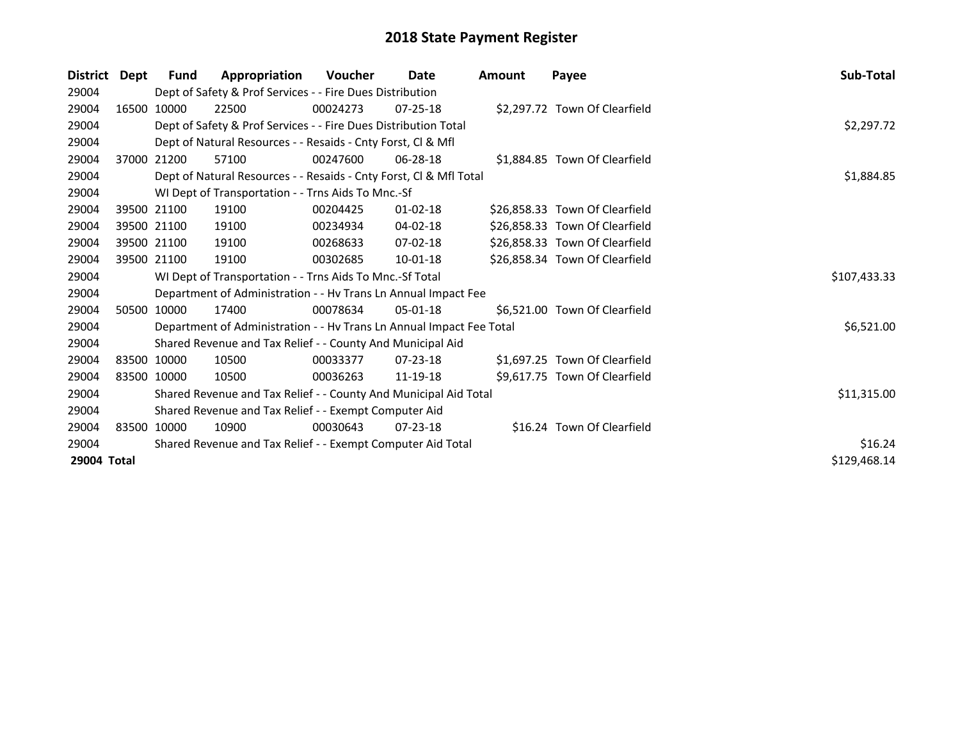| <b>District</b> | Dept | <b>Fund</b>                                                 | Appropriation                                                        | Voucher  | Date           | <b>Amount</b> | Payee                          | Sub-Total    |
|-----------------|------|-------------------------------------------------------------|----------------------------------------------------------------------|----------|----------------|---------------|--------------------------------|--------------|
| 29004           |      |                                                             | Dept of Safety & Prof Services - - Fire Dues Distribution            |          |                |               |                                |              |
| 29004           |      | 16500 10000                                                 | 22500                                                                | 00024273 | $07 - 25 - 18$ |               | \$2,297.72 Town Of Clearfield  |              |
| 29004           |      |                                                             | Dept of Safety & Prof Services - - Fire Dues Distribution Total      |          |                |               |                                | \$2,297.72   |
| 29004           |      |                                                             | Dept of Natural Resources - - Resaids - Cnty Forst, CI & Mfl         |          |                |               |                                |              |
| 29004           |      | 37000 21200                                                 | 57100                                                                | 00247600 | $06 - 28 - 18$ |               | \$1,884.85 Town Of Clearfield  |              |
| 29004           |      |                                                             | Dept of Natural Resources - - Resaids - Cnty Forst, CI & Mfl Total   |          |                |               |                                | \$1,884.85   |
| 29004           |      |                                                             | WI Dept of Transportation - - Trns Aids To Mnc.-Sf                   |          |                |               |                                |              |
| 29004           |      | 39500 21100                                                 | 19100                                                                | 00204425 | $01 - 02 - 18$ |               | \$26,858.33 Town Of Clearfield |              |
| 29004           |      | 39500 21100                                                 | 19100                                                                | 00234934 | $04 - 02 - 18$ |               | \$26,858.33 Town Of Clearfield |              |
| 29004           |      | 39500 21100                                                 | 19100                                                                | 00268633 | $07 - 02 - 18$ |               | \$26,858.33 Town Of Clearfield |              |
| 29004           |      | 39500 21100                                                 | 19100                                                                | 00302685 | 10-01-18       |               | \$26,858.34 Town Of Clearfield |              |
| 29004           |      |                                                             | WI Dept of Transportation - - Trns Aids To Mnc.-Sf Total             |          |                |               |                                | \$107,433.33 |
| 29004           |      |                                                             | Department of Administration - - Hy Trans Ln Annual Impact Fee       |          |                |               |                                |              |
| 29004           |      | 50500 10000                                                 | 17400                                                                | 00078634 | $05-01-18$     |               | \$6,521.00 Town Of Clearfield  |              |
| 29004           |      |                                                             | Department of Administration - - Hv Trans Ln Annual Impact Fee Total |          |                |               |                                | \$6,521.00   |
| 29004           |      |                                                             | Shared Revenue and Tax Relief - - County And Municipal Aid           |          |                |               |                                |              |
| 29004           |      | 83500 10000                                                 | 10500                                                                | 00033377 | $07 - 23 - 18$ |               | \$1,697.25 Town Of Clearfield  |              |
| 29004           |      | 83500 10000                                                 | 10500                                                                | 00036263 | 11-19-18       |               | \$9,617.75 Town Of Clearfield  |              |
| 29004           |      |                                                             | Shared Revenue and Tax Relief - - County And Municipal Aid Total     |          |                |               |                                | \$11,315.00  |
| 29004           |      |                                                             | Shared Revenue and Tax Relief - - Exempt Computer Aid                |          |                |               |                                |              |
| 29004           |      | 83500 10000                                                 | 10900                                                                | 00030643 | $07 - 23 - 18$ |               | \$16.24 Town Of Clearfield     |              |
| 29004           |      | Shared Revenue and Tax Relief - - Exempt Computer Aid Total |                                                                      |          |                |               |                                |              |
| 29004 Total     |      |                                                             |                                                                      |          |                |               |                                | \$129,468.14 |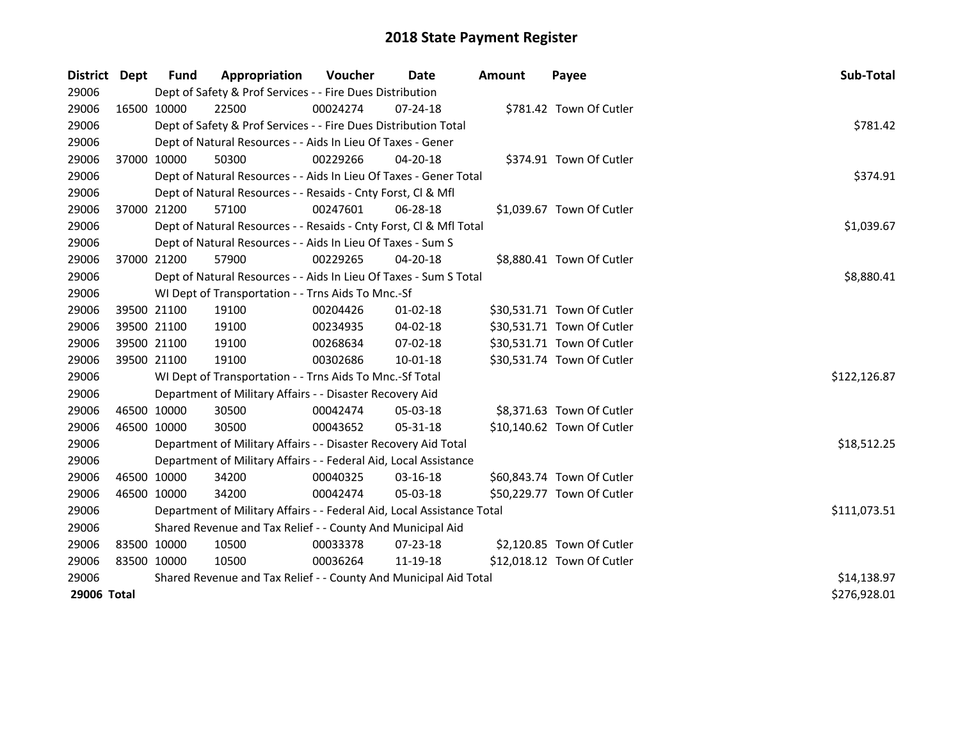| District Dept |             | <b>Fund</b> | Appropriation                                                          | Voucher      | <b>Date</b>    | Amount | Payee                      | Sub-Total    |
|---------------|-------------|-------------|------------------------------------------------------------------------|--------------|----------------|--------|----------------------------|--------------|
| 29006         |             |             | Dept of Safety & Prof Services - - Fire Dues Distribution              |              |                |        |                            |              |
| 29006         | 16500 10000 |             | 22500                                                                  | 00024274     | $07 - 24 - 18$ |        | \$781.42 Town Of Cutler    |              |
| 29006         |             |             | Dept of Safety & Prof Services - - Fire Dues Distribution Total        |              |                |        |                            | \$781.42     |
| 29006         |             |             | Dept of Natural Resources - - Aids In Lieu Of Taxes - Gener            |              |                |        |                            |              |
| 29006         | 37000 10000 |             | 50300                                                                  | 00229266     | 04-20-18       |        | \$374.91 Town Of Cutler    |              |
| 29006         |             |             | Dept of Natural Resources - - Aids In Lieu Of Taxes - Gener Total      |              |                |        |                            | \$374.91     |
| 29006         |             |             | Dept of Natural Resources - - Resaids - Cnty Forst, Cl & Mfl           |              |                |        |                            |              |
| 29006         |             | 37000 21200 | 57100                                                                  | 00247601     | 06-28-18       |        | \$1,039.67 Town Of Cutler  |              |
| 29006         |             |             | Dept of Natural Resources - - Resaids - Cnty Forst, Cl & Mfl Total     |              |                |        |                            | \$1,039.67   |
| 29006         |             |             | Dept of Natural Resources - - Aids In Lieu Of Taxes - Sum S            |              |                |        |                            |              |
| 29006         | 37000 21200 |             | 57900                                                                  | 00229265     | 04-20-18       |        | \$8,880.41 Town Of Cutler  |              |
| 29006         |             |             | Dept of Natural Resources - - Aids In Lieu Of Taxes - Sum S Total      |              |                |        |                            | \$8,880.41   |
| 29006         |             |             | WI Dept of Transportation - - Trns Aids To Mnc.-Sf                     |              |                |        |                            |              |
| 29006         |             | 39500 21100 | 19100                                                                  | 00204426     | 01-02-18       |        | \$30,531.71 Town Of Cutler |              |
| 29006         | 39500 21100 |             | 19100                                                                  | 00234935     | 04-02-18       |        | \$30,531.71 Town Of Cutler |              |
| 29006         | 39500 21100 |             | 19100                                                                  | 00268634     | 07-02-18       |        | \$30,531.71 Town Of Cutler |              |
| 29006         | 39500 21100 |             | 19100                                                                  | 00302686     | 10-01-18       |        | \$30,531.74 Town Of Cutler |              |
| 29006         |             |             | WI Dept of Transportation - - Trns Aids To Mnc.-Sf Total               |              |                |        |                            | \$122,126.87 |
| 29006         |             |             | Department of Military Affairs - - Disaster Recovery Aid               |              |                |        |                            |              |
| 29006         | 46500 10000 |             | 30500                                                                  | 00042474     | 05-03-18       |        | \$8,371.63 Town Of Cutler  |              |
| 29006         | 46500 10000 |             | 30500                                                                  | 00043652     | 05-31-18       |        | \$10,140.62 Town Of Cutler |              |
| 29006         |             |             | Department of Military Affairs - - Disaster Recovery Aid Total         |              |                |        |                            | \$18,512.25  |
| 29006         |             |             | Department of Military Affairs - - Federal Aid, Local Assistance       |              |                |        |                            |              |
| 29006         | 46500 10000 |             | 34200                                                                  | 00040325     | 03-16-18       |        | \$60,843.74 Town Of Cutler |              |
| 29006         | 46500 10000 |             | 34200                                                                  | 00042474     | 05-03-18       |        | \$50,229.77 Town Of Cutler |              |
| 29006         |             |             | Department of Military Affairs - - Federal Aid, Local Assistance Total | \$111,073.51 |                |        |                            |              |
| 29006         |             |             | Shared Revenue and Tax Relief - - County And Municipal Aid             |              |                |        |                            |              |
| 29006         | 83500 10000 |             | 10500                                                                  | 00033378     | 07-23-18       |        | \$2,120.85 Town Of Cutler  |              |
| 29006         | 83500 10000 |             | 10500                                                                  | 00036264     | 11-19-18       |        | \$12,018.12 Town Of Cutler |              |
| 29006         |             |             | Shared Revenue and Tax Relief - - County And Municipal Aid Total       |              |                |        |                            | \$14,138.97  |
| 29006 Total   |             |             |                                                                        |              |                |        |                            | \$276,928.01 |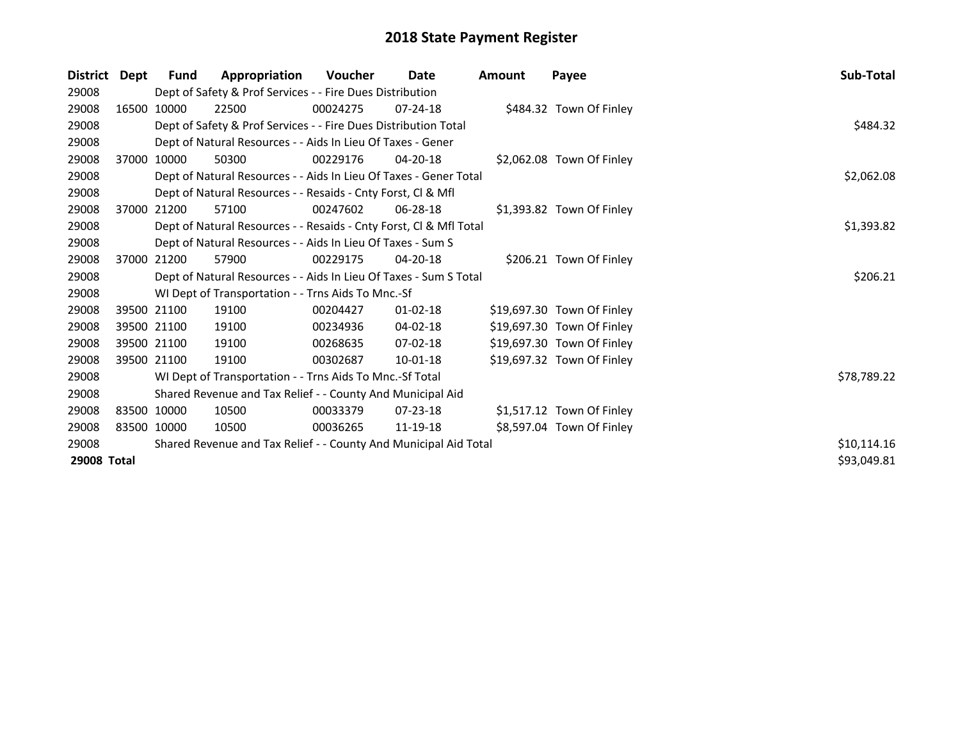| <b>District</b> | Dept | Fund        | Appropriation                                                      | <b>Voucher</b> | Date           | Amount | Payee                      | Sub-Total   |
|-----------------|------|-------------|--------------------------------------------------------------------|----------------|----------------|--------|----------------------------|-------------|
| 29008           |      |             | Dept of Safety & Prof Services - - Fire Dues Distribution          |                |                |        |                            |             |
| 29008           |      | 16500 10000 | 22500                                                              | 00024275       | $07 - 24 - 18$ |        | \$484.32 Town Of Finley    |             |
| 29008           |      |             | Dept of Safety & Prof Services - - Fire Dues Distribution Total    |                |                |        |                            | \$484.32    |
| 29008           |      |             | Dept of Natural Resources - - Aids In Lieu Of Taxes - Gener        |                |                |        |                            |             |
| 29008           |      | 37000 10000 | 50300                                                              | 00229176       | 04-20-18       |        | \$2,062.08 Town Of Finley  |             |
| 29008           |      |             | Dept of Natural Resources - - Aids In Lieu Of Taxes - Gener Total  |                |                |        |                            | \$2,062.08  |
| 29008           |      |             | Dept of Natural Resources - - Resaids - Cnty Forst, Cl & Mfl       |                |                |        |                            |             |
| 29008           |      | 37000 21200 | 57100                                                              | 00247602       | 06-28-18       |        | \$1,393.82 Town Of Finley  |             |
| 29008           |      |             | Dept of Natural Resources - - Resaids - Cnty Forst, Cl & Mfl Total |                |                |        |                            | \$1,393.82  |
| 29008           |      |             | Dept of Natural Resources - - Aids In Lieu Of Taxes - Sum S        |                |                |        |                            |             |
| 29008           |      | 37000 21200 | 57900                                                              | 00229175       | $04 - 20 - 18$ |        | \$206.21 Town Of Finley    |             |
| 29008           |      |             | Dept of Natural Resources - - Aids In Lieu Of Taxes - Sum S Total  | \$206.21       |                |        |                            |             |
| 29008           |      |             | WI Dept of Transportation - - Trns Aids To Mnc.-Sf                 |                |                |        |                            |             |
| 29008           |      | 39500 21100 | 19100                                                              | 00204427       | 01-02-18       |        | \$19,697.30 Town Of Finley |             |
| 29008           |      | 39500 21100 | 19100                                                              | 00234936       | 04-02-18       |        | \$19,697.30 Town Of Finley |             |
| 29008           |      | 39500 21100 | 19100                                                              | 00268635       | $07 - 02 - 18$ |        | \$19,697.30 Town Of Finley |             |
| 29008           |      | 39500 21100 | 19100                                                              | 00302687       | 10-01-18       |        | \$19,697.32 Town Of Finley |             |
| 29008           |      |             | WI Dept of Transportation - - Trns Aids To Mnc.-Sf Total           |                |                |        |                            | \$78,789.22 |
| 29008           |      |             | Shared Revenue and Tax Relief - - County And Municipal Aid         |                |                |        |                            |             |
| 29008           |      | 83500 10000 | 10500                                                              | 00033379       | $07 - 23 - 18$ |        | \$1,517.12 Town Of Finley  |             |
| 29008           |      | 83500 10000 | 10500                                                              | 00036265       | 11-19-18       |        | \$8,597.04 Town Of Finley  |             |
| 29008           |      |             | Shared Revenue and Tax Relief - - County And Municipal Aid Total   |                |                |        |                            | \$10,114.16 |
| 29008 Total     |      |             |                                                                    |                |                |        |                            | \$93,049.81 |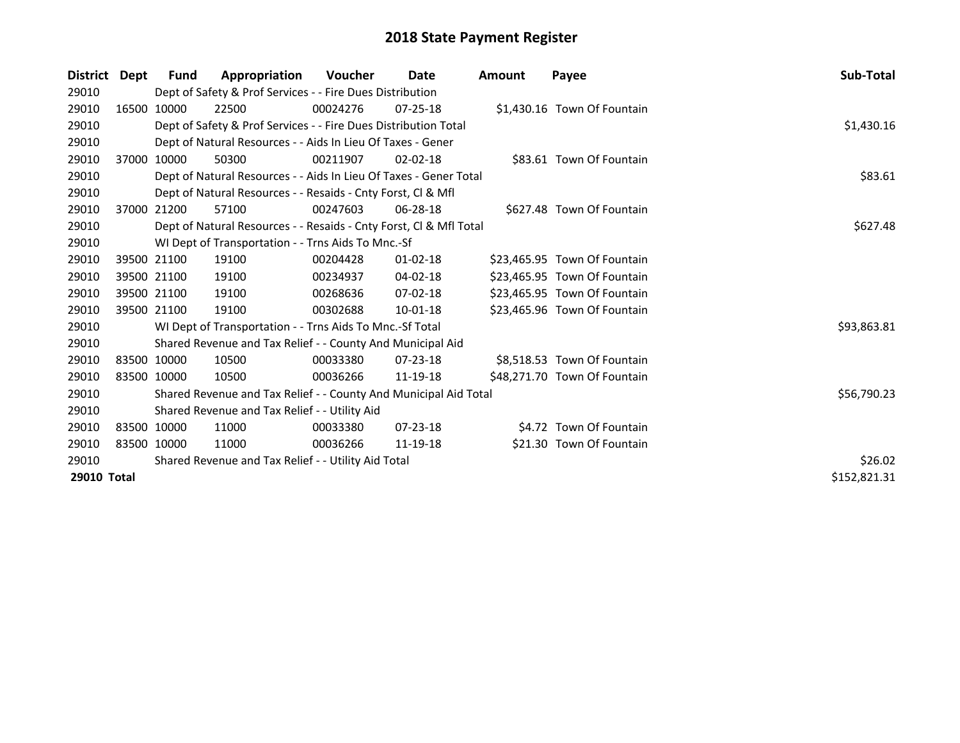| <b>District</b> | Dept | Fund                                                | Appropriation                                                      | <b>Voucher</b> | Date           | <b>Amount</b> | Payee                        | Sub-Total    |  |  |  |
|-----------------|------|-----------------------------------------------------|--------------------------------------------------------------------|----------------|----------------|---------------|------------------------------|--------------|--|--|--|
| 29010           |      |                                                     | Dept of Safety & Prof Services - - Fire Dues Distribution          |                |                |               |                              |              |  |  |  |
| 29010           |      | 16500 10000                                         | 22500                                                              | 00024276       | $07 - 25 - 18$ |               | \$1,430.16 Town Of Fountain  |              |  |  |  |
| 29010           |      |                                                     | Dept of Safety & Prof Services - - Fire Dues Distribution Total    |                |                |               |                              |              |  |  |  |
| 29010           |      |                                                     | Dept of Natural Resources - - Aids In Lieu Of Taxes - Gener        |                |                |               |                              |              |  |  |  |
| 29010           |      | 37000 10000                                         | 50300                                                              | 00211907       | $02 - 02 - 18$ |               | \$83.61 Town Of Fountain     |              |  |  |  |
| 29010           |      |                                                     | Dept of Natural Resources - - Aids In Lieu Of Taxes - Gener Total  |                |                |               |                              | \$83.61      |  |  |  |
| 29010           |      |                                                     | Dept of Natural Resources - - Resaids - Cnty Forst, CI & Mfl       |                |                |               |                              |              |  |  |  |
| 29010           |      | 37000 21200                                         | 57100                                                              | 00247603       | $06 - 28 - 18$ |               | \$627.48 Town Of Fountain    |              |  |  |  |
| 29010           |      |                                                     | Dept of Natural Resources - - Resaids - Cnty Forst, CI & Mfl Total |                |                |               |                              | \$627.48     |  |  |  |
| 29010           |      |                                                     | WI Dept of Transportation - - Trns Aids To Mnc.-Sf                 |                |                |               |                              |              |  |  |  |
| 29010           |      | 39500 21100                                         | 19100                                                              | 00204428       | 01-02-18       |               | \$23,465.95 Town Of Fountain |              |  |  |  |
| 29010           |      | 39500 21100                                         | 19100                                                              | 00234937       | 04-02-18       |               | \$23,465.95 Town Of Fountain |              |  |  |  |
| 29010           |      | 39500 21100                                         | 19100                                                              | 00268636       | $07-02-18$     |               | \$23,465.95 Town Of Fountain |              |  |  |  |
| 29010           |      | 39500 21100                                         | 19100                                                              | 00302688       | 10-01-18       |               | \$23,465.96 Town Of Fountain |              |  |  |  |
| 29010           |      |                                                     | WI Dept of Transportation - - Trns Aids To Mnc.-Sf Total           |                |                |               |                              | \$93,863.81  |  |  |  |
| 29010           |      |                                                     | Shared Revenue and Tax Relief - - County And Municipal Aid         |                |                |               |                              |              |  |  |  |
| 29010           |      | 83500 10000                                         | 10500                                                              | 00033380       | $07 - 23 - 18$ |               | \$8,518.53 Town Of Fountain  |              |  |  |  |
| 29010           |      | 83500 10000                                         | 10500                                                              | 00036266       | 11-19-18       |               | \$48,271.70 Town Of Fountain |              |  |  |  |
| 29010           |      |                                                     | Shared Revenue and Tax Relief - - County And Municipal Aid Total   |                |                |               |                              | \$56,790.23  |  |  |  |
| 29010           |      |                                                     | Shared Revenue and Tax Relief - - Utility Aid                      |                |                |               |                              |              |  |  |  |
| 29010           |      | 83500 10000                                         | 11000                                                              | 00033380       | $07 - 23 - 18$ |               | \$4.72 Town Of Fountain      |              |  |  |  |
| 29010           |      | 83500 10000                                         | 11000                                                              | 00036266       | 11-19-18       |               | \$21.30 Town Of Fountain     |              |  |  |  |
| 29010           |      | Shared Revenue and Tax Relief - - Utility Aid Total | \$26.02                                                            |                |                |               |                              |              |  |  |  |
| 29010 Total     |      |                                                     |                                                                    |                |                |               |                              | \$152,821.31 |  |  |  |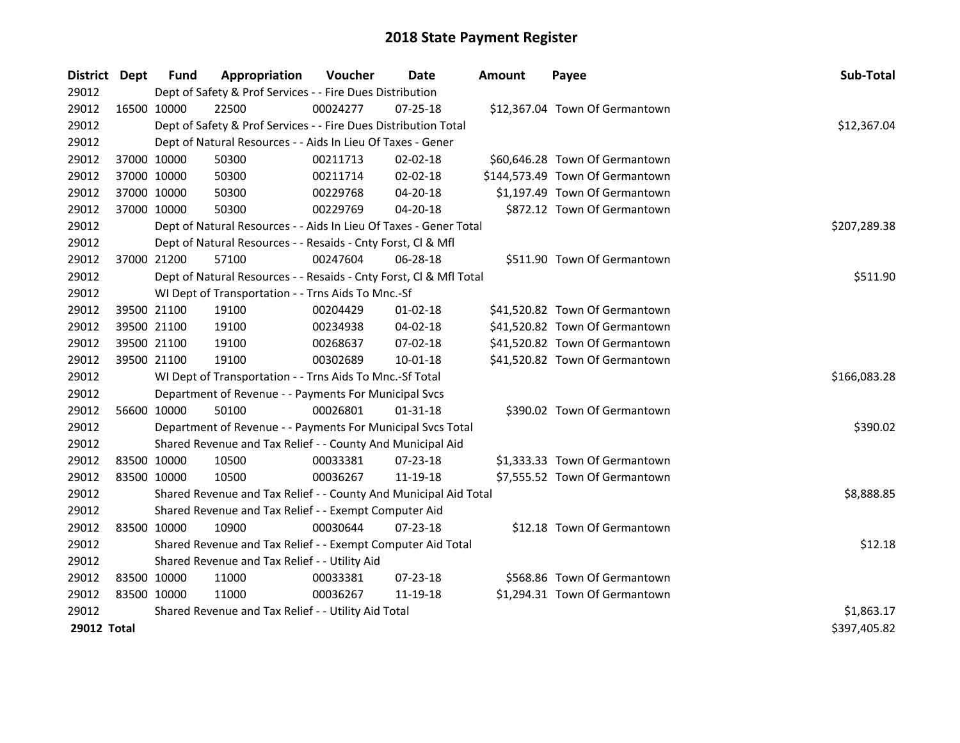| District Dept      |             | <b>Fund</b>                                   | Appropriation                                                      | Voucher  | Date           | <b>Amount</b> | Payee                           | Sub-Total    |  |  |
|--------------------|-------------|-----------------------------------------------|--------------------------------------------------------------------|----------|----------------|---------------|---------------------------------|--------------|--|--|
| 29012              |             |                                               | Dept of Safety & Prof Services - - Fire Dues Distribution          |          |                |               |                                 |              |  |  |
| 29012              |             | 16500 10000                                   | 22500                                                              | 00024277 | $07 - 25 - 18$ |               | \$12,367.04 Town Of Germantown  |              |  |  |
| 29012              |             |                                               | Dept of Safety & Prof Services - - Fire Dues Distribution Total    |          |                |               |                                 | \$12,367.04  |  |  |
| 29012              |             |                                               | Dept of Natural Resources - - Aids In Lieu Of Taxes - Gener        |          |                |               |                                 |              |  |  |
| 29012              |             | 37000 10000                                   | 50300                                                              | 00211713 | 02-02-18       |               | \$60,646.28 Town Of Germantown  |              |  |  |
| 29012              |             | 37000 10000                                   | 50300                                                              | 00211714 | 02-02-18       |               | \$144,573.49 Town Of Germantown |              |  |  |
| 29012              |             | 37000 10000                                   | 50300                                                              | 00229768 | 04-20-18       |               | \$1,197.49 Town Of Germantown   |              |  |  |
| 29012              | 37000 10000 |                                               | 50300                                                              | 00229769 | 04-20-18       |               | \$872.12 Town Of Germantown     |              |  |  |
| 29012              |             |                                               | Dept of Natural Resources - - Aids In Lieu Of Taxes - Gener Total  |          |                |               |                                 | \$207,289.38 |  |  |
| 29012              |             |                                               | Dept of Natural Resources - - Resaids - Cnty Forst, Cl & Mfl       |          |                |               |                                 |              |  |  |
| 29012              |             | 37000 21200                                   | 57100                                                              | 00247604 | 06-28-18       |               | \$511.90 Town Of Germantown     |              |  |  |
| 29012              |             |                                               | Dept of Natural Resources - - Resaids - Cnty Forst, Cl & Mfl Total |          |                |               |                                 | \$511.90     |  |  |
| 29012              |             |                                               | WI Dept of Transportation - - Trns Aids To Mnc.-Sf                 |          |                |               |                                 |              |  |  |
| 29012              |             | 39500 21100                                   | 19100                                                              | 00204429 | 01-02-18       |               | \$41,520.82 Town Of Germantown  |              |  |  |
| 29012              |             | 39500 21100                                   | 19100                                                              | 00234938 | 04-02-18       |               | \$41,520.82 Town Of Germantown  |              |  |  |
| 29012              |             | 39500 21100                                   | 19100                                                              | 00268637 | 07-02-18       |               | \$41,520.82 Town Of Germantown  |              |  |  |
| 29012              |             | 39500 21100                                   | 19100                                                              | 00302689 | 10-01-18       |               | \$41,520.82 Town Of Germantown  |              |  |  |
| 29012              |             |                                               | WI Dept of Transportation - - Trns Aids To Mnc.-Sf Total           |          |                |               |                                 | \$166,083.28 |  |  |
| 29012              |             |                                               | Department of Revenue - - Payments For Municipal Svcs              |          |                |               |                                 |              |  |  |
| 29012              |             | 56600 10000                                   | 50100                                                              | 00026801 | $01 - 31 - 18$ |               | \$390.02 Town Of Germantown     |              |  |  |
| 29012              |             |                                               | Department of Revenue - - Payments For Municipal Svcs Total        |          |                |               |                                 | \$390.02     |  |  |
| 29012              |             |                                               | Shared Revenue and Tax Relief - - County And Municipal Aid         |          |                |               |                                 |              |  |  |
| 29012              |             | 83500 10000                                   | 10500                                                              | 00033381 | $07 - 23 - 18$ |               | \$1,333.33 Town Of Germantown   |              |  |  |
| 29012              |             | 83500 10000                                   | 10500                                                              | 00036267 | 11-19-18       |               | \$7,555.52 Town Of Germantown   |              |  |  |
| 29012              |             |                                               | Shared Revenue and Tax Relief - - County And Municipal Aid Total   |          |                |               |                                 | \$8,888.85   |  |  |
| 29012              |             |                                               | Shared Revenue and Tax Relief - - Exempt Computer Aid              |          |                |               |                                 |              |  |  |
| 29012              |             | 83500 10000                                   | 10900                                                              | 00030644 | 07-23-18       |               | \$12.18 Town Of Germantown      |              |  |  |
| 29012              |             |                                               | Shared Revenue and Tax Relief - - Exempt Computer Aid Total        |          |                |               |                                 | \$12.18      |  |  |
| 29012              |             | Shared Revenue and Tax Relief - - Utility Aid |                                                                    |          |                |               |                                 |              |  |  |
| 29012              |             | 83500 10000                                   | 11000                                                              | 00033381 | 07-23-18       |               | \$568.86 Town Of Germantown     |              |  |  |
| 29012              | 83500 10000 |                                               | 11000                                                              | 00036267 | 11-19-18       |               | \$1,294.31 Town Of Germantown   |              |  |  |
| 29012              |             |                                               | Shared Revenue and Tax Relief - - Utility Aid Total                |          |                |               |                                 | \$1,863.17   |  |  |
| <b>29012 Total</b> |             |                                               |                                                                    |          |                |               |                                 | \$397,405.82 |  |  |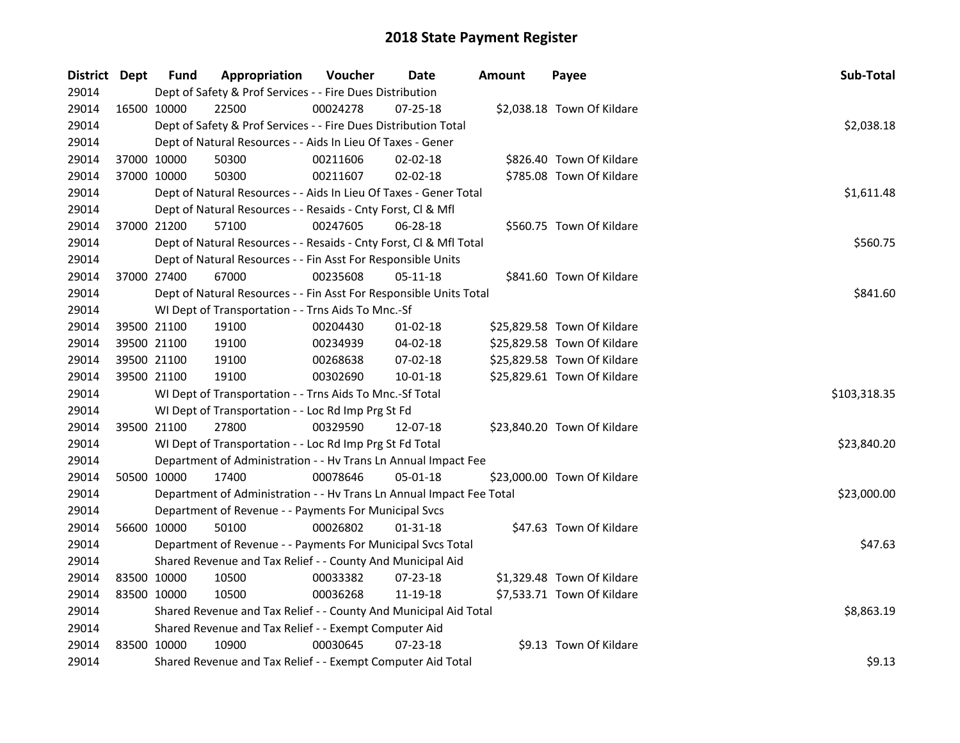| District Dept | <b>Fund</b>                                                | Appropriation                                                        | Voucher  | Date           | <b>Amount</b> | Payee                       | Sub-Total    |
|---------------|------------------------------------------------------------|----------------------------------------------------------------------|----------|----------------|---------------|-----------------------------|--------------|
| 29014         |                                                            | Dept of Safety & Prof Services - - Fire Dues Distribution            |          |                |               |                             |              |
| 29014         | 16500 10000                                                | 22500                                                                | 00024278 | $07 - 25 - 18$ |               | \$2,038.18 Town Of Kildare  |              |
| 29014         |                                                            | Dept of Safety & Prof Services - - Fire Dues Distribution Total      |          |                |               |                             | \$2,038.18   |
| 29014         |                                                            | Dept of Natural Resources - - Aids In Lieu Of Taxes - Gener          |          |                |               |                             |              |
| 29014         | 37000 10000                                                | 50300                                                                | 00211606 | 02-02-18       |               | \$826.40 Town Of Kildare    |              |
| 29014         | 37000 10000                                                | 50300                                                                | 00211607 | $02 - 02 - 18$ |               | \$785.08 Town Of Kildare    |              |
| 29014         |                                                            | Dept of Natural Resources - - Aids In Lieu Of Taxes - Gener Total    |          |                |               |                             | \$1,611.48   |
| 29014         |                                                            | Dept of Natural Resources - - Resaids - Cnty Forst, Cl & Mfl         |          |                |               |                             |              |
| 29014         | 37000 21200                                                | 57100                                                                | 00247605 | 06-28-18       |               | \$560.75 Town Of Kildare    |              |
| 29014         |                                                            | Dept of Natural Resources - - Resaids - Cnty Forst, Cl & Mfl Total   |          |                |               |                             | \$560.75     |
| 29014         |                                                            | Dept of Natural Resources - - Fin Asst For Responsible Units         |          |                |               |                             |              |
| 29014         | 37000 27400                                                | 67000                                                                | 00235608 | 05-11-18       |               | \$841.60 Town Of Kildare    |              |
| 29014         |                                                            | Dept of Natural Resources - - Fin Asst For Responsible Units Total   |          |                |               |                             | \$841.60     |
| 29014         |                                                            | WI Dept of Transportation - - Trns Aids To Mnc.-Sf                   |          |                |               |                             |              |
| 29014         | 39500 21100                                                | 19100                                                                | 00204430 | $01 - 02 - 18$ |               | \$25,829.58 Town Of Kildare |              |
| 29014         | 39500 21100                                                | 19100                                                                | 00234939 | 04-02-18       |               | \$25,829.58 Town Of Kildare |              |
| 29014         | 39500 21100                                                | 19100                                                                | 00268638 | 07-02-18       |               | \$25,829.58 Town Of Kildare |              |
| 29014         | 39500 21100                                                | 19100                                                                | 00302690 | $10 - 01 - 18$ |               | \$25,829.61 Town Of Kildare |              |
| 29014         |                                                            | WI Dept of Transportation - - Trns Aids To Mnc.-Sf Total             |          |                |               |                             | \$103,318.35 |
| 29014         |                                                            | WI Dept of Transportation - - Loc Rd Imp Prg St Fd                   |          |                |               |                             |              |
| 29014         | 39500 21100                                                | 27800                                                                | 00329590 | 12-07-18       |               | \$23,840.20 Town Of Kildare |              |
| 29014         |                                                            | WI Dept of Transportation - - Loc Rd Imp Prg St Fd Total             |          |                |               |                             | \$23,840.20  |
| 29014         |                                                            | Department of Administration - - Hv Trans Ln Annual Impact Fee       |          |                |               |                             |              |
| 29014         | 50500 10000                                                | 17400                                                                | 00078646 | 05-01-18       |               | \$23,000.00 Town Of Kildare |              |
| 29014         |                                                            | Department of Administration - - Hv Trans Ln Annual Impact Fee Total |          |                |               |                             | \$23,000.00  |
| 29014         |                                                            | Department of Revenue - - Payments For Municipal Svcs                |          |                |               |                             |              |
| 29014         | 56600 10000                                                | 50100                                                                | 00026802 | $01 - 31 - 18$ |               | \$47.63 Town Of Kildare     |              |
| 29014         |                                                            | Department of Revenue - - Payments For Municipal Svcs Total          |          |                |               |                             | \$47.63      |
| 29014         | Shared Revenue and Tax Relief - - County And Municipal Aid |                                                                      |          |                |               |                             |              |
| 29014         | 83500 10000                                                | 10500                                                                | 00033382 | 07-23-18       |               | \$1,329.48 Town Of Kildare  |              |
| 29014         | 83500 10000                                                | 10500                                                                | 00036268 | 11-19-18       |               | \$7,533.71 Town Of Kildare  |              |
| 29014         |                                                            | Shared Revenue and Tax Relief - - County And Municipal Aid Total     |          |                |               |                             | \$8,863.19   |
| 29014         |                                                            | Shared Revenue and Tax Relief - - Exempt Computer Aid                |          |                |               |                             |              |
| 29014         | 83500 10000                                                | 10900                                                                | 00030645 | $07 - 23 - 18$ |               | \$9.13 Town Of Kildare      |              |
| 29014         |                                                            | Shared Revenue and Tax Relief - - Exempt Computer Aid Total          |          |                |               |                             | \$9.13       |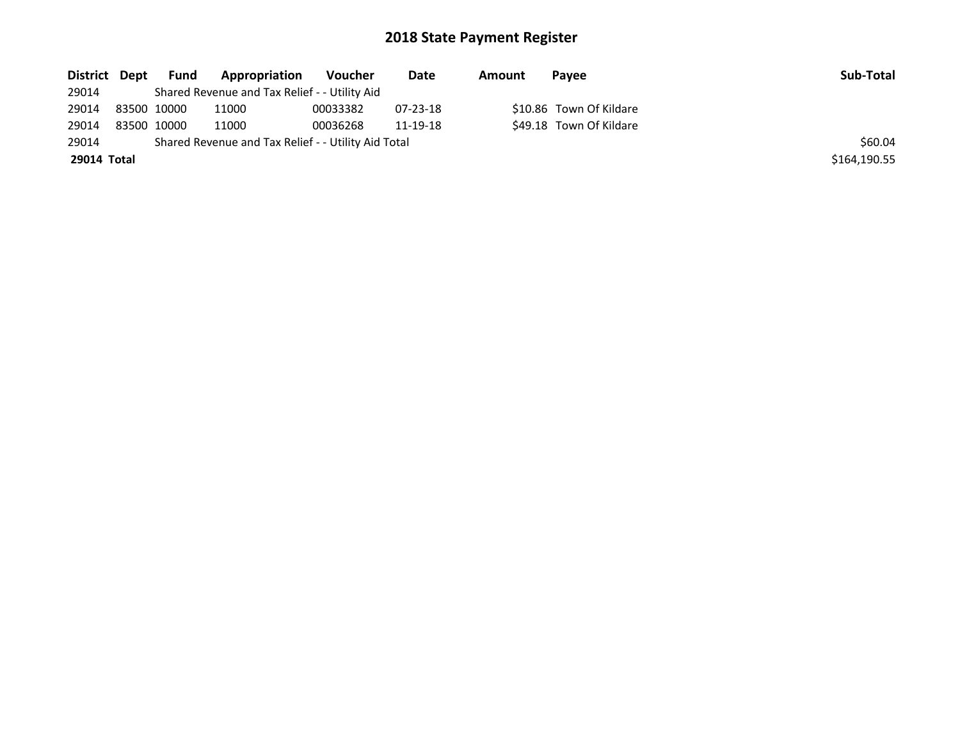| District Dept |             | <b>Fund</b> | Appropriation                                       | Voucher  | Date           | Amount | Pavee                   | Sub-Total    |
|---------------|-------------|-------------|-----------------------------------------------------|----------|----------------|--------|-------------------------|--------------|
| 29014         |             |             | Shared Revenue and Tax Relief - - Utility Aid       |          |                |        |                         |              |
| 29014         | 83500 10000 |             | 11000                                               | 00033382 | $07 - 23 - 18$ |        | \$10.86 Town Of Kildare |              |
| 29014         | 83500 10000 |             | 11000                                               | 00036268 | 11-19-18       |        | \$49.18 Town Of Kildare |              |
| 29014         |             |             | Shared Revenue and Tax Relief - - Utility Aid Total |          |                |        |                         | \$60.04      |
| 29014 Total   |             |             |                                                     |          |                |        |                         | \$164,190.55 |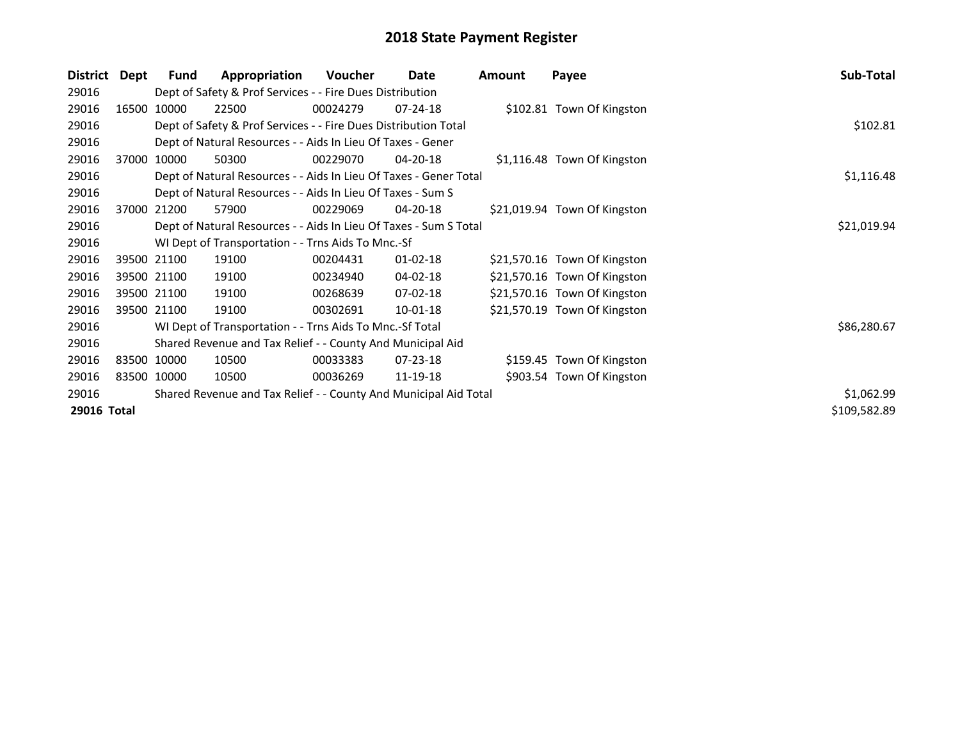| District    | Dept  | Fund        | Appropriation                                                     | Voucher     | Date           | Amount | Payee                        | Sub-Total    |
|-------------|-------|-------------|-------------------------------------------------------------------|-------------|----------------|--------|------------------------------|--------------|
| 29016       |       |             | Dept of Safety & Prof Services - - Fire Dues Distribution         |             |                |        |                              |              |
| 29016       | 16500 | 10000       | 22500                                                             | 00024279    | $07 - 24 - 18$ |        | \$102.81 Town Of Kingston    |              |
| 29016       |       |             | Dept of Safety & Prof Services - - Fire Dues Distribution Total   |             |                |        |                              | \$102.81     |
| 29016       |       |             | Dept of Natural Resources - - Aids In Lieu Of Taxes - Gener       |             |                |        |                              |              |
| 29016       | 37000 | 10000       | 50300                                                             | 00229070    | 04-20-18       |        | \$1,116.48 Town Of Kingston  |              |
| 29016       |       |             | Dept of Natural Resources - - Aids In Lieu Of Taxes - Gener Total |             |                |        |                              | \$1,116.48   |
| 29016       |       |             | Dept of Natural Resources - - Aids In Lieu Of Taxes - Sum S       |             |                |        |                              |              |
| 29016       |       | 37000 21200 | 57900                                                             | 00229069    | 04-20-18       |        | \$21,019.94 Town Of Kingston |              |
| 29016       |       |             | Dept of Natural Resources - - Aids In Lieu Of Taxes - Sum S Total | \$21,019.94 |                |        |                              |              |
| 29016       |       |             | WI Dept of Transportation - - Trns Aids To Mnc.-Sf                |             |                |        |                              |              |
| 29016       |       | 39500 21100 | 19100                                                             | 00204431    | $01 - 02 - 18$ |        | \$21,570.16 Town Of Kingston |              |
| 29016       |       | 39500 21100 | 19100                                                             | 00234940    | 04-02-18       |        | \$21,570.16 Town Of Kingston |              |
| 29016       |       | 39500 21100 | 19100                                                             | 00268639    | 07-02-18       |        | \$21,570.16 Town Of Kingston |              |
| 29016       |       | 39500 21100 | 19100                                                             | 00302691    | 10-01-18       |        | \$21,570.19 Town Of Kingston |              |
| 29016       |       |             | WI Dept of Transportation - - Trns Aids To Mnc.-Sf Total          |             |                |        |                              | \$86,280.67  |
| 29016       |       |             | Shared Revenue and Tax Relief - - County And Municipal Aid        |             |                |        |                              |              |
| 29016       |       | 83500 10000 | 10500                                                             | 00033383    | 07-23-18       |        | \$159.45 Town Of Kingston    |              |
| 29016       |       | 83500 10000 | 10500                                                             | 00036269    | 11-19-18       |        | \$903.54 Town Of Kingston    |              |
| 29016       |       |             | Shared Revenue and Tax Relief - - County And Municipal Aid Total  |             |                |        |                              | \$1,062.99   |
| 29016 Total |       |             |                                                                   |             |                |        |                              | \$109,582.89 |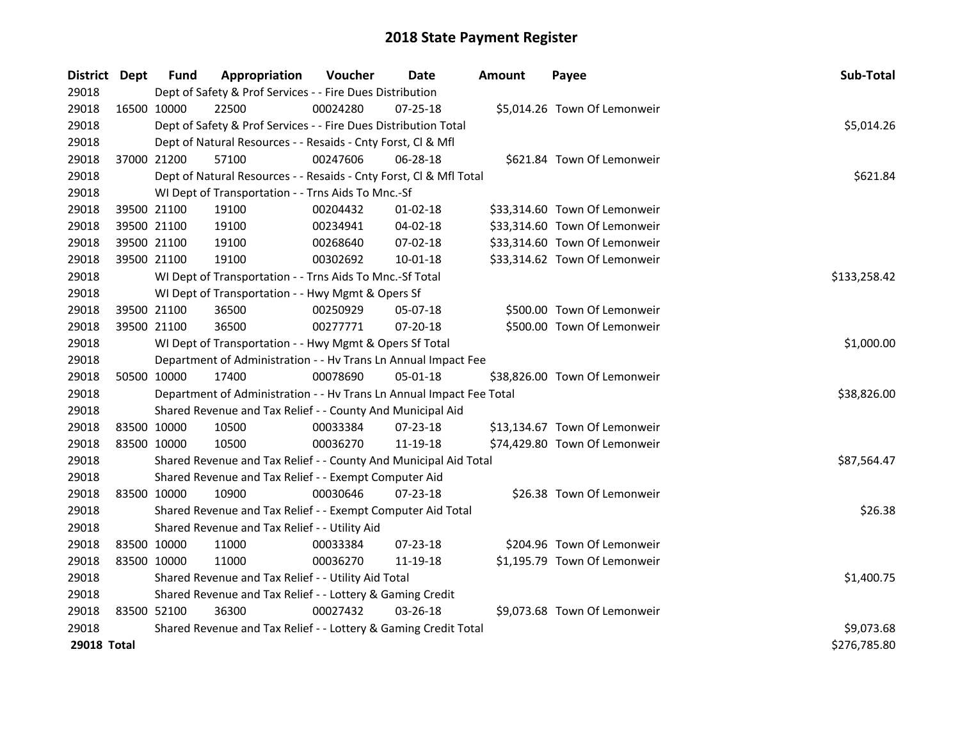| District Dept      | <b>Fund</b> | Appropriation                                                        | Voucher    | Date           | <b>Amount</b> | Payee                         | Sub-Total    |
|--------------------|-------------|----------------------------------------------------------------------|------------|----------------|---------------|-------------------------------|--------------|
| 29018              |             | Dept of Safety & Prof Services - - Fire Dues Distribution            |            |                |               |                               |              |
| 29018              | 16500 10000 | 22500                                                                | 00024280   | 07-25-18       |               | \$5,014.26 Town Of Lemonweir  |              |
| 29018              |             | Dept of Safety & Prof Services - - Fire Dues Distribution Total      |            |                |               |                               | \$5,014.26   |
| 29018              |             | Dept of Natural Resources - - Resaids - Cnty Forst, Cl & Mfl         |            |                |               |                               |              |
| 29018              | 37000 21200 | 57100                                                                | 00247606   | 06-28-18       |               | \$621.84 Town Of Lemonweir    |              |
| 29018              |             | Dept of Natural Resources - - Resaids - Cnty Forst, Cl & Mfl Total   |            |                |               |                               | \$621.84     |
| 29018              |             | WI Dept of Transportation - - Trns Aids To Mnc.-Sf                   |            |                |               |                               |              |
| 29018              | 39500 21100 | 19100                                                                | 00204432   | $01 - 02 - 18$ |               | \$33,314.60 Town Of Lemonweir |              |
| 29018              | 39500 21100 | 19100                                                                | 00234941   | 04-02-18       |               | \$33,314.60 Town Of Lemonweir |              |
| 29018              | 39500 21100 | 19100                                                                | 00268640   | 07-02-18       |               | \$33,314.60 Town Of Lemonweir |              |
| 29018              | 39500 21100 | 19100                                                                | 00302692   | 10-01-18       |               | \$33,314.62 Town Of Lemonweir |              |
| 29018              |             | WI Dept of Transportation - - Trns Aids To Mnc.-Sf Total             |            | \$133,258.42   |               |                               |              |
| 29018              |             | WI Dept of Transportation - - Hwy Mgmt & Opers Sf                    |            |                |               |                               |              |
| 29018              | 39500 21100 | 36500                                                                | 00250929   | 05-07-18       |               | \$500.00 Town Of Lemonweir    |              |
| 29018              | 39500 21100 | 36500                                                                | 00277771   | 07-20-18       |               | \$500.00 Town Of Lemonweir    |              |
| 29018              |             | WI Dept of Transportation - - Hwy Mgmt & Opers Sf Total              | \$1,000.00 |                |               |                               |              |
| 29018              |             | Department of Administration - - Hv Trans Ln Annual Impact Fee       |            |                |               |                               |              |
| 29018              | 50500 10000 | 17400                                                                | 00078690   | $05 - 01 - 18$ |               | \$38,826.00 Town Of Lemonweir |              |
| 29018              |             | Department of Administration - - Hv Trans Ln Annual Impact Fee Total |            |                |               |                               | \$38,826.00  |
| 29018              |             | Shared Revenue and Tax Relief - - County And Municipal Aid           |            |                |               |                               |              |
| 29018              | 83500 10000 | 10500                                                                | 00033384   | 07-23-18       |               | \$13,134.67 Town Of Lemonweir |              |
| 29018              | 83500 10000 | 10500                                                                | 00036270   | 11-19-18       |               | \$74,429.80 Town Of Lemonweir |              |
| 29018              |             | Shared Revenue and Tax Relief - - County And Municipal Aid Total     |            |                |               |                               | \$87,564.47  |
| 29018              |             | Shared Revenue and Tax Relief - - Exempt Computer Aid                |            |                |               |                               |              |
| 29018              | 83500 10000 | 10900                                                                | 00030646   | 07-23-18       |               | \$26.38 Town Of Lemonweir     |              |
| 29018              |             | Shared Revenue and Tax Relief - - Exempt Computer Aid Total          |            |                |               |                               | \$26.38      |
| 29018              |             | Shared Revenue and Tax Relief - - Utility Aid                        |            |                |               |                               |              |
| 29018              | 83500 10000 | 11000                                                                | 00033384   | 07-23-18       |               | \$204.96 Town Of Lemonweir    |              |
| 29018              | 83500 10000 | 11000                                                                | 00036270   | 11-19-18       |               | \$1,195.79 Town Of Lemonweir  |              |
| 29018              |             | Shared Revenue and Tax Relief - - Utility Aid Total                  |            |                |               |                               | \$1,400.75   |
| 29018              |             | Shared Revenue and Tax Relief - - Lottery & Gaming Credit            |            |                |               |                               |              |
| 29018              | 83500 52100 | 36300                                                                | 00027432   | 03-26-18       |               | \$9,073.68 Town Of Lemonweir  |              |
| 29018              |             | Shared Revenue and Tax Relief - - Lottery & Gaming Credit Total      |            |                |               |                               | \$9,073.68   |
| <b>29018 Total</b> |             |                                                                      |            |                |               |                               | \$276,785.80 |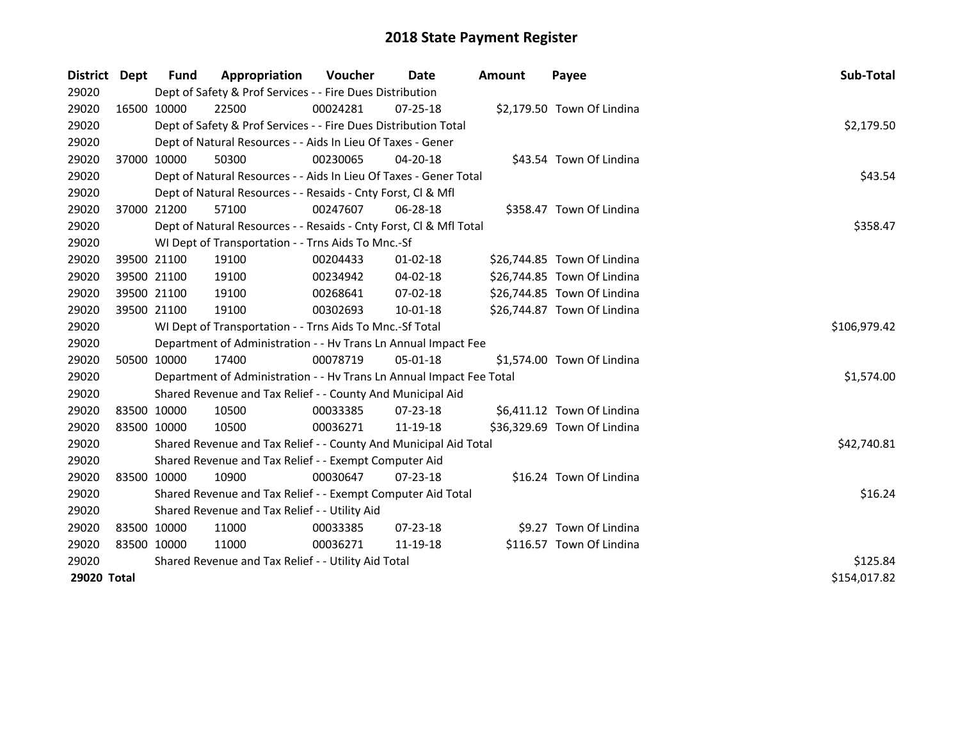| District    | Dept | Fund        | Appropriation                                                        | <b>Voucher</b> | Date           | <b>Amount</b> | Payee                       | Sub-Total    |
|-------------|------|-------------|----------------------------------------------------------------------|----------------|----------------|---------------|-----------------------------|--------------|
| 29020       |      |             | Dept of Safety & Prof Services - - Fire Dues Distribution            |                |                |               |                             |              |
| 29020       |      | 16500 10000 | 22500                                                                | 00024281       | 07-25-18       |               | \$2,179.50 Town Of Lindina  |              |
| 29020       |      |             | Dept of Safety & Prof Services - - Fire Dues Distribution Total      |                |                |               |                             | \$2,179.50   |
| 29020       |      |             | Dept of Natural Resources - - Aids In Lieu Of Taxes - Gener          |                |                |               |                             |              |
| 29020       |      | 37000 10000 | 50300                                                                | 00230065       | $04 - 20 - 18$ |               | \$43.54 Town Of Lindina     |              |
| 29020       |      |             | Dept of Natural Resources - - Aids In Lieu Of Taxes - Gener Total    |                |                |               |                             | \$43.54      |
| 29020       |      |             | Dept of Natural Resources - - Resaids - Cnty Forst, Cl & Mfl         |                |                |               |                             |              |
| 29020       |      | 37000 21200 | 57100                                                                | 00247607       | 06-28-18       |               | \$358.47 Town Of Lindina    |              |
| 29020       |      |             | Dept of Natural Resources - - Resaids - Cnty Forst, Cl & Mfl Total   | \$358.47       |                |               |                             |              |
| 29020       |      |             | WI Dept of Transportation - - Trns Aids To Mnc.-Sf                   |                |                |               |                             |              |
| 29020       |      | 39500 21100 | 19100                                                                | 00204433       | $01 - 02 - 18$ |               | \$26,744.85 Town Of Lindina |              |
| 29020       |      | 39500 21100 | 19100                                                                | 00234942       | 04-02-18       |               | \$26,744.85 Town Of Lindina |              |
| 29020       |      | 39500 21100 | 19100                                                                | 00268641       | 07-02-18       |               | \$26,744.85 Town Of Lindina |              |
| 29020       |      | 39500 21100 | 19100                                                                | 00302693       | 10-01-18       |               | \$26,744.87 Town Of Lindina |              |
| 29020       |      |             | WI Dept of Transportation - - Trns Aids To Mnc.-Sf Total             |                |                |               |                             | \$106,979.42 |
| 29020       |      |             | Department of Administration - - Hv Trans Ln Annual Impact Fee       |                |                |               |                             |              |
| 29020       |      | 50500 10000 | 17400                                                                | 00078719       | 05-01-18       |               | \$1,574.00 Town Of Lindina  |              |
| 29020       |      |             | Department of Administration - - Hv Trans Ln Annual Impact Fee Total |                |                |               |                             | \$1,574.00   |
| 29020       |      |             | Shared Revenue and Tax Relief - - County And Municipal Aid           |                |                |               |                             |              |
| 29020       |      | 83500 10000 | 10500                                                                | 00033385       | $07 - 23 - 18$ |               | \$6,411.12 Town Of Lindina  |              |
| 29020       |      | 83500 10000 | 10500                                                                | 00036271       | 11-19-18       |               | \$36,329.69 Town Of Lindina |              |
| 29020       |      |             | Shared Revenue and Tax Relief - - County And Municipal Aid Total     |                |                |               |                             | \$42,740.81  |
| 29020       |      |             | Shared Revenue and Tax Relief - - Exempt Computer Aid                |                |                |               |                             |              |
| 29020       |      | 83500 10000 | 10900                                                                | 00030647       | $07 - 23 - 18$ |               | \$16.24 Town Of Lindina     |              |
| 29020       |      |             | Shared Revenue and Tax Relief - - Exempt Computer Aid Total          |                |                |               |                             | \$16.24      |
| 29020       |      |             | Shared Revenue and Tax Relief - - Utility Aid                        |                |                |               |                             |              |
| 29020       |      | 83500 10000 | 11000                                                                | 00033385       | 07-23-18       |               | \$9.27 Town Of Lindina      |              |
| 29020       |      | 83500 10000 | 11000                                                                | 00036271       | 11-19-18       |               | \$116.57 Town Of Lindina    |              |
| 29020       |      |             | Shared Revenue and Tax Relief - - Utility Aid Total                  | \$125.84       |                |               |                             |              |
| 29020 Total |      |             |                                                                      |                |                |               |                             | \$154,017.82 |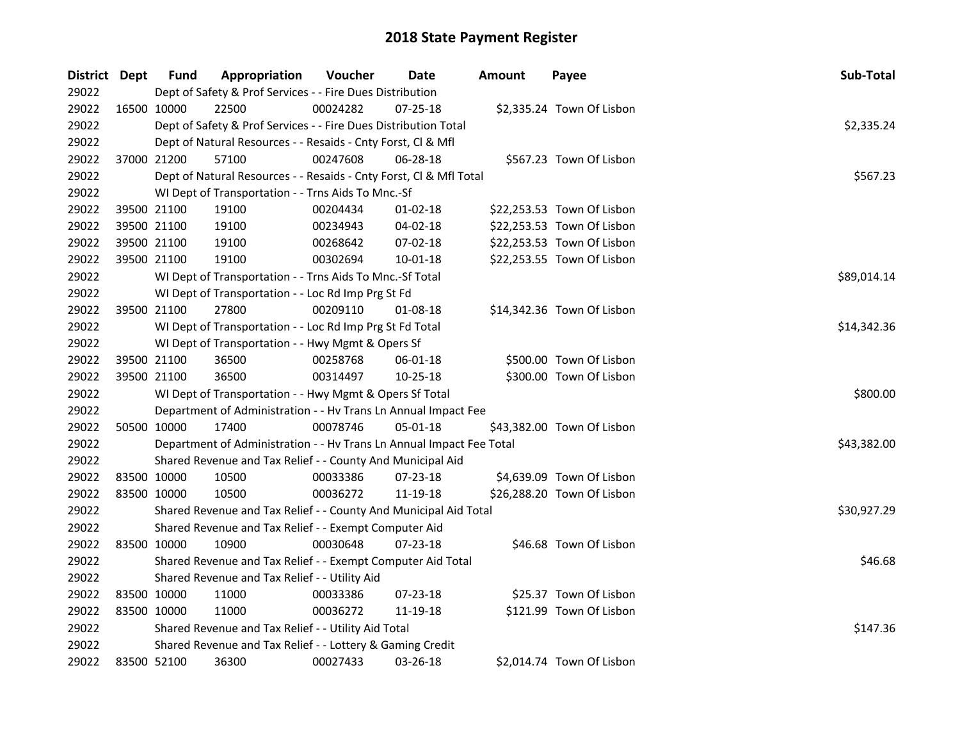| District Dept | <b>Fund</b> | Appropriation                                                        | Voucher  | Date           | <b>Amount</b> | Payee                      | Sub-Total   |
|---------------|-------------|----------------------------------------------------------------------|----------|----------------|---------------|----------------------------|-------------|
| 29022         |             | Dept of Safety & Prof Services - - Fire Dues Distribution            |          |                |               |                            |             |
| 29022         | 16500 10000 | 22500                                                                | 00024282 | $07 - 25 - 18$ |               | \$2,335.24 Town Of Lisbon  |             |
| 29022         |             | Dept of Safety & Prof Services - - Fire Dues Distribution Total      |          |                |               |                            | \$2,335.24  |
| 29022         |             | Dept of Natural Resources - - Resaids - Cnty Forst, Cl & Mfl         |          |                |               |                            |             |
| 29022         | 37000 21200 | 57100                                                                | 00247608 | 06-28-18       |               | \$567.23 Town Of Lisbon    |             |
| 29022         |             | Dept of Natural Resources - - Resaids - Cnty Forst, Cl & Mfl Total   |          |                |               |                            | \$567.23    |
| 29022         |             | WI Dept of Transportation - - Trns Aids To Mnc.-Sf                   |          |                |               |                            |             |
| 29022         | 39500 21100 | 19100                                                                | 00204434 | 01-02-18       |               | \$22,253.53 Town Of Lisbon |             |
| 29022         | 39500 21100 | 19100                                                                | 00234943 | 04-02-18       |               | \$22,253.53 Town Of Lisbon |             |
| 29022         | 39500 21100 | 19100                                                                | 00268642 | 07-02-18       |               | \$22,253.53 Town Of Lisbon |             |
| 29022         | 39500 21100 | 19100                                                                | 00302694 | 10-01-18       |               | \$22,253.55 Town Of Lisbon |             |
| 29022         |             | WI Dept of Transportation - - Trns Aids To Mnc.-Sf Total             |          |                |               |                            | \$89,014.14 |
| 29022         |             | WI Dept of Transportation - - Loc Rd Imp Prg St Fd                   |          |                |               |                            |             |
| 29022         | 39500 21100 | 27800                                                                | 00209110 | 01-08-18       |               | \$14,342.36 Town Of Lisbon |             |
| 29022         |             | WI Dept of Transportation - - Loc Rd Imp Prg St Fd Total             |          |                |               |                            | \$14,342.36 |
| 29022         |             | WI Dept of Transportation - - Hwy Mgmt & Opers Sf                    |          |                |               |                            |             |
| 29022         | 39500 21100 | 36500                                                                | 00258768 | 06-01-18       |               | \$500.00 Town Of Lisbon    |             |
| 29022         | 39500 21100 | 36500                                                                | 00314497 | 10-25-18       |               | \$300.00 Town Of Lisbon    |             |
| 29022         |             | WI Dept of Transportation - - Hwy Mgmt & Opers Sf Total              |          |                |               |                            | \$800.00    |
| 29022         |             | Department of Administration - - Hv Trans Ln Annual Impact Fee       |          |                |               |                            |             |
| 29022         | 50500 10000 | 17400                                                                | 00078746 | 05-01-18       |               | \$43,382.00 Town Of Lisbon |             |
| 29022         |             | Department of Administration - - Hv Trans Ln Annual Impact Fee Total |          |                |               |                            | \$43,382.00 |
| 29022         |             | Shared Revenue and Tax Relief - - County And Municipal Aid           |          |                |               |                            |             |
| 29022         | 83500 10000 | 10500                                                                | 00033386 | 07-23-18       |               | \$4,639.09 Town Of Lisbon  |             |
| 29022         | 83500 10000 | 10500                                                                | 00036272 | 11-19-18       |               | \$26,288.20 Town Of Lisbon |             |
| 29022         |             | Shared Revenue and Tax Relief - - County And Municipal Aid Total     |          |                |               |                            | \$30,927.29 |
| 29022         |             | Shared Revenue and Tax Relief - - Exempt Computer Aid                |          |                |               |                            |             |
| 29022         | 83500 10000 | 10900                                                                | 00030648 | 07-23-18       |               | \$46.68 Town Of Lisbon     |             |
| 29022         |             | Shared Revenue and Tax Relief - - Exempt Computer Aid Total          |          |                |               |                            | \$46.68     |
| 29022         |             | Shared Revenue and Tax Relief - - Utility Aid                        |          |                |               |                            |             |
| 29022         | 83500 10000 | 11000                                                                | 00033386 | $07 - 23 - 18$ |               | \$25.37 Town Of Lisbon     |             |
| 29022         | 83500 10000 | 11000                                                                | 00036272 | 11-19-18       |               | \$121.99 Town Of Lisbon    |             |
| 29022         |             | Shared Revenue and Tax Relief - - Utility Aid Total                  |          |                |               |                            | \$147.36    |
| 29022         |             | Shared Revenue and Tax Relief - - Lottery & Gaming Credit            |          |                |               |                            |             |
| 29022         | 83500 52100 | 36300                                                                | 00027433 | 03-26-18       |               | \$2,014.74 Town Of Lisbon  |             |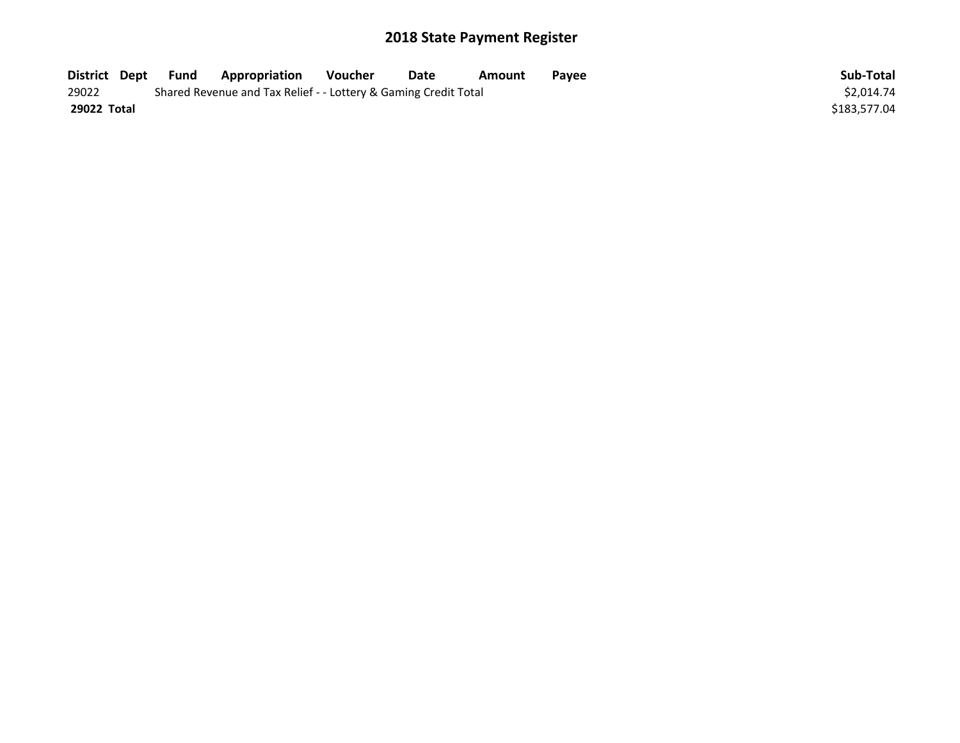| District Dept | Fund | <b>Appropriation</b>                                            | Voucher | Date | Amount | Payee | Sub-Total    |
|---------------|------|-----------------------------------------------------------------|---------|------|--------|-------|--------------|
| 29022         |      | Shared Revenue and Tax Relief - - Lottery & Gaming Credit Total |         |      |        |       | \$2.014.74   |
| 29022 Total   |      |                                                                 |         |      |        |       | \$183.577.04 |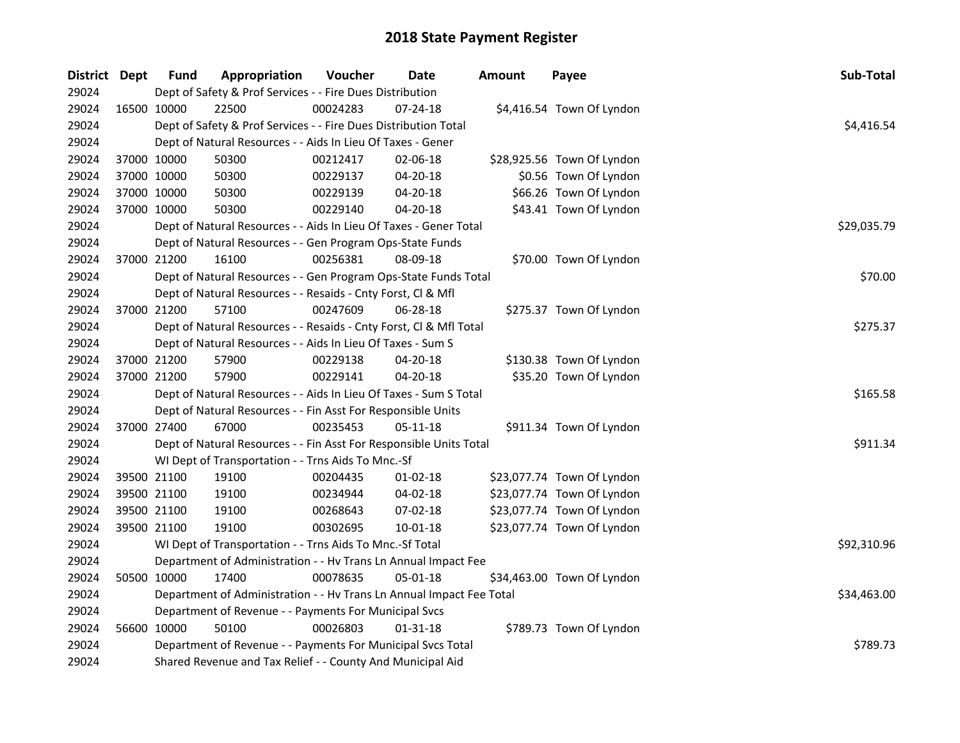| District Dept |             | <b>Fund</b> | Appropriation                                                        | Voucher  | <b>Date</b>    | <b>Amount</b> | Payee                      | Sub-Total   |
|---------------|-------------|-------------|----------------------------------------------------------------------|----------|----------------|---------------|----------------------------|-------------|
| 29024         |             |             | Dept of Safety & Prof Services - - Fire Dues Distribution            |          |                |               |                            |             |
| 29024         | 16500 10000 |             | 22500                                                                | 00024283 | 07-24-18       |               | \$4,416.54 Town Of Lyndon  |             |
| 29024         |             |             | Dept of Safety & Prof Services - - Fire Dues Distribution Total      |          |                |               |                            | \$4,416.54  |
| 29024         |             |             | Dept of Natural Resources - - Aids In Lieu Of Taxes - Gener          |          |                |               |                            |             |
| 29024         |             | 37000 10000 | 50300                                                                | 00212417 | 02-06-18       |               | \$28,925.56 Town Of Lyndon |             |
| 29024         |             | 37000 10000 | 50300                                                                | 00229137 | 04-20-18       |               | \$0.56 Town Of Lyndon      |             |
| 29024         | 37000 10000 |             | 50300                                                                | 00229139 | 04-20-18       |               | \$66.26 Town Of Lyndon     |             |
| 29024         | 37000 10000 |             | 50300                                                                | 00229140 | 04-20-18       |               | \$43.41 Town Of Lyndon     |             |
| 29024         |             |             | Dept of Natural Resources - - Aids In Lieu Of Taxes - Gener Total    |          |                |               |                            | \$29,035.79 |
| 29024         |             |             | Dept of Natural Resources - - Gen Program Ops-State Funds            |          |                |               |                            |             |
| 29024         | 37000 21200 |             | 16100                                                                | 00256381 | 08-09-18       |               | \$70.00 Town Of Lyndon     |             |
| 29024         |             |             | Dept of Natural Resources - - Gen Program Ops-State Funds Total      |          |                |               |                            | \$70.00     |
| 29024         |             |             | Dept of Natural Resources - - Resaids - Cnty Forst, Cl & Mfl         |          |                |               |                            |             |
| 29024         | 37000 21200 |             | 57100                                                                | 00247609 | 06-28-18       |               | \$275.37 Town Of Lyndon    |             |
| 29024         |             |             | Dept of Natural Resources - - Resaids - Cnty Forst, Cl & Mfl Total   |          |                |               |                            | \$275.37    |
| 29024         |             |             | Dept of Natural Resources - - Aids In Lieu Of Taxes - Sum S          |          |                |               |                            |             |
| 29024         | 37000 21200 |             | 57900                                                                | 00229138 | 04-20-18       |               | \$130.38 Town Of Lyndon    |             |
| 29024         | 37000 21200 |             | 57900                                                                | 00229141 | $04 - 20 - 18$ |               | \$35.20 Town Of Lyndon     |             |
| 29024         |             |             | Dept of Natural Resources - - Aids In Lieu Of Taxes - Sum S Total    |          |                |               |                            | \$165.58    |
| 29024         |             |             | Dept of Natural Resources - - Fin Asst For Responsible Units         |          |                |               |                            |             |
| 29024         | 37000 27400 |             | 67000                                                                | 00235453 | $05 - 11 - 18$ |               | \$911.34 Town Of Lyndon    |             |
| 29024         |             |             | Dept of Natural Resources - - Fin Asst For Responsible Units Total   |          |                |               |                            | \$911.34    |
| 29024         |             |             | WI Dept of Transportation - - Trns Aids To Mnc.-Sf                   |          |                |               |                            |             |
| 29024         |             | 39500 21100 | 19100                                                                | 00204435 | 01-02-18       |               | \$23,077.74 Town Of Lyndon |             |
| 29024         |             | 39500 21100 | 19100                                                                | 00234944 | 04-02-18       |               | \$23,077.74 Town Of Lyndon |             |
| 29024         |             | 39500 21100 | 19100                                                                | 00268643 | 07-02-18       |               | \$23,077.74 Town Of Lyndon |             |
| 29024         | 39500 21100 |             | 19100                                                                | 00302695 | $10 - 01 - 18$ |               | \$23,077.74 Town Of Lyndon |             |
| 29024         |             |             | WI Dept of Transportation - - Trns Aids To Mnc.-Sf Total             |          |                |               |                            | \$92,310.96 |
| 29024         |             |             | Department of Administration - - Hv Trans Ln Annual Impact Fee       |          |                |               |                            |             |
| 29024         | 50500 10000 |             | 17400                                                                | 00078635 | 05-01-18       |               | \$34,463.00 Town Of Lyndon |             |
| 29024         |             |             | Department of Administration - - Hv Trans Ln Annual Impact Fee Total |          |                |               |                            | \$34,463.00 |
| 29024         |             |             | Department of Revenue - - Payments For Municipal Svcs                |          |                |               |                            |             |
| 29024         | 56600 10000 |             | 50100                                                                | 00026803 | $01 - 31 - 18$ |               | \$789.73 Town Of Lyndon    |             |
| 29024         |             |             | Department of Revenue - - Payments For Municipal Svcs Total          |          |                |               |                            | \$789.73    |
| 29024         |             |             | Shared Revenue and Tax Relief - - County And Municipal Aid           |          |                |               |                            |             |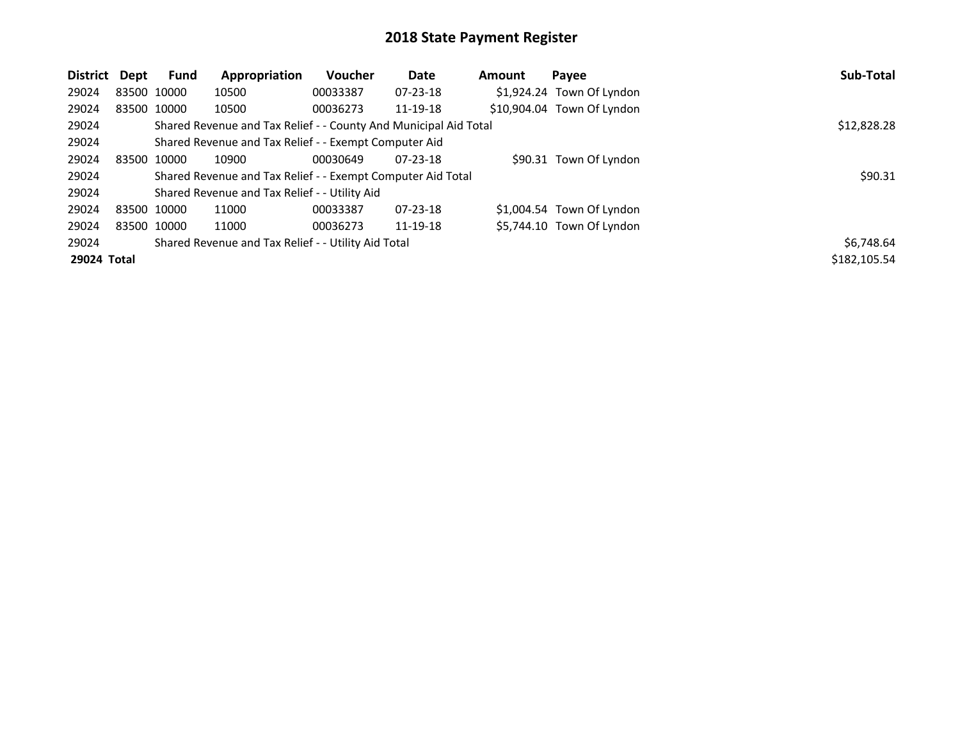| District    | Dept | <b>Fund</b> | Appropriation                                                    | Voucher     | Date           | Amount | Payee                      | Sub-Total    |
|-------------|------|-------------|------------------------------------------------------------------|-------------|----------------|--------|----------------------------|--------------|
| 29024       |      | 83500 10000 | 10500                                                            | 00033387    | 07-23-18       |        | \$1,924.24 Town Of Lyndon  |              |
| 29024       |      | 83500 10000 | 10500                                                            | 00036273    | 11-19-18       |        | \$10,904.04 Town Of Lyndon |              |
| 29024       |      |             | Shared Revenue and Tax Relief - - County And Municipal Aid Total | \$12,828.28 |                |        |                            |              |
| 29024       |      |             | Shared Revenue and Tax Relief - - Exempt Computer Aid            |             |                |        |                            |              |
| 29024       |      | 83500 10000 | 10900                                                            | 00030649    | 07-23-18       |        | \$90.31 Town Of Lyndon     |              |
| 29024       |      |             | Shared Revenue and Tax Relief - - Exempt Computer Aid Total      |             |                |        |                            | \$90.31      |
| 29024       |      |             | Shared Revenue and Tax Relief - - Utility Aid                    |             |                |        |                            |              |
| 29024       |      | 83500 10000 | 11000                                                            | 00033387    | $07 - 23 - 18$ |        | \$1,004.54 Town Of Lyndon  |              |
| 29024       |      | 83500 10000 | 11000                                                            | 00036273    | 11-19-18       |        | \$5,744.10 Town Of Lyndon  |              |
| 29024       |      |             | Shared Revenue and Tax Relief - - Utility Aid Total              |             |                |        |                            | \$6,748.64   |
| 29024 Total |      |             |                                                                  |             |                |        |                            | \$182,105.54 |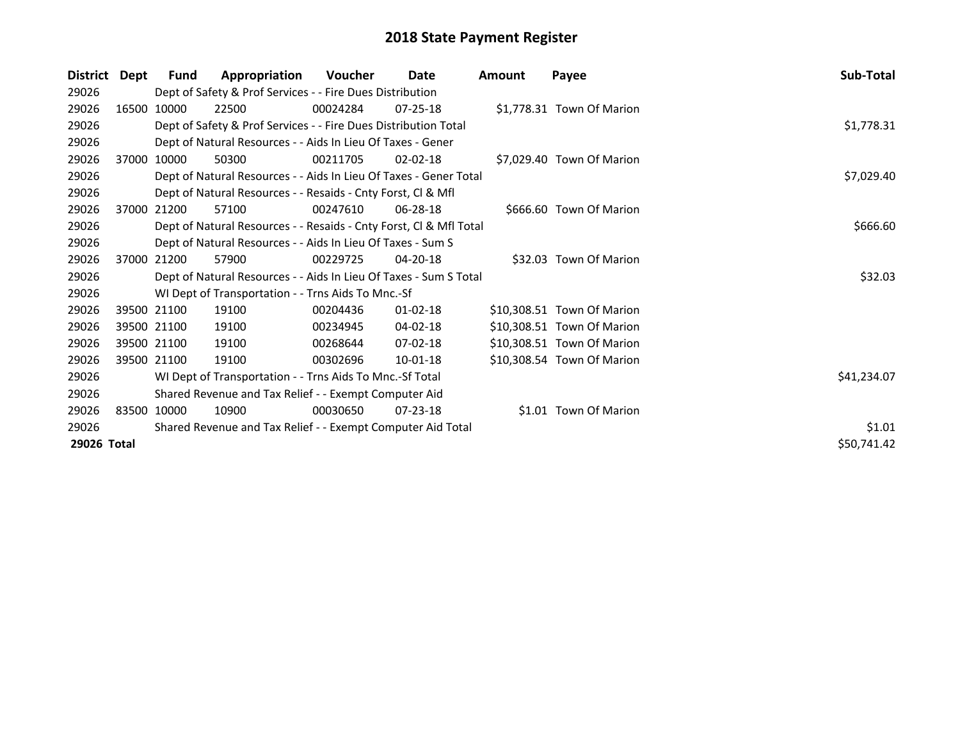| <b>District</b> | Dept  | Fund        | Appropriation                                                      | <b>Voucher</b> | Date           | Amount | Payee                      | Sub-Total   |  |  |  |  |
|-----------------|-------|-------------|--------------------------------------------------------------------|----------------|----------------|--------|----------------------------|-------------|--|--|--|--|
| 29026           |       |             | Dept of Safety & Prof Services - - Fire Dues Distribution          |                |                |        |                            |             |  |  |  |  |
| 29026           |       | 16500 10000 | 22500                                                              | 00024284       | $07 - 25 - 18$ |        | \$1,778.31 Town Of Marion  |             |  |  |  |  |
| 29026           |       |             | Dept of Safety & Prof Services - - Fire Dues Distribution Total    |                |                |        |                            | \$1,778.31  |  |  |  |  |
| 29026           |       |             | Dept of Natural Resources - - Aids In Lieu Of Taxes - Gener        |                |                |        |                            |             |  |  |  |  |
| 29026           |       | 37000 10000 | 50300                                                              | 00211705       | $02 - 02 - 18$ |        | \$7.029.40 Town Of Marion  |             |  |  |  |  |
| 29026           |       |             | Dept of Natural Resources - - Aids In Lieu Of Taxes - Gener Total  |                |                |        |                            | \$7,029.40  |  |  |  |  |
| 29026           |       |             | Dept of Natural Resources - - Resaids - Cnty Forst, CI & Mfl       |                |                |        |                            |             |  |  |  |  |
| 29026           | 37000 | 21200       | 57100                                                              | 00247610       | 06-28-18       |        | \$666.60 Town Of Marion    |             |  |  |  |  |
| 29026           |       |             | Dept of Natural Resources - - Resaids - Cnty Forst, CI & Mfl Total |                |                |        |                            | \$666.60    |  |  |  |  |
| 29026           |       |             | Dept of Natural Resources - - Aids In Lieu Of Taxes - Sum S        |                |                |        |                            |             |  |  |  |  |
| 29026           |       | 37000 21200 | 57900                                                              | 00229725       | 04-20-18       |        | \$32.03 Town Of Marion     |             |  |  |  |  |
| 29026           |       |             | Dept of Natural Resources - - Aids In Lieu Of Taxes - Sum S Total  |                |                |        |                            | \$32.03     |  |  |  |  |
| 29026           |       |             | WI Dept of Transportation - - Trns Aids To Mnc.-Sf                 |                |                |        |                            |             |  |  |  |  |
| 29026           |       | 39500 21100 | 19100                                                              | 00204436       | $01 - 02 - 18$ |        | \$10,308.51 Town Of Marion |             |  |  |  |  |
| 29026           |       | 39500 21100 | 19100                                                              | 00234945       | 04-02-18       |        | \$10,308.51 Town Of Marion |             |  |  |  |  |
| 29026           |       | 39500 21100 | 19100                                                              | 00268644       | $07-02-18$     |        | \$10,308.51 Town Of Marion |             |  |  |  |  |
| 29026           |       | 39500 21100 | 19100                                                              | 00302696       | $10-01-18$     |        | \$10,308.54 Town Of Marion |             |  |  |  |  |
| 29026           |       |             | WI Dept of Transportation - - Trns Aids To Mnc.-Sf Total           |                |                |        |                            | \$41,234.07 |  |  |  |  |
| 29026           |       |             | Shared Revenue and Tax Relief - - Exempt Computer Aid              |                |                |        |                            |             |  |  |  |  |
| 29026           |       | 83500 10000 | 10900                                                              | 00030650       | $07 - 23 - 18$ |        | \$1.01 Town Of Marion      |             |  |  |  |  |
| 29026           |       |             | Shared Revenue and Tax Relief - - Exempt Computer Aid Total        |                |                |        |                            | \$1.01      |  |  |  |  |
| 29026 Total     |       |             |                                                                    |                |                |        |                            | \$50,741.42 |  |  |  |  |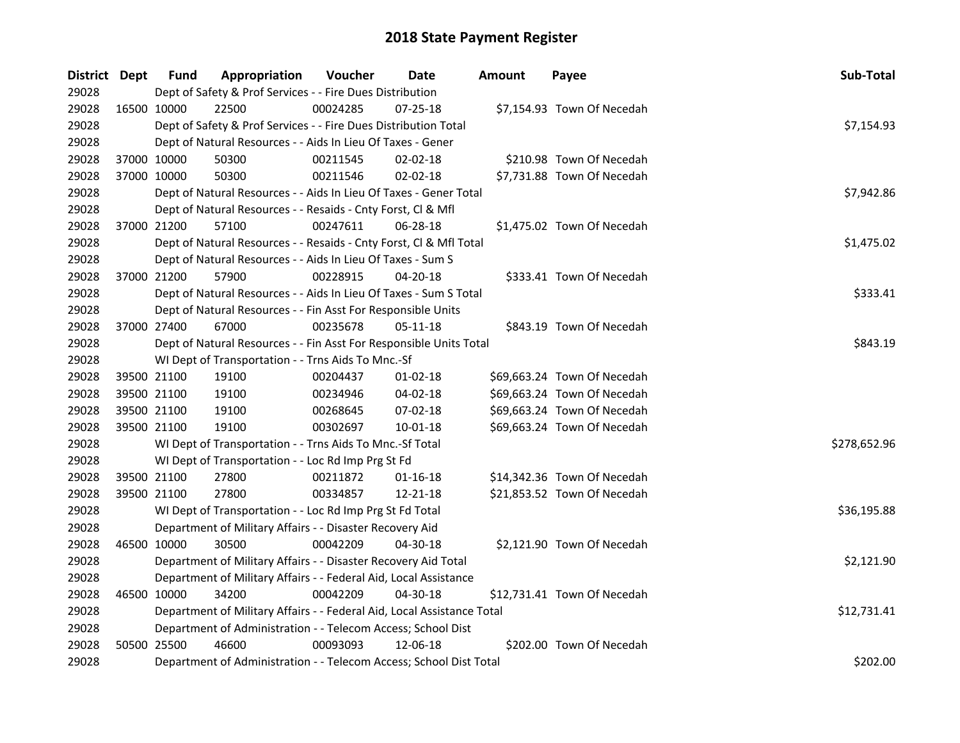| District Dept |             | <b>Fund</b> | Appropriation                                                          | Voucher  | Date           | <b>Amount</b> | Payee                       | Sub-Total    |
|---------------|-------------|-------------|------------------------------------------------------------------------|----------|----------------|---------------|-----------------------------|--------------|
| 29028         |             |             | Dept of Safety & Prof Services - - Fire Dues Distribution              |          |                |               |                             |              |
| 29028         | 16500 10000 |             | 22500                                                                  | 00024285 | 07-25-18       |               | \$7,154.93 Town Of Necedah  |              |
| 29028         |             |             | Dept of Safety & Prof Services - - Fire Dues Distribution Total        |          |                |               |                             | \$7,154.93   |
| 29028         |             |             | Dept of Natural Resources - - Aids In Lieu Of Taxes - Gener            |          |                |               |                             |              |
| 29028         |             | 37000 10000 | 50300                                                                  | 00211545 | 02-02-18       |               | \$210.98 Town Of Necedah    |              |
| 29028         |             | 37000 10000 | 50300                                                                  | 00211546 | 02-02-18       |               | \$7,731.88 Town Of Necedah  |              |
| 29028         |             |             | Dept of Natural Resources - - Aids In Lieu Of Taxes - Gener Total      |          |                |               |                             | \$7,942.86   |
| 29028         |             |             | Dept of Natural Resources - - Resaids - Cnty Forst, Cl & Mfl           |          |                |               |                             |              |
| 29028         |             | 37000 21200 | 57100                                                                  | 00247611 | 06-28-18       |               | \$1,475.02 Town Of Necedah  |              |
| 29028         |             |             | Dept of Natural Resources - - Resaids - Cnty Forst, Cl & Mfl Total     |          |                |               |                             | \$1,475.02   |
| 29028         |             |             | Dept of Natural Resources - - Aids In Lieu Of Taxes - Sum S            |          |                |               |                             |              |
| 29028         |             | 37000 21200 | 57900                                                                  | 00228915 | 04-20-18       |               | \$333.41 Town Of Necedah    |              |
| 29028         |             |             | Dept of Natural Resources - - Aids In Lieu Of Taxes - Sum S Total      |          |                |               |                             | \$333.41     |
| 29028         |             |             | Dept of Natural Resources - - Fin Asst For Responsible Units           |          |                |               |                             |              |
| 29028         |             | 37000 27400 | 67000                                                                  | 00235678 | $05 - 11 - 18$ |               | \$843.19 Town Of Necedah    |              |
| 29028         |             |             | Dept of Natural Resources - - Fin Asst For Responsible Units Total     | \$843.19 |                |               |                             |              |
| 29028         |             |             | WI Dept of Transportation - - Trns Aids To Mnc.-Sf                     |          |                |               |                             |              |
| 29028         |             | 39500 21100 | 19100                                                                  | 00204437 | $01 - 02 - 18$ |               | \$69,663.24 Town Of Necedah |              |
| 29028         |             | 39500 21100 | 19100                                                                  | 00234946 | 04-02-18       |               | \$69,663.24 Town Of Necedah |              |
| 29028         |             | 39500 21100 | 19100                                                                  | 00268645 | 07-02-18       |               | \$69,663.24 Town Of Necedah |              |
| 29028         |             | 39500 21100 | 19100                                                                  | 00302697 | $10 - 01 - 18$ |               | \$69,663.24 Town Of Necedah |              |
| 29028         |             |             | WI Dept of Transportation - - Trns Aids To Mnc.-Sf Total               |          |                |               |                             | \$278,652.96 |
| 29028         |             |             | WI Dept of Transportation - - Loc Rd Imp Prg St Fd                     |          |                |               |                             |              |
| 29028         |             | 39500 21100 | 27800                                                                  | 00211872 | $01 - 16 - 18$ |               | \$14,342.36 Town Of Necedah |              |
| 29028         |             | 39500 21100 | 27800                                                                  | 00334857 | 12-21-18       |               | \$21,853.52 Town Of Necedah |              |
| 29028         |             |             | WI Dept of Transportation - - Loc Rd Imp Prg St Fd Total               |          |                |               |                             | \$36,195.88  |
| 29028         |             |             | Department of Military Affairs - - Disaster Recovery Aid               |          |                |               |                             |              |
| 29028         | 46500 10000 |             | 30500                                                                  | 00042209 | 04-30-18       |               | \$2,121.90 Town Of Necedah  |              |
| 29028         |             |             | Department of Military Affairs - - Disaster Recovery Aid Total         |          |                |               |                             | \$2,121.90   |
| 29028         |             |             | Department of Military Affairs - - Federal Aid, Local Assistance       |          |                |               |                             |              |
| 29028         | 46500 10000 |             | 34200                                                                  | 00042209 | 04-30-18       |               | \$12,731.41 Town Of Necedah |              |
| 29028         |             |             | Department of Military Affairs - - Federal Aid, Local Assistance Total |          |                |               |                             | \$12,731.41  |
| 29028         |             |             | Department of Administration - - Telecom Access; School Dist           |          |                |               |                             |              |
| 29028         |             | 50500 25500 | 46600                                                                  | 00093093 | 12-06-18       |               | \$202.00 Town Of Necedah    |              |
| 29028         |             |             | Department of Administration - - Telecom Access; School Dist Total     |          |                |               |                             | \$202.00     |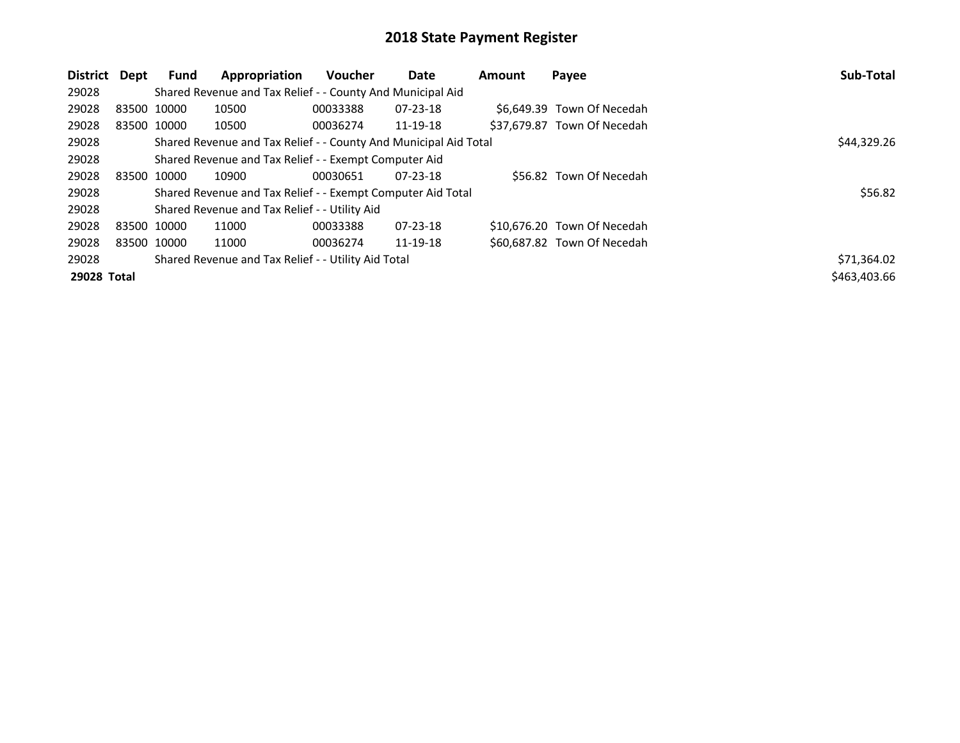| District Dept | <b>Fund</b> | Appropriation                                                    | <b>Voucher</b> | Date           | Amount | Payee                       | Sub-Total    |
|---------------|-------------|------------------------------------------------------------------|----------------|----------------|--------|-----------------------------|--------------|
| 29028         |             | Shared Revenue and Tax Relief - - County And Municipal Aid       |                |                |        |                             |              |
| 29028         | 83500 10000 | 10500                                                            | 00033388       | $07 - 23 - 18$ |        | \$6.649.39 Town Of Necedah  |              |
| 29028         | 83500 10000 | 10500                                                            | 00036274       | 11-19-18       |        | \$37,679.87 Town Of Necedah |              |
| 29028         |             | Shared Revenue and Tax Relief - - County And Municipal Aid Total | \$44,329.26    |                |        |                             |              |
| 29028         |             | Shared Revenue and Tax Relief - - Exempt Computer Aid            |                |                |        |                             |              |
| 29028         | 83500 10000 | 10900                                                            | 00030651       | $07 - 23 - 18$ |        | \$56.82 Town Of Necedah     |              |
| 29028         |             | Shared Revenue and Tax Relief - - Exempt Computer Aid Total      |                |                |        |                             | \$56.82      |
| 29028         |             | Shared Revenue and Tax Relief - - Utility Aid                    |                |                |        |                             |              |
| 29028         | 83500 10000 | 11000                                                            | 00033388       | $07 - 23 - 18$ |        | \$10.676.20 Town Of Necedah |              |
| 29028         | 83500 10000 | 11000                                                            | 00036274       | 11-19-18       |        | \$60.687.82 Town Of Necedah |              |
| 29028         |             | Shared Revenue and Tax Relief - - Utility Aid Total              |                |                |        |                             | \$71,364.02  |
| 29028 Total   |             |                                                                  |                |                |        |                             | \$463,403.66 |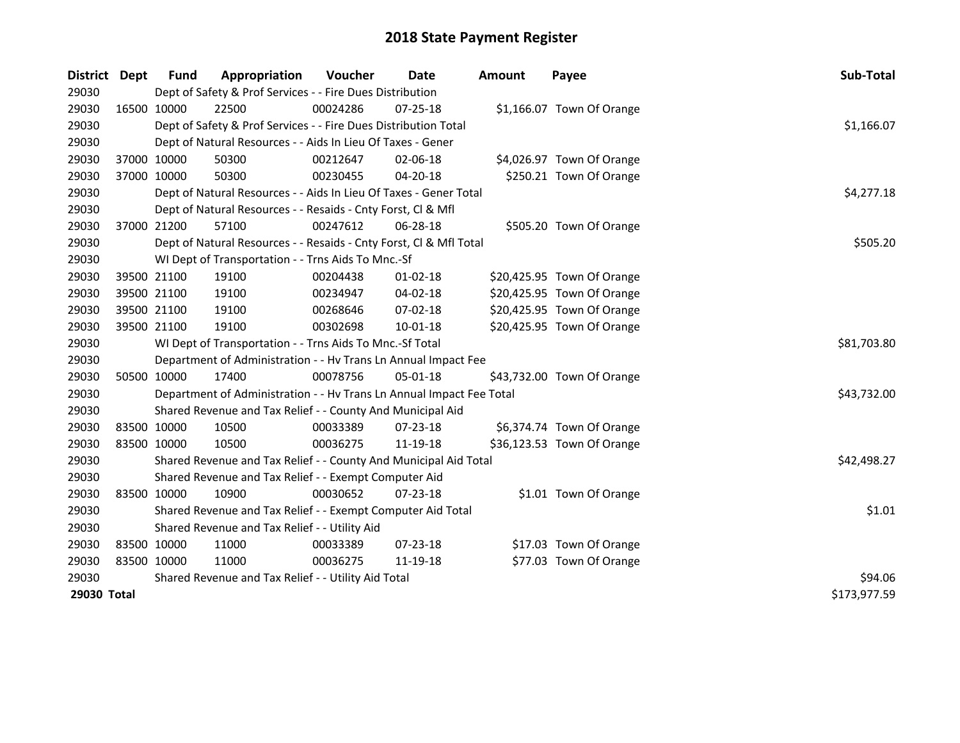| District    | <b>Dept</b> | <b>Fund</b> | Appropriation                                                        | Voucher  | <b>Date</b>    | <b>Amount</b> | Payee                      | Sub-Total    |
|-------------|-------------|-------------|----------------------------------------------------------------------|----------|----------------|---------------|----------------------------|--------------|
| 29030       |             |             | Dept of Safety & Prof Services - - Fire Dues Distribution            |          |                |               |                            |              |
| 29030       |             | 16500 10000 | 22500                                                                | 00024286 | 07-25-18       |               | \$1,166.07 Town Of Orange  |              |
| 29030       |             |             | Dept of Safety & Prof Services - - Fire Dues Distribution Total      |          |                |               |                            | \$1,166.07   |
| 29030       |             |             | Dept of Natural Resources - - Aids In Lieu Of Taxes - Gener          |          |                |               |                            |              |
| 29030       |             | 37000 10000 | 50300                                                                | 00212647 | $02 - 06 - 18$ |               | \$4,026.97 Town Of Orange  |              |
| 29030       |             | 37000 10000 | 50300                                                                | 00230455 | $04 - 20 - 18$ |               | \$250.21 Town Of Orange    |              |
| 29030       |             |             | Dept of Natural Resources - - Aids In Lieu Of Taxes - Gener Total    |          |                |               |                            | \$4,277.18   |
| 29030       |             |             | Dept of Natural Resources - - Resaids - Cnty Forst, Cl & Mfl         |          |                |               |                            |              |
| 29030       |             | 37000 21200 | 57100                                                                | 00247612 | $06 - 28 - 18$ |               | \$505.20 Town Of Orange    |              |
| 29030       |             |             | Dept of Natural Resources - - Resaids - Cnty Forst, Cl & Mfl Total   | \$505.20 |                |               |                            |              |
| 29030       |             |             | WI Dept of Transportation - - Trns Aids To Mnc.-Sf                   |          |                |               |                            |              |
| 29030       |             | 39500 21100 | 19100                                                                | 00204438 | $01 - 02 - 18$ |               | \$20,425.95 Town Of Orange |              |
| 29030       |             | 39500 21100 | 19100                                                                | 00234947 | 04-02-18       |               | \$20,425.95 Town Of Orange |              |
| 29030       |             | 39500 21100 | 19100                                                                | 00268646 | 07-02-18       |               | \$20,425.95 Town Of Orange |              |
| 29030       |             | 39500 21100 | 19100                                                                | 00302698 | 10-01-18       |               | \$20,425.95 Town Of Orange |              |
| 29030       |             |             | WI Dept of Transportation - - Trns Aids To Mnc.-Sf Total             |          |                |               |                            | \$81,703.80  |
| 29030       |             |             | Department of Administration - - Hv Trans Ln Annual Impact Fee       |          |                |               |                            |              |
| 29030       |             | 50500 10000 | 17400                                                                | 00078756 | $05 - 01 - 18$ |               | \$43,732.00 Town Of Orange |              |
| 29030       |             |             | Department of Administration - - Hv Trans Ln Annual Impact Fee Total |          |                |               |                            | \$43,732.00  |
| 29030       |             |             | Shared Revenue and Tax Relief - - County And Municipal Aid           |          |                |               |                            |              |
| 29030       |             | 83500 10000 | 10500                                                                | 00033389 | 07-23-18       |               | \$6,374.74 Town Of Orange  |              |
| 29030       |             | 83500 10000 | 10500                                                                | 00036275 | 11-19-18       |               | \$36,123.53 Town Of Orange |              |
| 29030       |             |             | Shared Revenue and Tax Relief - - County And Municipal Aid Total     |          |                |               |                            | \$42,498.27  |
| 29030       |             |             | Shared Revenue and Tax Relief - - Exempt Computer Aid                |          |                |               |                            |              |
| 29030       |             | 83500 10000 | 10900                                                                | 00030652 | 07-23-18       |               | \$1.01 Town Of Orange      |              |
| 29030       |             |             | Shared Revenue and Tax Relief - - Exempt Computer Aid Total          | \$1.01   |                |               |                            |              |
| 29030       |             |             | Shared Revenue and Tax Relief - - Utility Aid                        |          |                |               |                            |              |
| 29030       |             | 83500 10000 | 11000                                                                | 00033389 | 07-23-18       |               | \$17.03 Town Of Orange     |              |
| 29030       |             | 83500 10000 | 11000                                                                | 00036275 | 11-19-18       |               | \$77.03 Town Of Orange     |              |
| 29030       |             |             | Shared Revenue and Tax Relief - - Utility Aid Total                  | \$94.06  |                |               |                            |              |
| 29030 Total |             |             |                                                                      |          |                |               |                            | \$173,977.59 |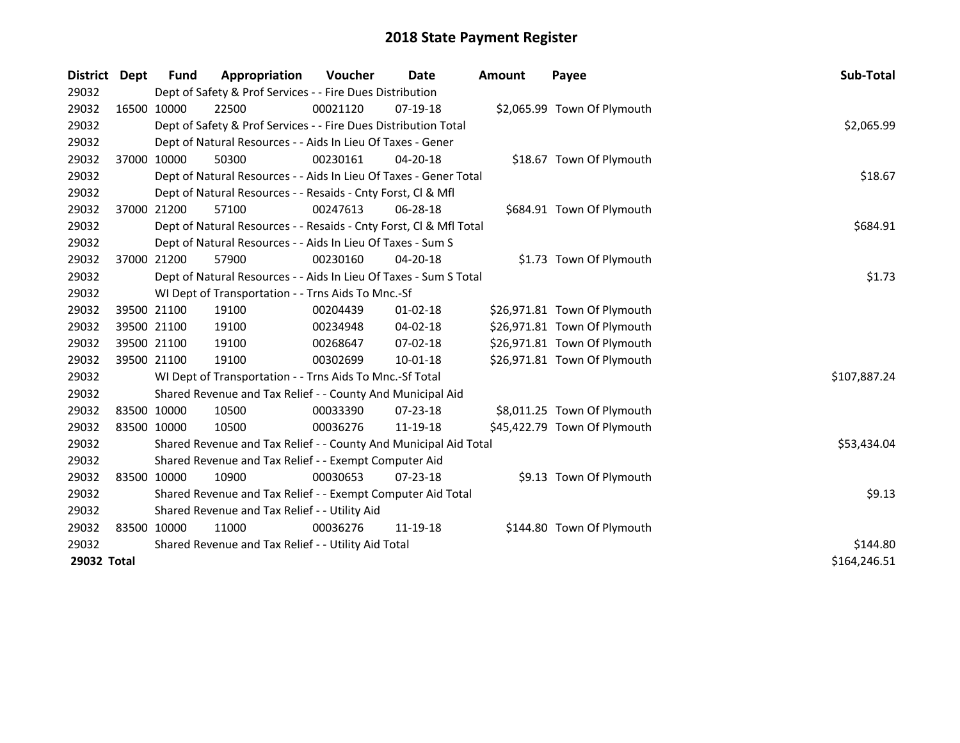| <b>District</b> | <b>Dept</b> | <b>Fund</b>                                         | Appropriation                                                      | <b>Voucher</b> | Date           | Amount | Payee                        | Sub-Total    |  |
|-----------------|-------------|-----------------------------------------------------|--------------------------------------------------------------------|----------------|----------------|--------|------------------------------|--------------|--|
| 29032           |             |                                                     | Dept of Safety & Prof Services - - Fire Dues Distribution          |                |                |        |                              |              |  |
| 29032           |             | 16500 10000                                         | 22500                                                              | 00021120       | $07-19-18$     |        | \$2,065.99 Town Of Plymouth  |              |  |
| 29032           |             |                                                     | Dept of Safety & Prof Services - - Fire Dues Distribution Total    |                |                |        |                              | \$2,065.99   |  |
| 29032           |             |                                                     | Dept of Natural Resources - - Aids In Lieu Of Taxes - Gener        |                |                |        |                              |              |  |
| 29032           |             | 37000 10000                                         | 50300                                                              | 00230161       | $04 - 20 - 18$ |        | \$18.67 Town Of Plymouth     |              |  |
| 29032           |             |                                                     | Dept of Natural Resources - - Aids In Lieu Of Taxes - Gener Total  |                |                |        |                              | \$18.67      |  |
| 29032           |             |                                                     | Dept of Natural Resources - - Resaids - Cnty Forst, Cl & Mfl       |                |                |        |                              |              |  |
| 29032           |             | 37000 21200                                         | 57100                                                              | 00247613       | 06-28-18       |        | \$684.91 Town Of Plymouth    |              |  |
| 29032           |             |                                                     | Dept of Natural Resources - - Resaids - Cnty Forst, CI & Mfl Total |                |                |        |                              | \$684.91     |  |
| 29032           |             |                                                     | Dept of Natural Resources - - Aids In Lieu Of Taxes - Sum S        |                |                |        |                              |              |  |
| 29032           |             | 37000 21200                                         | 57900                                                              | 00230160       | 04-20-18       |        | \$1.73 Town Of Plymouth      |              |  |
| 29032           |             |                                                     | Dept of Natural Resources - - Aids In Lieu Of Taxes - Sum S Total  |                |                |        |                              | \$1.73       |  |
| 29032           |             |                                                     | WI Dept of Transportation - - Trns Aids To Mnc.-Sf                 |                |                |        |                              |              |  |
| 29032           |             | 39500 21100                                         | 19100                                                              | 00204439       | $01 - 02 - 18$ |        | \$26,971.81 Town Of Plymouth |              |  |
| 29032           |             | 39500 21100                                         | 19100                                                              | 00234948       | 04-02-18       |        | \$26,971.81 Town Of Plymouth |              |  |
| 29032           |             | 39500 21100                                         | 19100                                                              | 00268647       | 07-02-18       |        | \$26,971.81 Town Of Plymouth |              |  |
| 29032           |             | 39500 21100                                         | 19100                                                              | 00302699       | $10 - 01 - 18$ |        | \$26,971.81 Town Of Plymouth |              |  |
| 29032           |             |                                                     | WI Dept of Transportation - - Trns Aids To Mnc.-Sf Total           |                |                |        |                              | \$107,887.24 |  |
| 29032           |             |                                                     | Shared Revenue and Tax Relief - - County And Municipal Aid         |                |                |        |                              |              |  |
| 29032           |             | 83500 10000                                         | 10500                                                              | 00033390       | $07 - 23 - 18$ |        | \$8,011.25 Town Of Plymouth  |              |  |
| 29032           |             | 83500 10000                                         | 10500                                                              | 00036276       | 11-19-18       |        | \$45,422.79 Town Of Plymouth |              |  |
| 29032           |             |                                                     | Shared Revenue and Tax Relief - - County And Municipal Aid Total   |                |                |        |                              | \$53,434.04  |  |
| 29032           |             |                                                     | Shared Revenue and Tax Relief - - Exempt Computer Aid              |                |                |        |                              |              |  |
| 29032           |             | 83500 10000                                         | 10900                                                              | 00030653       | $07 - 23 - 18$ |        | \$9.13 Town Of Plymouth      |              |  |
| 29032           |             |                                                     | Shared Revenue and Tax Relief - - Exempt Computer Aid Total        |                |                |        |                              | \$9.13       |  |
| 29032           |             | Shared Revenue and Tax Relief - - Utility Aid       |                                                                    |                |                |        |                              |              |  |
| 29032           |             | 83500 10000                                         | 11000                                                              | 00036276       | 11-19-18       |        | \$144.80 Town Of Plymouth    |              |  |
| 29032           |             | Shared Revenue and Tax Relief - - Utility Aid Total | \$144.80                                                           |                |                |        |                              |              |  |
| 29032 Total     |             |                                                     |                                                                    |                |                |        |                              | \$164,246.51 |  |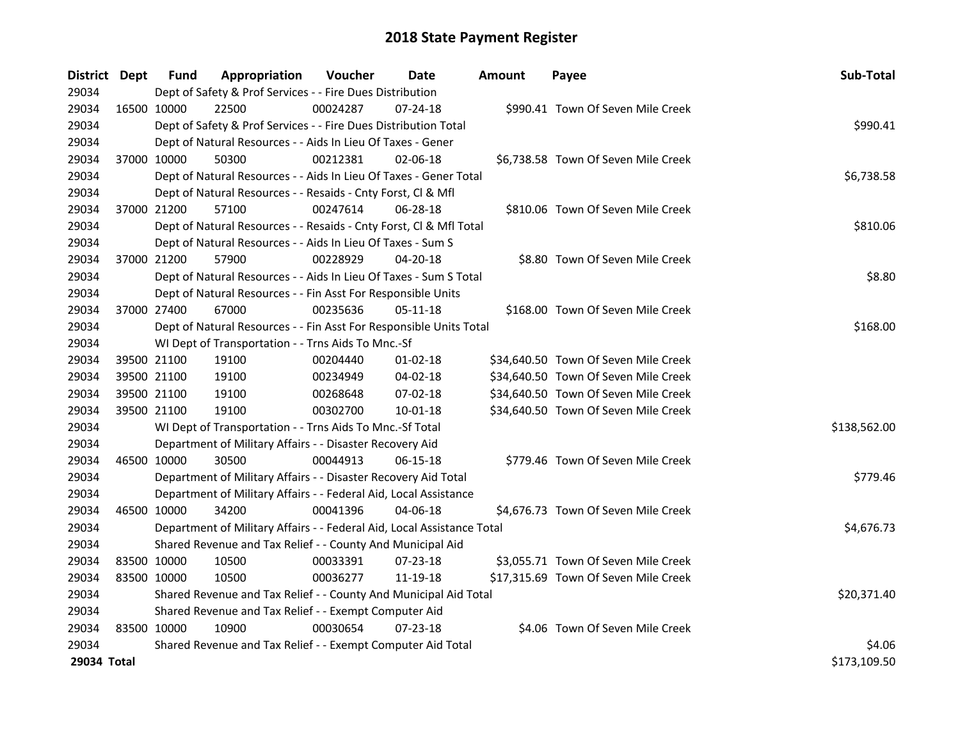| District Dept |             | <b>Fund</b>                                           | Appropriation                                                          | Voucher  | Date           | <b>Amount</b> | Payee                                | Sub-Total    |
|---------------|-------------|-------------------------------------------------------|------------------------------------------------------------------------|----------|----------------|---------------|--------------------------------------|--------------|
| 29034         |             |                                                       | Dept of Safety & Prof Services - - Fire Dues Distribution              |          |                |               |                                      |              |
| 29034         | 16500 10000 |                                                       | 22500                                                                  | 00024287 | 07-24-18       |               | \$990.41 Town Of Seven Mile Creek    |              |
| 29034         |             |                                                       | Dept of Safety & Prof Services - - Fire Dues Distribution Total        |          |                |               |                                      | \$990.41     |
| 29034         |             |                                                       | Dept of Natural Resources - - Aids In Lieu Of Taxes - Gener            |          |                |               |                                      |              |
| 29034         | 37000 10000 |                                                       | 50300                                                                  | 00212381 | 02-06-18       |               | \$6,738.58 Town Of Seven Mile Creek  |              |
| 29034         |             |                                                       | Dept of Natural Resources - - Aids In Lieu Of Taxes - Gener Total      |          |                |               |                                      | \$6,738.58   |
| 29034         |             |                                                       | Dept of Natural Resources - - Resaids - Cnty Forst, Cl & Mfl           |          |                |               |                                      |              |
| 29034         |             | 37000 21200                                           | 57100                                                                  | 00247614 | 06-28-18       |               | \$810.06 Town Of Seven Mile Creek    |              |
| 29034         |             |                                                       | Dept of Natural Resources - - Resaids - Cnty Forst, Cl & Mfl Total     |          |                |               |                                      | \$810.06     |
| 29034         |             |                                                       | Dept of Natural Resources - - Aids In Lieu Of Taxes - Sum S            |          |                |               |                                      |              |
| 29034         |             | 37000 21200                                           | 57900                                                                  | 00228929 | 04-20-18       |               | \$8.80 Town Of Seven Mile Creek      |              |
| 29034         |             |                                                       | Dept of Natural Resources - - Aids In Lieu Of Taxes - Sum S Total      |          |                |               |                                      | \$8.80       |
| 29034         |             |                                                       | Dept of Natural Resources - - Fin Asst For Responsible Units           |          |                |               |                                      |              |
| 29034         | 37000 27400 |                                                       | 67000                                                                  | 00235636 | 05-11-18       |               | \$168.00 Town Of Seven Mile Creek    |              |
| 29034         |             |                                                       | Dept of Natural Resources - - Fin Asst For Responsible Units Total     |          |                |               |                                      | \$168.00     |
| 29034         |             |                                                       | WI Dept of Transportation - - Trns Aids To Mnc.-Sf                     |          |                |               |                                      |              |
| 29034         |             | 39500 21100                                           | 19100                                                                  | 00204440 | $01-02-18$     |               | \$34,640.50 Town Of Seven Mile Creek |              |
| 29034         |             | 39500 21100                                           | 19100                                                                  | 00234949 | 04-02-18       |               | \$34,640.50 Town Of Seven Mile Creek |              |
| 29034         | 39500 21100 |                                                       | 19100                                                                  | 00268648 | 07-02-18       |               | \$34,640.50 Town Of Seven Mile Creek |              |
| 29034         |             | 39500 21100                                           | 19100                                                                  | 00302700 | 10-01-18       |               | \$34,640.50 Town Of Seven Mile Creek |              |
| 29034         |             |                                                       | WI Dept of Transportation - - Trns Aids To Mnc.-Sf Total               |          |                |               |                                      | \$138,562.00 |
| 29034         |             |                                                       | Department of Military Affairs - - Disaster Recovery Aid               |          |                |               |                                      |              |
| 29034         | 46500 10000 |                                                       | 30500                                                                  | 00044913 | $06 - 15 - 18$ |               | \$779.46 Town Of Seven Mile Creek    |              |
| 29034         |             |                                                       | Department of Military Affairs - - Disaster Recovery Aid Total         |          |                |               |                                      | \$779.46     |
| 29034         |             |                                                       | Department of Military Affairs - - Federal Aid, Local Assistance       |          |                |               |                                      |              |
| 29034         | 46500 10000 |                                                       | 34200                                                                  | 00041396 | 04-06-18       |               | \$4,676.73 Town Of Seven Mile Creek  |              |
| 29034         |             |                                                       | Department of Military Affairs - - Federal Aid, Local Assistance Total |          |                |               |                                      | \$4,676.73   |
| 29034         |             |                                                       | Shared Revenue and Tax Relief - - County And Municipal Aid             |          |                |               |                                      |              |
| 29034         | 83500 10000 |                                                       | 10500                                                                  | 00033391 | 07-23-18       |               | \$3,055.71 Town Of Seven Mile Creek  |              |
| 29034         | 83500 10000 |                                                       | 10500                                                                  | 00036277 | 11-19-18       |               | \$17,315.69 Town Of Seven Mile Creek |              |
| 29034         |             |                                                       | Shared Revenue and Tax Relief - - County And Municipal Aid Total       |          |                |               |                                      | \$20,371.40  |
| 29034         |             | Shared Revenue and Tax Relief - - Exempt Computer Aid |                                                                        |          |                |               |                                      |              |
| 29034         | 83500 10000 |                                                       | 10900                                                                  | 00030654 | 07-23-18       |               | \$4.06 Town Of Seven Mile Creek      |              |
| 29034         |             |                                                       | Shared Revenue and Tax Relief - - Exempt Computer Aid Total            |          |                |               |                                      | \$4.06       |
| 29034 Total   |             |                                                       |                                                                        |          |                |               |                                      | \$173,109.50 |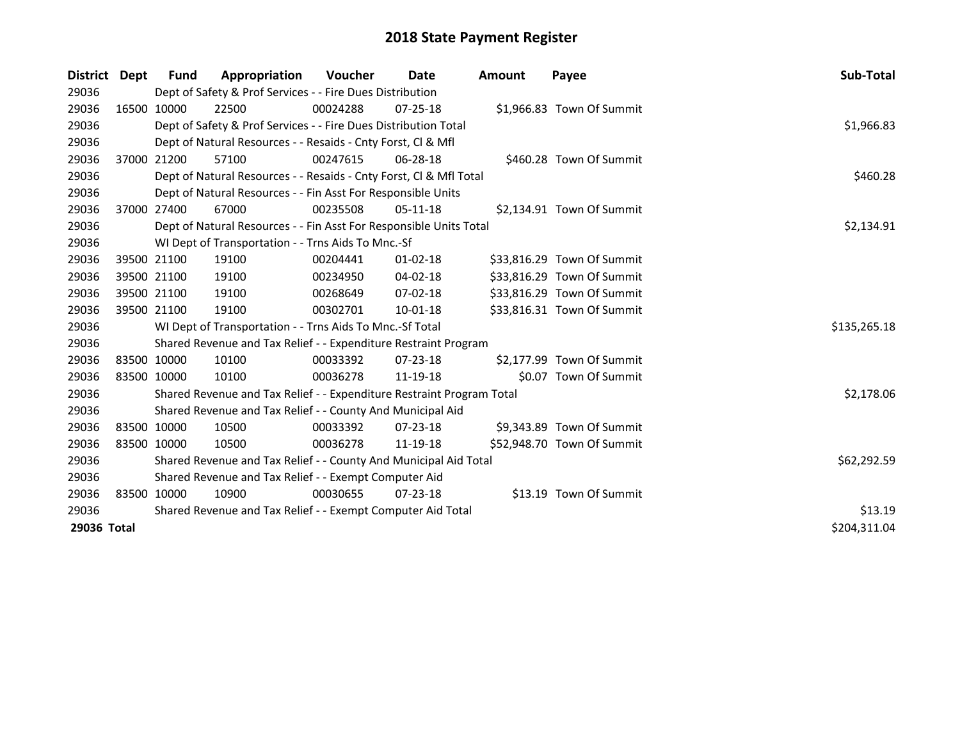| <b>District</b> | <b>Dept</b>  | <b>Fund</b> | Appropriation                                                         | <b>Voucher</b> | Date           | Amount | Payee                      | Sub-Total    |
|-----------------|--------------|-------------|-----------------------------------------------------------------------|----------------|----------------|--------|----------------------------|--------------|
| 29036           |              |             | Dept of Safety & Prof Services - - Fire Dues Distribution             |                |                |        |                            |              |
| 29036           |              | 16500 10000 | 22500                                                                 | 00024288       | $07 - 25 - 18$ |        | \$1,966.83 Town Of Summit  |              |
| 29036           |              |             | Dept of Safety & Prof Services - - Fire Dues Distribution Total       |                |                |        |                            | \$1,966.83   |
| 29036           |              |             | Dept of Natural Resources - - Resaids - Cnty Forst, Cl & Mfl          |                |                |        |                            |              |
| 29036           |              | 37000 21200 | 57100                                                                 | 00247615       | 06-28-18       |        | \$460.28 Town Of Summit    |              |
| 29036           |              |             | Dept of Natural Resources - - Resaids - Cnty Forst, CI & Mfl Total    |                |                |        |                            | \$460.28     |
| 29036           |              |             | Dept of Natural Resources - - Fin Asst For Responsible Units          |                |                |        |                            |              |
| 29036           |              | 37000 27400 | 67000                                                                 | 00235508       | 05-11-18       |        | \$2,134.91 Town Of Summit  |              |
| 29036           |              |             | Dept of Natural Resources - - Fin Asst For Responsible Units Total    |                |                |        |                            | \$2,134.91   |
| 29036           |              |             | WI Dept of Transportation - - Trns Aids To Mnc.-Sf                    |                |                |        |                            |              |
| 29036           |              | 39500 21100 | 19100                                                                 | 00204441       | $01-02-18$     |        | \$33,816.29 Town Of Summit |              |
| 29036           |              | 39500 21100 | 19100                                                                 | 00234950       | 04-02-18       |        | \$33,816.29 Town Of Summit |              |
| 29036           |              | 39500 21100 | 19100                                                                 | 00268649       | $07 - 02 - 18$ |        | \$33,816.29 Town Of Summit |              |
| 29036           |              | 39500 21100 | 19100                                                                 | 00302701       | 10-01-18       |        | \$33,816.31 Town Of Summit |              |
| 29036           |              |             | WI Dept of Transportation - - Trns Aids To Mnc.-Sf Total              |                |                |        |                            | \$135,265.18 |
| 29036           |              |             | Shared Revenue and Tax Relief - - Expenditure Restraint Program       |                |                |        |                            |              |
| 29036           | 83500 10000  |             | 10100                                                                 | 00033392       | $07 - 23 - 18$ |        | \$2,177.99 Town Of Summit  |              |
| 29036           | 83500 10000  |             | 10100                                                                 | 00036278       | 11-19-18       |        | \$0.07 Town Of Summit      |              |
| 29036           |              |             | Shared Revenue and Tax Relief - - Expenditure Restraint Program Total |                |                |        |                            | \$2,178.06   |
| 29036           |              |             | Shared Revenue and Tax Relief - - County And Municipal Aid            |                |                |        |                            |              |
| 29036           | 83500 10000  |             | 10500                                                                 | 00033392       | $07 - 23 - 18$ |        | \$9,343.89 Town Of Summit  |              |
| 29036           | 83500 10000  |             | 10500                                                                 | 00036278       | 11-19-18       |        | \$52,948.70 Town Of Summit |              |
| 29036           |              |             | Shared Revenue and Tax Relief - - County And Municipal Aid Total      |                |                |        |                            | \$62,292.59  |
| 29036           |              |             | Shared Revenue and Tax Relief - - Exempt Computer Aid                 |                |                |        |                            |              |
| 29036           |              | 83500 10000 | 10900                                                                 | 00030655       | $07 - 23 - 18$ |        | \$13.19 Town Of Summit     |              |
| 29036           |              |             | Shared Revenue and Tax Relief - - Exempt Computer Aid Total           | \$13.19        |                |        |                            |              |
| 29036 Total     | \$204,311.04 |             |                                                                       |                |                |        |                            |              |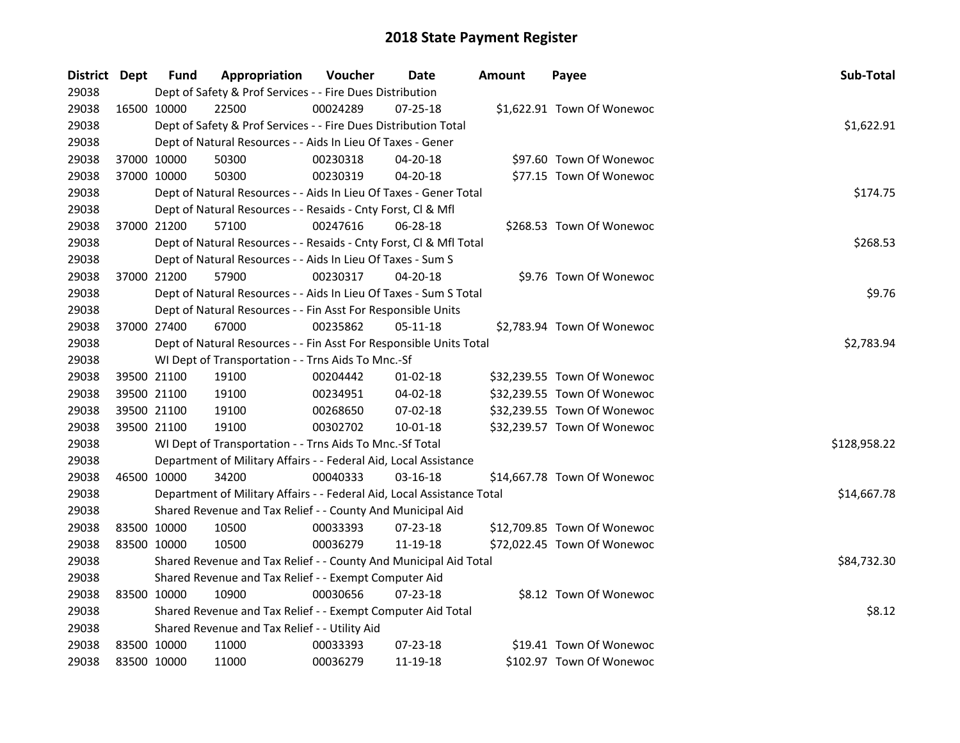| District Dept |             | <b>Fund</b>                                                 | Appropriation                                                          | Voucher  | Date           | Amount | Payee                       | Sub-Total    |
|---------------|-------------|-------------------------------------------------------------|------------------------------------------------------------------------|----------|----------------|--------|-----------------------------|--------------|
| 29038         |             |                                                             | Dept of Safety & Prof Services - - Fire Dues Distribution              |          |                |        |                             |              |
| 29038         | 16500 10000 |                                                             | 22500                                                                  | 00024289 | $07 - 25 - 18$ |        | \$1,622.91 Town Of Wonewoc  |              |
| 29038         |             |                                                             | Dept of Safety & Prof Services - - Fire Dues Distribution Total        |          |                |        |                             | \$1,622.91   |
| 29038         |             |                                                             | Dept of Natural Resources - - Aids In Lieu Of Taxes - Gener            |          |                |        |                             |              |
| 29038         | 37000 10000 |                                                             | 50300                                                                  | 00230318 | $04 - 20 - 18$ |        | \$97.60 Town Of Wonewoc     |              |
| 29038         | 37000 10000 |                                                             | 50300                                                                  | 00230319 | $04 - 20 - 18$ |        | \$77.15 Town Of Wonewoc     |              |
| 29038         |             |                                                             | Dept of Natural Resources - - Aids In Lieu Of Taxes - Gener Total      |          |                |        |                             | \$174.75     |
| 29038         |             |                                                             | Dept of Natural Resources - - Resaids - Cnty Forst, Cl & Mfl           |          |                |        |                             |              |
| 29038         | 37000 21200 |                                                             | 57100                                                                  | 00247616 | 06-28-18       |        | \$268.53 Town Of Wonewoc    |              |
| 29038         |             |                                                             | Dept of Natural Resources - - Resaids - Cnty Forst, Cl & Mfl Total     |          |                |        |                             | \$268.53     |
| 29038         |             |                                                             | Dept of Natural Resources - - Aids In Lieu Of Taxes - Sum S            |          |                |        |                             |              |
| 29038         | 37000 21200 |                                                             | 57900                                                                  | 00230317 | 04-20-18       |        | \$9.76 Town Of Wonewoc      |              |
| 29038         |             |                                                             | Dept of Natural Resources - - Aids In Lieu Of Taxes - Sum S Total      |          |                |        |                             | \$9.76       |
| 29038         |             |                                                             | Dept of Natural Resources - - Fin Asst For Responsible Units           |          |                |        |                             |              |
| 29038         | 37000 27400 |                                                             | 67000                                                                  | 00235862 | 05-11-18       |        | \$2,783.94 Town Of Wonewoc  |              |
| 29038         |             |                                                             | Dept of Natural Resources - - Fin Asst For Responsible Units Total     |          |                |        |                             | \$2,783.94   |
| 29038         |             |                                                             | WI Dept of Transportation - - Trns Aids To Mnc.-Sf                     |          |                |        |                             |              |
| 29038         | 39500 21100 |                                                             | 19100                                                                  | 00204442 | $01 - 02 - 18$ |        | \$32,239.55 Town Of Wonewoc |              |
| 29038         | 39500 21100 |                                                             | 19100                                                                  | 00234951 | 04-02-18       |        | \$32,239.55 Town Of Wonewoc |              |
| 29038         | 39500 21100 |                                                             | 19100                                                                  | 00268650 | 07-02-18       |        | \$32,239.55 Town Of Wonewoc |              |
| 29038         | 39500 21100 |                                                             | 19100                                                                  | 00302702 | $10 - 01 - 18$ |        | \$32,239.57 Town Of Wonewoc |              |
| 29038         |             |                                                             | WI Dept of Transportation - - Trns Aids To Mnc.-Sf Total               |          |                |        |                             | \$128,958.22 |
| 29038         |             |                                                             | Department of Military Affairs - - Federal Aid, Local Assistance       |          |                |        |                             |              |
| 29038         | 46500 10000 |                                                             | 34200                                                                  | 00040333 | 03-16-18       |        | \$14,667.78 Town Of Wonewoc |              |
| 29038         |             |                                                             | Department of Military Affairs - - Federal Aid, Local Assistance Total |          |                |        |                             | \$14,667.78  |
| 29038         |             |                                                             | Shared Revenue and Tax Relief - - County And Municipal Aid             |          |                |        |                             |              |
| 29038         | 83500 10000 |                                                             | 10500                                                                  | 00033393 | 07-23-18       |        | \$12,709.85 Town Of Wonewoc |              |
| 29038         | 83500 10000 |                                                             | 10500                                                                  | 00036279 | 11-19-18       |        | \$72,022.45 Town Of Wonewoc |              |
| 29038         |             |                                                             | Shared Revenue and Tax Relief - - County And Municipal Aid Total       |          |                |        |                             | \$84,732.30  |
| 29038         |             |                                                             | Shared Revenue and Tax Relief - - Exempt Computer Aid                  |          |                |        |                             |              |
| 29038         | 83500 10000 |                                                             | 10900                                                                  | 00030656 | 07-23-18       |        | \$8.12 Town Of Wonewoc      |              |
| 29038         |             | Shared Revenue and Tax Relief - - Exempt Computer Aid Total | \$8.12                                                                 |          |                |        |                             |              |
| 29038         |             |                                                             | Shared Revenue and Tax Relief - - Utility Aid                          |          |                |        |                             |              |
| 29038         | 83500 10000 |                                                             | 11000                                                                  | 00033393 | 07-23-18       |        | \$19.41 Town Of Wonewoc     |              |
| 29038         | 83500 10000 |                                                             | 11000                                                                  | 00036279 | 11-19-18       |        | \$102.97 Town Of Wonewoc    |              |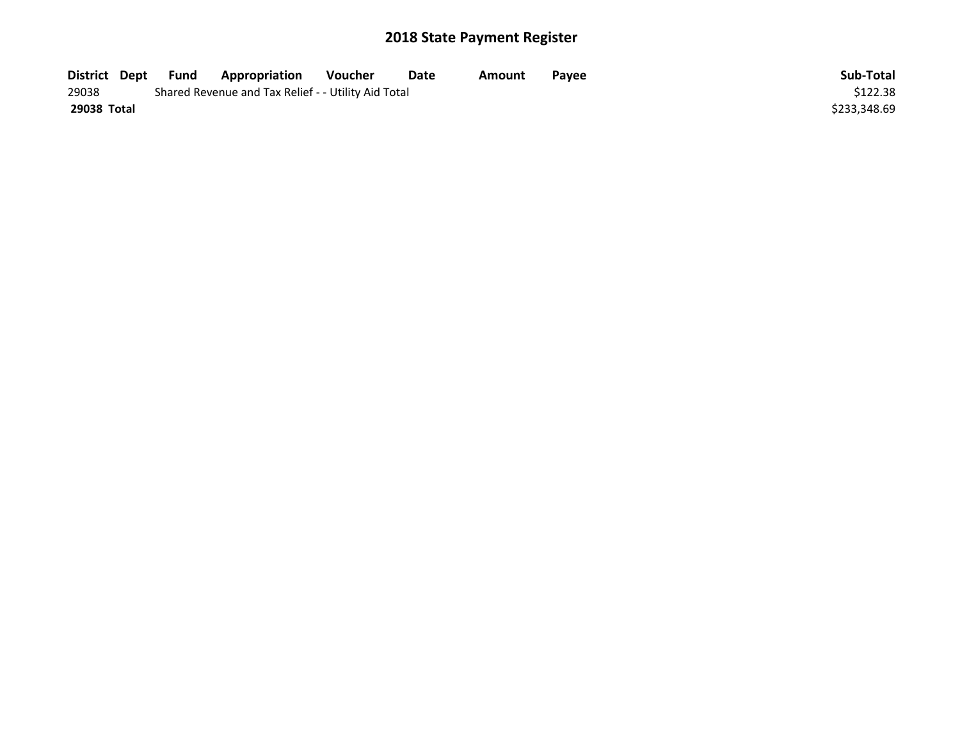| District Dept | Fund | <b>Appropriation</b>                                | Voucher | Date | Amount | Pavee | Sub-Total    |
|---------------|------|-----------------------------------------------------|---------|------|--------|-------|--------------|
| 29038         |      | Shared Revenue and Tax Relief - - Utility Aid Total |         |      |        |       | \$122.38     |
| 29038 Total   |      |                                                     |         |      |        |       | \$233,348.69 |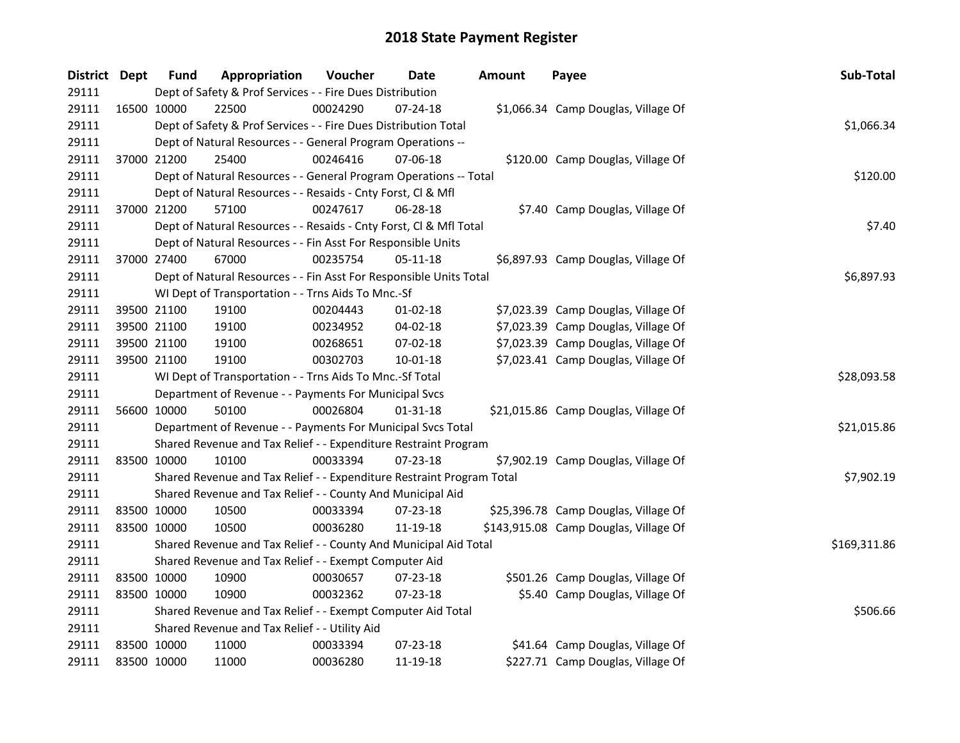| District Dept |             | <b>Fund</b> | Appropriation                                                         | Voucher  | Date           | <b>Amount</b> | Payee                                 | Sub-Total    |
|---------------|-------------|-------------|-----------------------------------------------------------------------|----------|----------------|---------------|---------------------------------------|--------------|
| 29111         |             |             | Dept of Safety & Prof Services - - Fire Dues Distribution             |          |                |               |                                       |              |
| 29111         |             | 16500 10000 | 22500                                                                 | 00024290 | 07-24-18       |               | \$1,066.34 Camp Douglas, Village Of   |              |
| 29111         |             |             | Dept of Safety & Prof Services - - Fire Dues Distribution Total       |          |                |               |                                       | \$1,066.34   |
| 29111         |             |             | Dept of Natural Resources - - General Program Operations --           |          |                |               |                                       |              |
| 29111         |             | 37000 21200 | 25400                                                                 | 00246416 | $07 - 06 - 18$ |               | \$120.00 Camp Douglas, Village Of     |              |
| 29111         |             |             | Dept of Natural Resources - - General Program Operations -- Total     |          |                |               |                                       | \$120.00     |
| 29111         |             |             | Dept of Natural Resources - - Resaids - Cnty Forst, Cl & Mfl          |          |                |               |                                       |              |
| 29111         |             | 37000 21200 | 57100                                                                 | 00247617 | 06-28-18       |               | \$7.40 Camp Douglas, Village Of       |              |
| 29111         |             |             | Dept of Natural Resources - - Resaids - Cnty Forst, Cl & Mfl Total    |          |                |               |                                       | \$7.40       |
| 29111         |             |             | Dept of Natural Resources - - Fin Asst For Responsible Units          |          |                |               |                                       |              |
| 29111         |             | 37000 27400 | 67000                                                                 | 00235754 | 05-11-18       |               | \$6,897.93 Camp Douglas, Village Of   |              |
| 29111         |             |             | Dept of Natural Resources - - Fin Asst For Responsible Units Total    |          |                |               |                                       | \$6,897.93   |
| 29111         |             |             | WI Dept of Transportation - - Trns Aids To Mnc.-Sf                    |          |                |               |                                       |              |
| 29111         |             | 39500 21100 | 19100                                                                 | 00204443 | 01-02-18       |               | \$7,023.39 Camp Douglas, Village Of   |              |
| 29111         |             | 39500 21100 | 19100                                                                 | 00234952 | 04-02-18       |               | \$7,023.39 Camp Douglas, Village Of   |              |
| 29111         |             | 39500 21100 | 19100                                                                 | 00268651 | 07-02-18       |               | \$7,023.39 Camp Douglas, Village Of   |              |
| 29111         |             | 39500 21100 | 19100                                                                 | 00302703 | 10-01-18       |               | \$7,023.41 Camp Douglas, Village Of   |              |
| 29111         |             |             | WI Dept of Transportation - - Trns Aids To Mnc.-Sf Total              |          |                |               |                                       | \$28,093.58  |
| 29111         |             |             | Department of Revenue - - Payments For Municipal Svcs                 |          |                |               |                                       |              |
| 29111         |             | 56600 10000 | 50100                                                                 | 00026804 | $01 - 31 - 18$ |               | \$21,015.86 Camp Douglas, Village Of  |              |
| 29111         |             |             | Department of Revenue - - Payments For Municipal Svcs Total           |          |                |               |                                       | \$21,015.86  |
| 29111         |             |             | Shared Revenue and Tax Relief - - Expenditure Restraint Program       |          |                |               |                                       |              |
| 29111         | 83500 10000 |             | 10100                                                                 | 00033394 | 07-23-18       |               | \$7,902.19 Camp Douglas, Village Of   |              |
| 29111         |             |             | Shared Revenue and Tax Relief - - Expenditure Restraint Program Total |          |                |               |                                       | \$7,902.19   |
| 29111         |             |             | Shared Revenue and Tax Relief - - County And Municipal Aid            |          |                |               |                                       |              |
| 29111         | 83500 10000 |             | 10500                                                                 | 00033394 | 07-23-18       |               | \$25,396.78 Camp Douglas, Village Of  |              |
| 29111         | 83500 10000 |             | 10500                                                                 | 00036280 | 11-19-18       |               | \$143,915.08 Camp Douglas, Village Of |              |
| 29111         |             |             | Shared Revenue and Tax Relief - - County And Municipal Aid Total      |          |                |               |                                       | \$169,311.86 |
| 29111         |             |             | Shared Revenue and Tax Relief - - Exempt Computer Aid                 |          |                |               |                                       |              |
| 29111         | 83500 10000 |             | 10900                                                                 | 00030657 | 07-23-18       |               | \$501.26 Camp Douglas, Village Of     |              |
| 29111         | 83500 10000 |             | 10900                                                                 | 00032362 | 07-23-18       |               | \$5.40 Camp Douglas, Village Of       |              |
| 29111         |             |             | Shared Revenue and Tax Relief - - Exempt Computer Aid Total           |          |                |               |                                       | \$506.66     |
| 29111         |             |             | Shared Revenue and Tax Relief - - Utility Aid                         |          |                |               |                                       |              |
| 29111         | 83500 10000 |             | 11000                                                                 | 00033394 | 07-23-18       |               | \$41.64 Camp Douglas, Village Of      |              |
| 29111         | 83500 10000 |             | 11000                                                                 | 00036280 | 11-19-18       |               | \$227.71 Camp Douglas, Village Of     |              |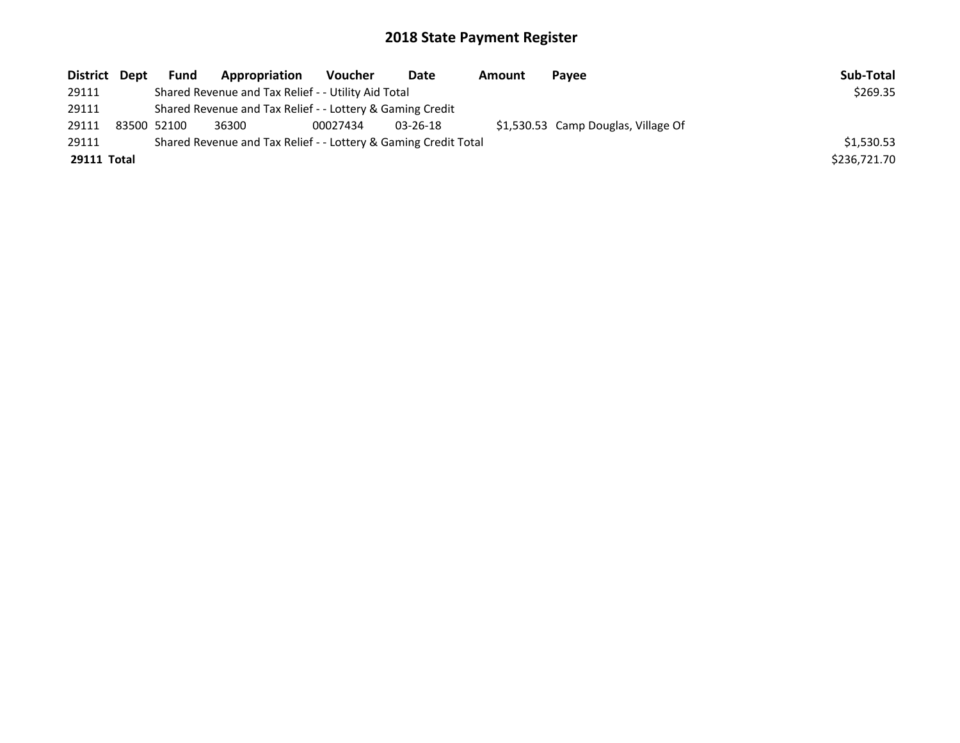| District Dept | <b>Fund</b>                                               | Appropriation                                                   | Voucher  | Date           | Amount | Payee                               | Sub-Total    |
|---------------|-----------------------------------------------------------|-----------------------------------------------------------------|----------|----------------|--------|-------------------------------------|--------------|
| 29111         |                                                           | Shared Revenue and Tax Relief - - Utility Aid Total             |          |                |        |                                     | \$269.35     |
| 29111         | Shared Revenue and Tax Relief - - Lottery & Gaming Credit |                                                                 |          |                |        |                                     |              |
| 29111         | 83500 52100                                               | 36300                                                           | 00027434 | $03 - 26 - 18$ |        | \$1,530.53 Camp Douglas, Village Of |              |
| 29111         |                                                           | Shared Revenue and Tax Relief - - Lottery & Gaming Credit Total |          |                |        |                                     | \$1.530.53   |
| 29111 Total   |                                                           |                                                                 |          |                |        |                                     | \$236,721.70 |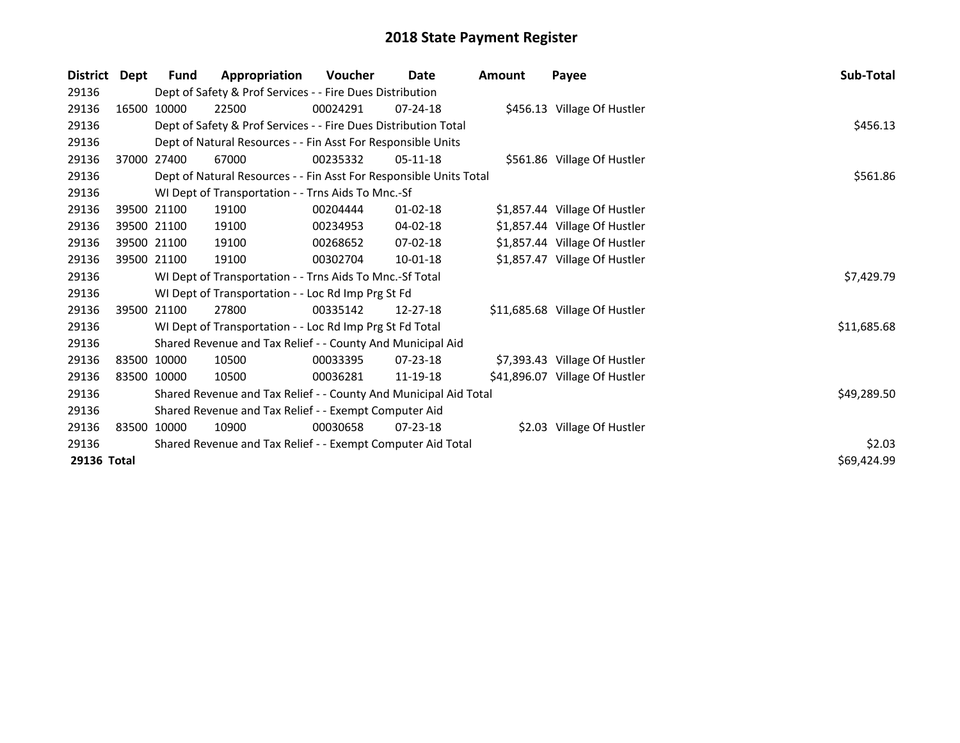| <b>District</b> | Dept | <b>Fund</b>                                                 | Appropriation                                                      | <b>Voucher</b> | Date           | <b>Amount</b> | Payee                          | Sub-Total   |  |  |  |
|-----------------|------|-------------------------------------------------------------|--------------------------------------------------------------------|----------------|----------------|---------------|--------------------------------|-------------|--|--|--|
| 29136           |      |                                                             | Dept of Safety & Prof Services - - Fire Dues Distribution          |                |                |               |                                |             |  |  |  |
| 29136           |      | 16500 10000                                                 | 22500                                                              | 00024291       | $07 - 24 - 18$ |               | \$456.13 Village Of Hustler    |             |  |  |  |
| 29136           |      |                                                             | Dept of Safety & Prof Services - - Fire Dues Distribution Total    |                |                |               |                                |             |  |  |  |
| 29136           |      |                                                             | Dept of Natural Resources - - Fin Asst For Responsible Units       |                |                |               |                                |             |  |  |  |
| 29136           |      | 37000 27400                                                 | 67000                                                              | 00235332       | $05-11-18$     |               | \$561.86 Village Of Hustler    |             |  |  |  |
| 29136           |      |                                                             | Dept of Natural Resources - - Fin Asst For Responsible Units Total |                |                |               |                                | \$561.86    |  |  |  |
| 29136           |      |                                                             | WI Dept of Transportation - - Trns Aids To Mnc.-Sf                 |                |                |               |                                |             |  |  |  |
| 29136           |      | 39500 21100                                                 | 19100                                                              | 00204444       | $01 - 02 - 18$ |               | \$1,857.44 Village Of Hustler  |             |  |  |  |
| 29136           |      | 39500 21100                                                 | 19100                                                              | 00234953       | $04 - 02 - 18$ |               | \$1,857.44 Village Of Hustler  |             |  |  |  |
| 29136           |      | 39500 21100                                                 | 19100                                                              | 00268652       | $07 - 02 - 18$ |               | \$1,857.44 Village Of Hustler  |             |  |  |  |
| 29136           |      | 39500 21100                                                 | 19100                                                              | 00302704       | $10 - 01 - 18$ |               | \$1,857.47 Village Of Hustler  |             |  |  |  |
| 29136           |      |                                                             | WI Dept of Transportation - - Trns Aids To Mnc.-Sf Total           |                |                |               |                                | \$7,429.79  |  |  |  |
| 29136           |      |                                                             | WI Dept of Transportation - - Loc Rd Imp Prg St Fd                 |                |                |               |                                |             |  |  |  |
| 29136           |      | 39500 21100                                                 | 27800                                                              | 00335142       | $12 - 27 - 18$ |               | \$11,685.68 Village Of Hustler |             |  |  |  |
| 29136           |      |                                                             | WI Dept of Transportation - - Loc Rd Imp Prg St Fd Total           |                |                |               |                                | \$11,685.68 |  |  |  |
| 29136           |      |                                                             | Shared Revenue and Tax Relief - - County And Municipal Aid         |                |                |               |                                |             |  |  |  |
| 29136           |      | 83500 10000                                                 | 10500                                                              | 00033395       | $07 - 23 - 18$ |               | \$7,393.43 Village Of Hustler  |             |  |  |  |
| 29136           |      | 83500 10000                                                 | 10500                                                              | 00036281       | 11-19-18       |               | \$41,896.07 Village Of Hustler |             |  |  |  |
| 29136           |      |                                                             | Shared Revenue and Tax Relief - - County And Municipal Aid Total   | \$49,289.50    |                |               |                                |             |  |  |  |
| 29136           |      | Shared Revenue and Tax Relief - - Exempt Computer Aid       |                                                                    |                |                |               |                                |             |  |  |  |
| 29136           |      | 83500 10000                                                 | 10900                                                              | 00030658       | $07 - 23 - 18$ |               | \$2.03 Village Of Hustler      |             |  |  |  |
| 29136           |      | Shared Revenue and Tax Relief - - Exempt Computer Aid Total |                                                                    |                |                |               |                                |             |  |  |  |
| 29136 Total     |      |                                                             |                                                                    |                |                |               |                                | \$69,424.99 |  |  |  |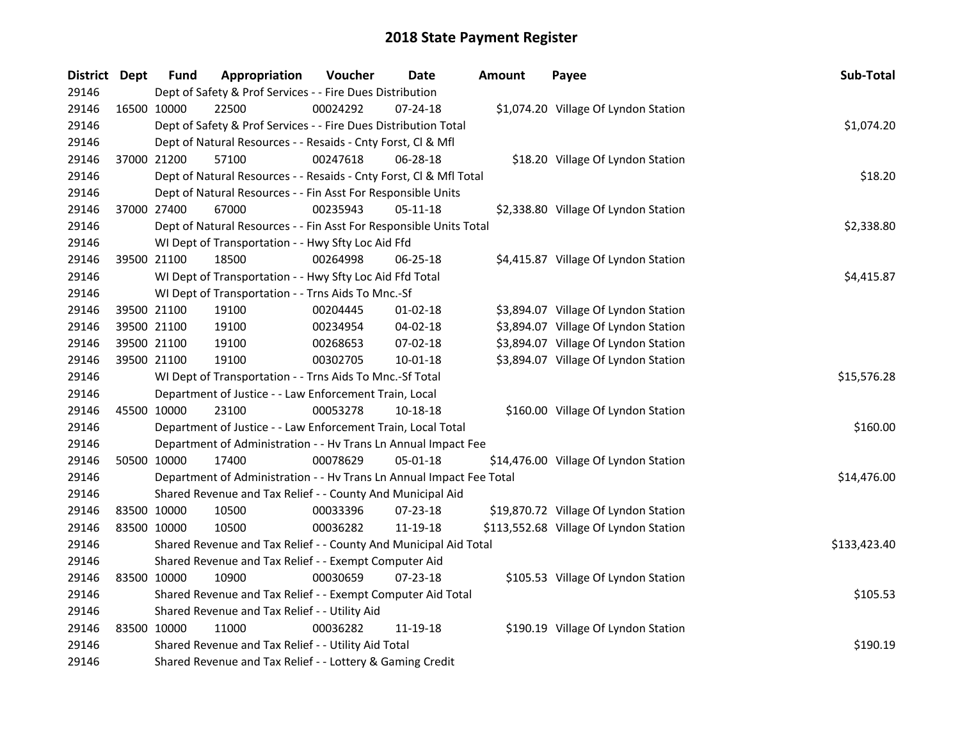| District Dept |             | <b>Fund</b> | Appropriation                                                        | Voucher  | Date           | <b>Amount</b> | Payee                                  | Sub-Total    |
|---------------|-------------|-------------|----------------------------------------------------------------------|----------|----------------|---------------|----------------------------------------|--------------|
| 29146         |             |             | Dept of Safety & Prof Services - - Fire Dues Distribution            |          |                |               |                                        |              |
| 29146         | 16500 10000 |             | 22500                                                                | 00024292 | $07 - 24 - 18$ |               | \$1,074.20 Village Of Lyndon Station   |              |
| 29146         |             |             | Dept of Safety & Prof Services - - Fire Dues Distribution Total      |          |                |               |                                        | \$1,074.20   |
| 29146         |             |             | Dept of Natural Resources - - Resaids - Cnty Forst, Cl & Mfl         |          |                |               |                                        |              |
| 29146         | 37000 21200 |             | 57100                                                                | 00247618 | 06-28-18       |               | \$18.20 Village Of Lyndon Station      |              |
| 29146         |             |             | Dept of Natural Resources - - Resaids - Cnty Forst, Cl & Mfl Total   |          |                |               |                                        | \$18.20      |
| 29146         |             |             | Dept of Natural Resources - - Fin Asst For Responsible Units         |          |                |               |                                        |              |
| 29146         |             | 37000 27400 | 67000                                                                | 00235943 | 05-11-18       |               | \$2,338.80 Village Of Lyndon Station   |              |
| 29146         |             |             | Dept of Natural Resources - - Fin Asst For Responsible Units Total   |          |                |               |                                        | \$2,338.80   |
| 29146         |             |             | WI Dept of Transportation - - Hwy Sfty Loc Aid Ffd                   |          |                |               |                                        |              |
| 29146         |             | 39500 21100 | 18500                                                                | 00264998 | 06-25-18       |               | \$4,415.87 Village Of Lyndon Station   |              |
| 29146         |             |             | WI Dept of Transportation - - Hwy Sfty Loc Aid Ffd Total             |          |                |               |                                        | \$4,415.87   |
| 29146         |             |             | WI Dept of Transportation - - Trns Aids To Mnc.-Sf                   |          |                |               |                                        |              |
| 29146         |             | 39500 21100 | 19100                                                                | 00204445 | $01-02-18$     |               | \$3,894.07 Village Of Lyndon Station   |              |
| 29146         |             | 39500 21100 | 19100                                                                | 00234954 | 04-02-18       |               | \$3,894.07 Village Of Lyndon Station   |              |
| 29146         |             | 39500 21100 | 19100                                                                | 00268653 | 07-02-18       |               | \$3,894.07 Village Of Lyndon Station   |              |
| 29146         |             | 39500 21100 | 19100                                                                | 00302705 | 10-01-18       |               | \$3,894.07 Village Of Lyndon Station   |              |
| 29146         |             |             | WI Dept of Transportation - - Trns Aids To Mnc.-Sf Total             |          |                |               |                                        | \$15,576.28  |
| 29146         |             |             | Department of Justice - - Law Enforcement Train, Local               |          |                |               |                                        |              |
| 29146         |             | 45500 10000 | 23100                                                                | 00053278 | 10-18-18       |               | \$160.00 Village Of Lyndon Station     |              |
| 29146         |             |             | Department of Justice - - Law Enforcement Train, Local Total         |          |                |               |                                        | \$160.00     |
| 29146         |             |             | Department of Administration - - Hv Trans Ln Annual Impact Fee       |          |                |               |                                        |              |
| 29146         |             | 50500 10000 | 17400                                                                | 00078629 | 05-01-18       |               | \$14,476.00 Village Of Lyndon Station  |              |
| 29146         |             |             | Department of Administration - - Hv Trans Ln Annual Impact Fee Total |          |                |               |                                        | \$14,476.00  |
| 29146         |             |             | Shared Revenue and Tax Relief - - County And Municipal Aid           |          |                |               |                                        |              |
| 29146         |             | 83500 10000 | 10500                                                                | 00033396 | 07-23-18       |               | \$19,870.72 Village Of Lyndon Station  |              |
| 29146         |             | 83500 10000 | 10500                                                                | 00036282 | 11-19-18       |               | \$113,552.68 Village Of Lyndon Station |              |
| 29146         |             |             | Shared Revenue and Tax Relief - - County And Municipal Aid Total     |          |                |               |                                        | \$133,423.40 |
| 29146         |             |             | Shared Revenue and Tax Relief - - Exempt Computer Aid                |          |                |               |                                        |              |
| 29146         |             | 83500 10000 | 10900                                                                | 00030659 | 07-23-18       |               | \$105.53 Village Of Lyndon Station     |              |
| 29146         |             |             | Shared Revenue and Tax Relief - - Exempt Computer Aid Total          |          |                |               |                                        | \$105.53     |
| 29146         |             |             | Shared Revenue and Tax Relief - - Utility Aid                        |          |                |               |                                        |              |
| 29146         |             | 83500 10000 | 11000                                                                | 00036282 | 11-19-18       |               | \$190.19 Village Of Lyndon Station     |              |
| 29146         |             |             | Shared Revenue and Tax Relief - - Utility Aid Total                  | \$190.19 |                |               |                                        |              |
| 29146         |             |             | Shared Revenue and Tax Relief - - Lottery & Gaming Credit            |          |                |               |                                        |              |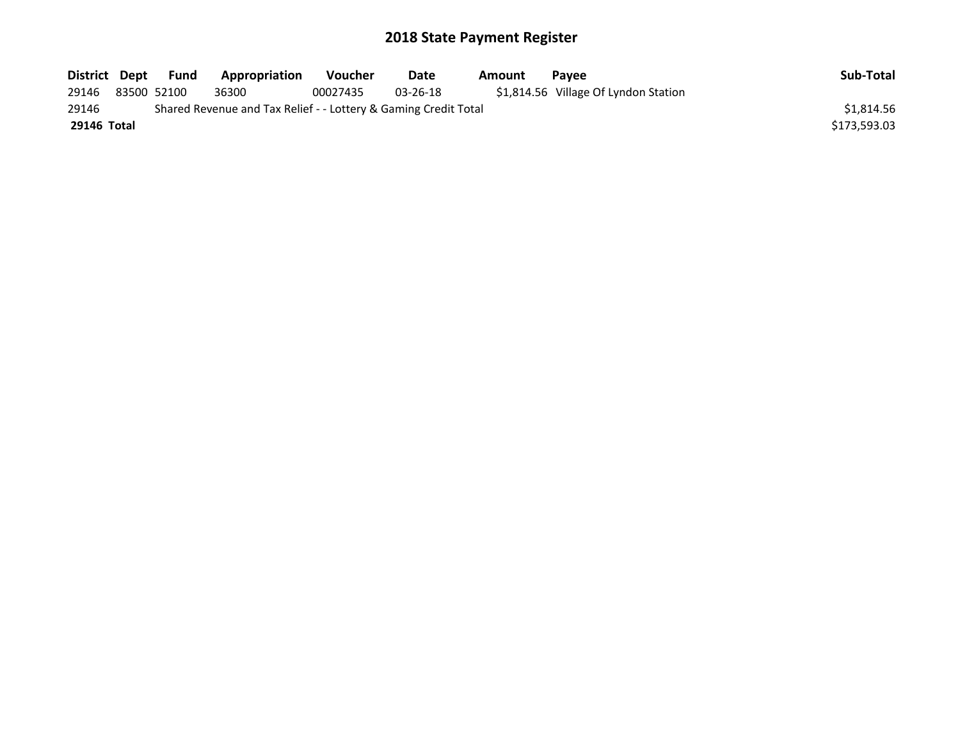| District Dept |             | Fund | Appropriation                                                   | <b>Voucher</b> | Date     | Amount | <b>Pavee</b>                         | Sub-Total    |
|---------------|-------------|------|-----------------------------------------------------------------|----------------|----------|--------|--------------------------------------|--------------|
| 29146         | 83500 52100 |      | 36300                                                           | 00027435       | 03-26-18 |        | \$1,814.56 Village Of Lyndon Station |              |
| 29146         |             |      | Shared Revenue and Tax Relief - - Lottery & Gaming Credit Total |                |          |        |                                      | \$1.814.56   |
| 29146 Total   |             |      |                                                                 |                |          |        |                                      | \$173.593.03 |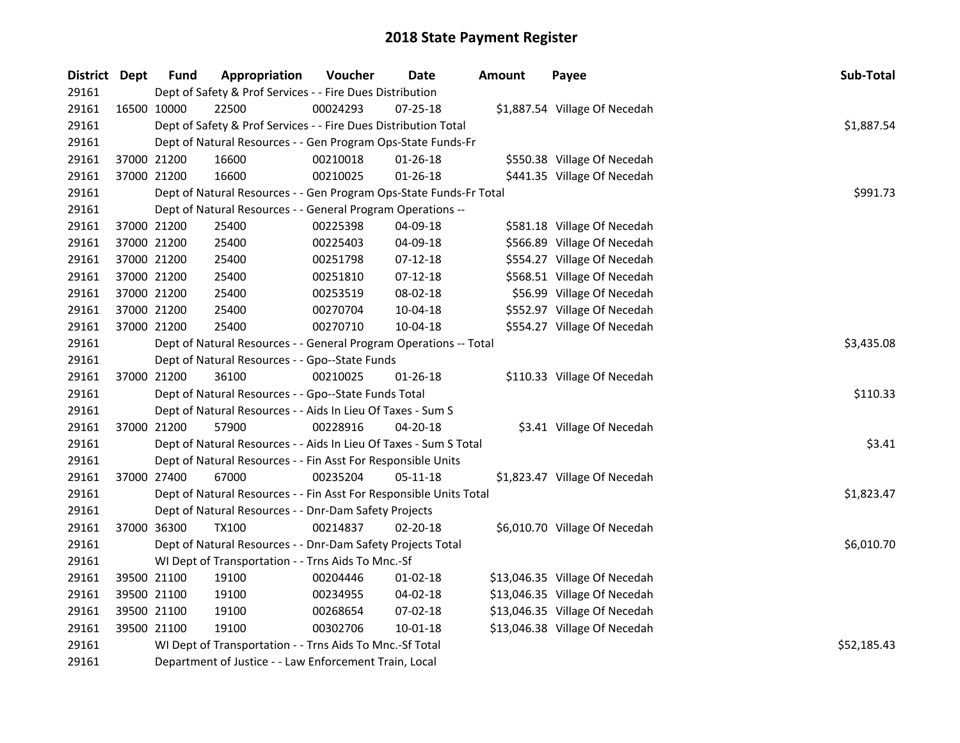| District Dept |             | <b>Fund</b> | Appropriation                                                                                                      | Voucher  | Date           | <b>Amount</b> | Payee                          | Sub-Total   |  |  |  |  |
|---------------|-------------|-------------|--------------------------------------------------------------------------------------------------------------------|----------|----------------|---------------|--------------------------------|-------------|--|--|--|--|
| 29161         |             |             | Dept of Safety & Prof Services - - Fire Dues Distribution                                                          |          |                |               |                                |             |  |  |  |  |
| 29161         |             | 16500 10000 | 22500                                                                                                              | 00024293 | 07-25-18       |               | \$1,887.54 Village Of Necedah  |             |  |  |  |  |
| 29161         |             |             | Dept of Safety & Prof Services - - Fire Dues Distribution Total                                                    |          |                |               |                                | \$1,887.54  |  |  |  |  |
| 29161         |             |             | Dept of Natural Resources - - Gen Program Ops-State Funds-Fr                                                       |          |                |               |                                |             |  |  |  |  |
| 29161         |             | 37000 21200 | 16600                                                                                                              | 00210018 | $01 - 26 - 18$ |               | \$550.38 Village Of Necedah    |             |  |  |  |  |
| 29161         | 37000 21200 |             | 16600                                                                                                              | 00210025 | $01 - 26 - 18$ |               | \$441.35 Village Of Necedah    |             |  |  |  |  |
| 29161         |             |             | Dept of Natural Resources - - Gen Program Ops-State Funds-Fr Total                                                 |          |                |               |                                | \$991.73    |  |  |  |  |
| 29161         |             |             | Dept of Natural Resources - - General Program Operations --                                                        |          |                |               |                                |             |  |  |  |  |
| 29161         |             | 37000 21200 | 25400                                                                                                              | 00225398 | 04-09-18       |               | \$581.18 Village Of Necedah    |             |  |  |  |  |
| 29161         |             | 37000 21200 | 25400                                                                                                              | 00225403 | 04-09-18       |               | \$566.89 Village Of Necedah    |             |  |  |  |  |
| 29161         |             | 37000 21200 | 25400                                                                                                              | 00251798 | $07-12-18$     |               | \$554.27 Village Of Necedah    |             |  |  |  |  |
| 29161         |             | 37000 21200 | 25400                                                                                                              | 00251810 | $07-12-18$     |               | \$568.51 Village Of Necedah    |             |  |  |  |  |
| 29161         |             | 37000 21200 | 25400                                                                                                              | 00253519 | 08-02-18       |               | \$56.99 Village Of Necedah     |             |  |  |  |  |
| 29161         | 37000 21200 |             | 25400                                                                                                              | 00270704 | 10-04-18       |               | \$552.97 Village Of Necedah    |             |  |  |  |  |
| 29161         |             | 37000 21200 | 25400                                                                                                              | 00270710 | 10-04-18       |               | \$554.27 Village Of Necedah    |             |  |  |  |  |
| 29161         |             |             | Dept of Natural Resources - - General Program Operations -- Total                                                  |          |                |               |                                | \$3,435.08  |  |  |  |  |
| 29161         |             |             | Dept of Natural Resources - - Gpo--State Funds                                                                     |          |                |               |                                |             |  |  |  |  |
| 29161         |             | 37000 21200 | 36100                                                                                                              | 00210025 | $01 - 26 - 18$ |               | \$110.33 Village Of Necedah    |             |  |  |  |  |
| 29161         |             |             | Dept of Natural Resources - - Gpo--State Funds Total                                                               |          |                |               |                                | \$110.33    |  |  |  |  |
| 29161         |             |             | Dept of Natural Resources - - Aids In Lieu Of Taxes - Sum S                                                        |          |                |               |                                |             |  |  |  |  |
| 29161         |             | 37000 21200 | 57900                                                                                                              | 00228916 | $04 - 20 - 18$ |               | \$3.41 Village Of Necedah      |             |  |  |  |  |
| 29161         |             |             | Dept of Natural Resources - - Aids In Lieu Of Taxes - Sum S Total                                                  |          |                |               |                                | \$3.41      |  |  |  |  |
| 29161         |             |             | Dept of Natural Resources - - Fin Asst For Responsible Units                                                       |          |                |               |                                |             |  |  |  |  |
| 29161         |             | 37000 27400 | 67000                                                                                                              | 00235204 | 05-11-18       |               | \$1,823.47 Village Of Necedah  |             |  |  |  |  |
| 29161         |             |             | Dept of Natural Resources - - Fin Asst For Responsible Units Total                                                 |          |                |               |                                | \$1,823.47  |  |  |  |  |
| 29161         |             |             | Dept of Natural Resources - - Dnr-Dam Safety Projects                                                              |          |                |               |                                |             |  |  |  |  |
| 29161         |             | 37000 36300 | <b>TX100</b>                                                                                                       | 00214837 | $02 - 20 - 18$ |               | \$6,010.70 Village Of Necedah  |             |  |  |  |  |
| 29161         |             |             | Dept of Natural Resources - - Dnr-Dam Safety Projects Total                                                        |          |                |               |                                | \$6,010.70  |  |  |  |  |
| 29161         |             |             | WI Dept of Transportation - - Trns Aids To Mnc.-Sf                                                                 |          |                |               |                                |             |  |  |  |  |
| 29161         |             | 39500 21100 | 19100                                                                                                              | 00204446 | $01 - 02 - 18$ |               | \$13,046.35 Village Of Necedah |             |  |  |  |  |
| 29161         | 39500 21100 |             | 19100                                                                                                              | 00234955 | 04-02-18       |               | \$13,046.35 Village Of Necedah |             |  |  |  |  |
| 29161         | 39500 21100 |             | 19100                                                                                                              | 00268654 | 07-02-18       |               | \$13,046.35 Village Of Necedah |             |  |  |  |  |
| 29161         |             | 39500 21100 | 19100                                                                                                              | 00302706 | 10-01-18       |               | \$13,046.38 Village Of Necedah |             |  |  |  |  |
| 29161         |             |             |                                                                                                                    |          |                |               |                                | \$52,185.43 |  |  |  |  |
| 29161         |             |             | WI Dept of Transportation - - Trns Aids To Mnc.-Sf Total<br>Department of Justice - - Law Enforcement Train, Local |          |                |               |                                |             |  |  |  |  |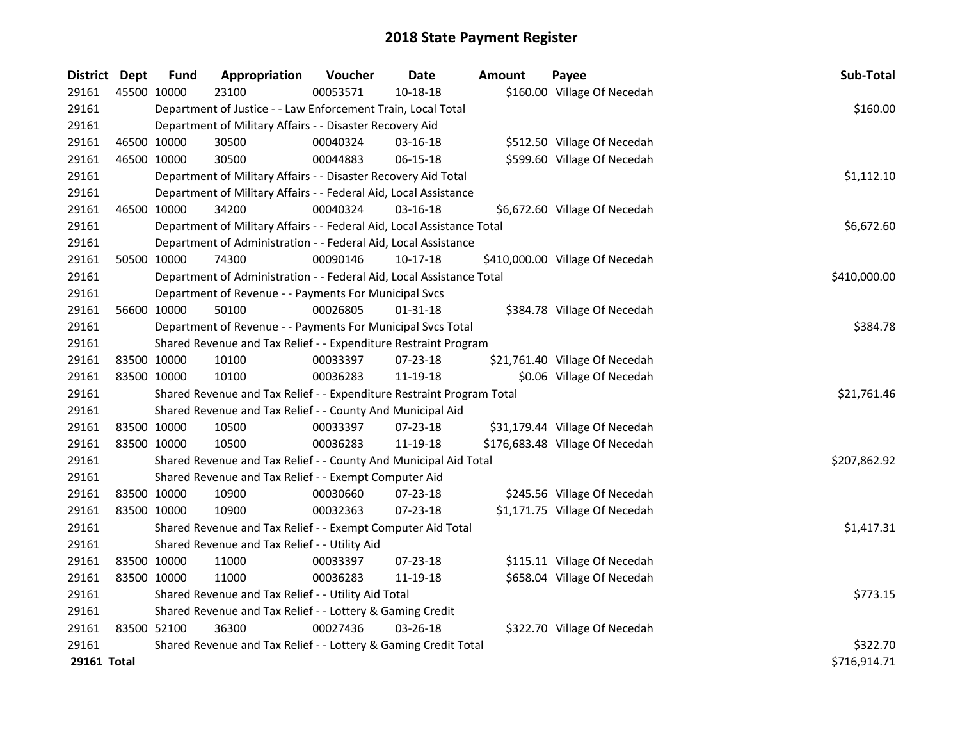| District Dept |             | <b>Fund</b> | Appropriation                                                          | Voucher  | Date           | Amount | Payee                           | Sub-Total    |
|---------------|-------------|-------------|------------------------------------------------------------------------|----------|----------------|--------|---------------------------------|--------------|
| 29161         | 45500 10000 |             | 23100                                                                  | 00053571 | 10-18-18       |        | \$160.00 Village Of Necedah     |              |
| 29161         |             |             | Department of Justice - - Law Enforcement Train, Local Total           |          |                |        |                                 | \$160.00     |
| 29161         |             |             | Department of Military Affairs - - Disaster Recovery Aid               |          |                |        |                                 |              |
| 29161         | 46500 10000 |             | 30500                                                                  | 00040324 | 03-16-18       |        | \$512.50 Village Of Necedah     |              |
| 29161         | 46500 10000 |             | 30500                                                                  | 00044883 | 06-15-18       |        | \$599.60 Village Of Necedah     |              |
| 29161         |             |             | Department of Military Affairs - - Disaster Recovery Aid Total         |          |                |        |                                 | \$1,112.10   |
| 29161         |             |             | Department of Military Affairs - - Federal Aid, Local Assistance       |          |                |        |                                 |              |
| 29161         | 46500 10000 |             | 34200                                                                  | 00040324 | 03-16-18       |        | \$6,672.60 Village Of Necedah   |              |
| 29161         |             |             | Department of Military Affairs - - Federal Aid, Local Assistance Total |          |                |        |                                 | \$6,672.60   |
| 29161         |             |             | Department of Administration - - Federal Aid, Local Assistance         |          |                |        |                                 |              |
| 29161         | 50500 10000 |             | 74300                                                                  | 00090146 | $10-17-18$     |        | \$410,000.00 Village Of Necedah |              |
| 29161         |             |             | Department of Administration - - Federal Aid, Local Assistance Total   |          |                |        |                                 | \$410,000.00 |
| 29161         |             |             | Department of Revenue - - Payments For Municipal Svcs                  |          |                |        |                                 |              |
| 29161         | 56600 10000 |             | 50100                                                                  | 00026805 | $01 - 31 - 18$ |        | \$384.78 Village Of Necedah     |              |
| 29161         |             |             | Department of Revenue - - Payments For Municipal Svcs Total            |          |                |        |                                 | \$384.78     |
| 29161         |             |             | Shared Revenue and Tax Relief - - Expenditure Restraint Program        |          |                |        |                                 |              |
| 29161         | 83500 10000 |             | 10100                                                                  | 00033397 | 07-23-18       |        | \$21,761.40 Village Of Necedah  |              |
| 29161         | 83500 10000 |             | 10100                                                                  | 00036283 | 11-19-18       |        | \$0.06 Village Of Necedah       |              |
| 29161         |             |             | Shared Revenue and Tax Relief - - Expenditure Restraint Program Total  |          |                |        |                                 | \$21,761.46  |
| 29161         |             |             | Shared Revenue and Tax Relief - - County And Municipal Aid             |          |                |        |                                 |              |
| 29161         | 83500 10000 |             | 10500                                                                  | 00033397 | 07-23-18       |        | \$31,179.44 Village Of Necedah  |              |
| 29161         | 83500 10000 |             | 10500                                                                  | 00036283 | 11-19-18       |        | \$176,683.48 Village Of Necedah |              |
| 29161         |             |             | Shared Revenue and Tax Relief - - County And Municipal Aid Total       |          |                |        |                                 | \$207,862.92 |
| 29161         |             |             | Shared Revenue and Tax Relief - - Exempt Computer Aid                  |          |                |        |                                 |              |
| 29161         | 83500 10000 |             | 10900                                                                  | 00030660 | 07-23-18       |        | \$245.56 Village Of Necedah     |              |
| 29161         | 83500 10000 |             | 10900                                                                  | 00032363 | 07-23-18       |        | \$1,171.75 Village Of Necedah   |              |
| 29161         |             |             | Shared Revenue and Tax Relief - - Exempt Computer Aid Total            |          |                |        |                                 | \$1,417.31   |
| 29161         |             |             | Shared Revenue and Tax Relief - - Utility Aid                          |          |                |        |                                 |              |
| 29161         | 83500 10000 |             | 11000                                                                  | 00033397 | 07-23-18       |        | \$115.11 Village Of Necedah     |              |
| 29161         | 83500 10000 |             | 11000                                                                  | 00036283 | 11-19-18       |        | \$658.04 Village Of Necedah     |              |
| 29161         |             |             | Shared Revenue and Tax Relief - - Utility Aid Total                    |          |                |        |                                 | \$773.15     |
| 29161         |             |             | Shared Revenue and Tax Relief - - Lottery & Gaming Credit              |          |                |        |                                 |              |
| 29161         | 83500 52100 |             | 36300                                                                  | 00027436 | 03-26-18       |        | \$322.70 Village Of Necedah     |              |
| 29161         |             |             | Shared Revenue and Tax Relief - - Lottery & Gaming Credit Total        |          |                |        |                                 | \$322.70     |
| 29161 Total   |             |             |                                                                        |          |                |        |                                 | \$716,914.71 |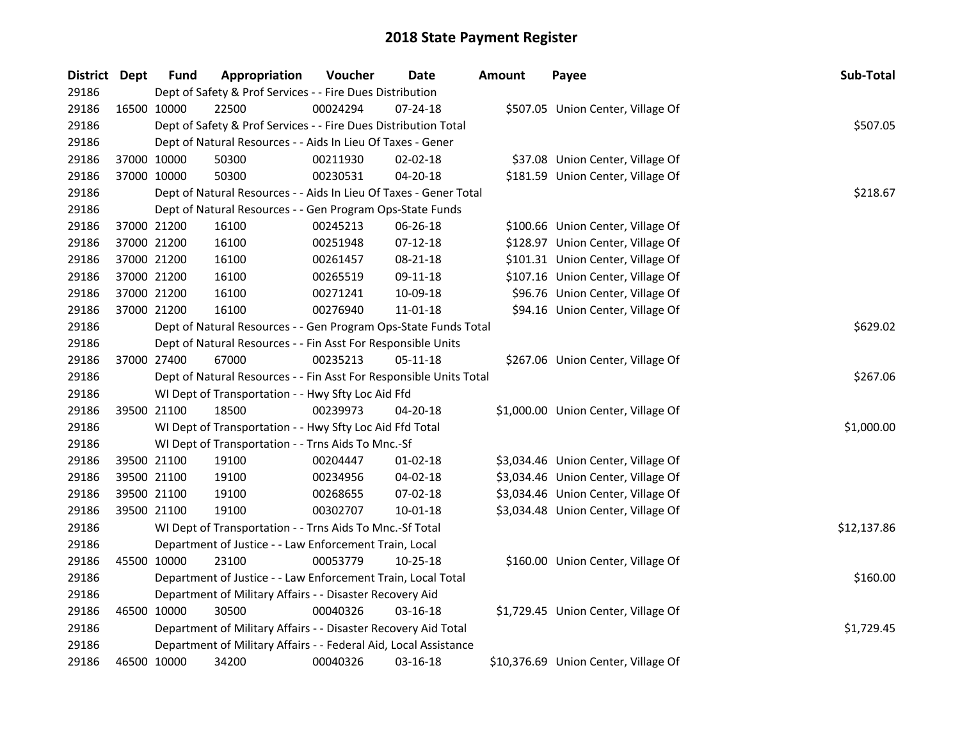| District Dept |             | <b>Fund</b> | Appropriation                                                      | Voucher  | Date           | <b>Amount</b> | Payee                                | Sub-Total   |
|---------------|-------------|-------------|--------------------------------------------------------------------|----------|----------------|---------------|--------------------------------------|-------------|
| 29186         |             |             | Dept of Safety & Prof Services - - Fire Dues Distribution          |          |                |               |                                      |             |
| 29186         |             | 16500 10000 | 22500                                                              | 00024294 | $07 - 24 - 18$ |               | \$507.05 Union Center, Village Of    |             |
| 29186         |             |             | Dept of Safety & Prof Services - - Fire Dues Distribution Total    |          |                |               |                                      | \$507.05    |
| 29186         |             |             | Dept of Natural Resources - - Aids In Lieu Of Taxes - Gener        |          |                |               |                                      |             |
| 29186         | 37000 10000 |             | 50300                                                              | 00211930 | 02-02-18       |               | \$37.08 Union Center, Village Of     |             |
| 29186         | 37000 10000 |             | 50300                                                              | 00230531 | 04-20-18       |               | \$181.59 Union Center, Village Of    |             |
| 29186         |             |             | Dept of Natural Resources - - Aids In Lieu Of Taxes - Gener Total  |          |                |               |                                      | \$218.67    |
| 29186         |             |             | Dept of Natural Resources - - Gen Program Ops-State Funds          |          |                |               |                                      |             |
| 29186         | 37000 21200 |             | 16100                                                              | 00245213 | 06-26-18       |               | \$100.66 Union Center, Village Of    |             |
| 29186         | 37000 21200 |             | 16100                                                              | 00251948 | 07-12-18       |               | \$128.97 Union Center, Village Of    |             |
| 29186         | 37000 21200 |             | 16100                                                              | 00261457 | 08-21-18       |               | \$101.31 Union Center, Village Of    |             |
| 29186         | 37000 21200 |             | 16100                                                              | 00265519 | 09-11-18       |               | \$107.16 Union Center, Village Of    |             |
| 29186         | 37000 21200 |             | 16100                                                              | 00271241 | 10-09-18       |               | \$96.76 Union Center, Village Of     |             |
| 29186         | 37000 21200 |             | 16100                                                              | 00276940 | 11-01-18       |               | \$94.16 Union Center, Village Of     |             |
| 29186         |             |             | Dept of Natural Resources - - Gen Program Ops-State Funds Total    |          |                |               |                                      | \$629.02    |
| 29186         |             |             | Dept of Natural Resources - - Fin Asst For Responsible Units       |          |                |               |                                      |             |
| 29186         | 37000 27400 |             | 67000                                                              | 00235213 | $05 - 11 - 18$ |               | \$267.06 Union Center, Village Of    |             |
| 29186         |             |             | Dept of Natural Resources - - Fin Asst For Responsible Units Total |          |                |               |                                      | \$267.06    |
| 29186         |             |             | WI Dept of Transportation - - Hwy Sfty Loc Aid Ffd                 |          |                |               |                                      |             |
| 29186         | 39500 21100 |             | 18500                                                              | 00239973 | 04-20-18       |               | \$1,000.00 Union Center, Village Of  |             |
| 29186         |             |             | WI Dept of Transportation - - Hwy Sfty Loc Aid Ffd Total           |          |                |               |                                      | \$1,000.00  |
| 29186         |             |             | WI Dept of Transportation - - Trns Aids To Mnc.-Sf                 |          |                |               |                                      |             |
| 29186         | 39500 21100 |             | 19100                                                              | 00204447 | 01-02-18       |               | \$3,034.46 Union Center, Village Of  |             |
| 29186         | 39500 21100 |             | 19100                                                              | 00234956 | 04-02-18       |               | \$3,034.46 Union Center, Village Of  |             |
| 29186         | 39500 21100 |             | 19100                                                              | 00268655 | 07-02-18       |               | \$3,034.46 Union Center, Village Of  |             |
| 29186         | 39500 21100 |             | 19100                                                              | 00302707 | 10-01-18       |               | \$3,034.48 Union Center, Village Of  |             |
| 29186         |             |             | WI Dept of Transportation - - Trns Aids To Mnc.-Sf Total           |          |                |               |                                      | \$12,137.86 |
| 29186         |             |             | Department of Justice - - Law Enforcement Train, Local             |          |                |               |                                      |             |
| 29186         | 45500 10000 |             | 23100                                                              | 00053779 | 10-25-18       |               | \$160.00 Union Center, Village Of    |             |
| 29186         |             |             | Department of Justice - - Law Enforcement Train, Local Total       |          |                |               |                                      | \$160.00    |
| 29186         |             |             | Department of Military Affairs - - Disaster Recovery Aid           |          |                |               |                                      |             |
| 29186         |             | 46500 10000 | 30500                                                              | 00040326 | 03-16-18       |               | \$1,729.45 Union Center, Village Of  |             |
| 29186         |             |             | Department of Military Affairs - - Disaster Recovery Aid Total     |          |                |               |                                      | \$1,729.45  |
| 29186         |             |             | Department of Military Affairs - - Federal Aid, Local Assistance   |          |                |               |                                      |             |
| 29186         | 46500 10000 |             | 34200                                                              | 00040326 | 03-16-18       |               | \$10,376.69 Union Center, Village Of |             |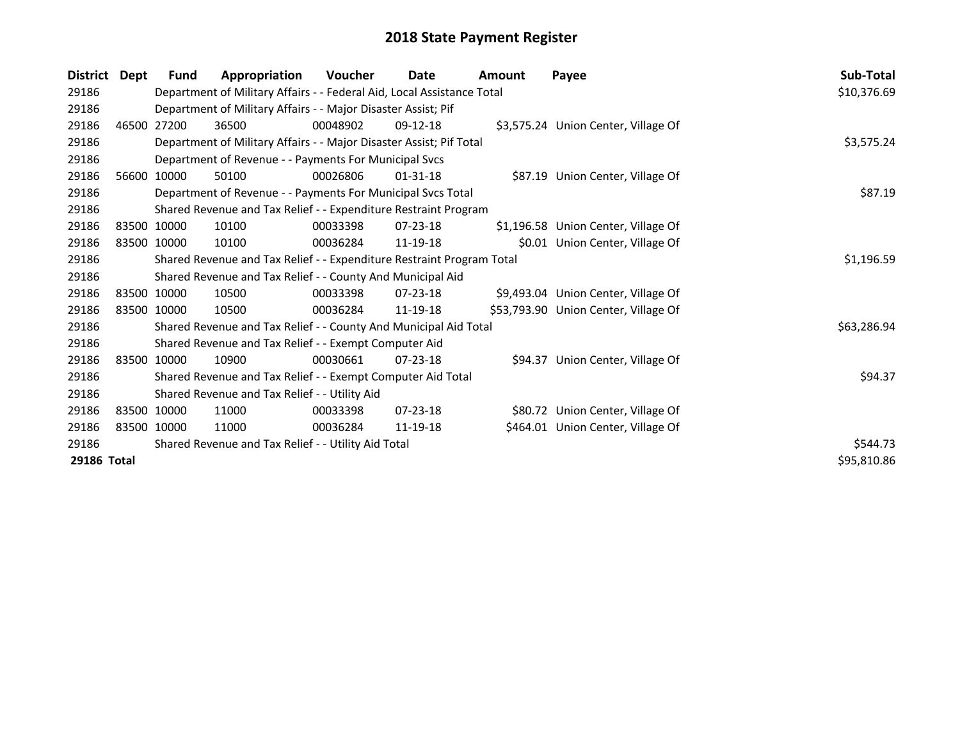| <b>District</b> | Dept | <b>Fund</b>                                                     | Appropriation                                                          | Voucher  | Date           | <b>Amount</b> | Payee                                | Sub-Total   |
|-----------------|------|-----------------------------------------------------------------|------------------------------------------------------------------------|----------|----------------|---------------|--------------------------------------|-------------|
| 29186           |      |                                                                 | Department of Military Affairs - - Federal Aid, Local Assistance Total |          |                |               |                                      | \$10,376.69 |
| 29186           |      |                                                                 | Department of Military Affairs - - Major Disaster Assist; Pif          |          |                |               |                                      |             |
| 29186           |      | 46500 27200                                                     | 36500                                                                  | 00048902 | $09-12-18$     |               | \$3,575.24 Union Center, Village Of  |             |
| 29186           |      |                                                                 | Department of Military Affairs - - Major Disaster Assist; Pif Total    |          |                |               |                                      | \$3,575.24  |
| 29186           |      |                                                                 | Department of Revenue - - Payments For Municipal Svcs                  |          |                |               |                                      |             |
| 29186           |      | 56600 10000                                                     | 50100                                                                  | 00026806 | $01 - 31 - 18$ |               | \$87.19 Union Center, Village Of     |             |
| 29186           |      |                                                                 | Department of Revenue - - Payments For Municipal Svcs Total            |          |                |               |                                      | \$87.19     |
| 29186           |      |                                                                 | Shared Revenue and Tax Relief - - Expenditure Restraint Program        |          |                |               |                                      |             |
| 29186           |      | 83500 10000                                                     | 10100                                                                  | 00033398 | $07 - 23 - 18$ |               | \$1,196.58 Union Center, Village Of  |             |
| 29186           |      | 83500 10000                                                     | 10100                                                                  | 00036284 | 11-19-18       |               | \$0.01 Union Center, Village Of      |             |
| 29186           |      |                                                                 | Shared Revenue and Tax Relief - - Expenditure Restraint Program Total  |          |                |               |                                      | \$1,196.59  |
| 29186           |      |                                                                 | Shared Revenue and Tax Relief - - County And Municipal Aid             |          |                |               |                                      |             |
| 29186           |      | 83500 10000                                                     | 10500                                                                  | 00033398 | $07 - 23 - 18$ |               | \$9,493.04 Union Center, Village Of  |             |
| 29186           |      | 83500 10000                                                     | 10500                                                                  | 00036284 | 11-19-18       |               | \$53,793.90 Union Center, Village Of |             |
| 29186           |      |                                                                 | Shared Revenue and Tax Relief - - County And Municipal Aid Total       |          |                |               |                                      | \$63,286.94 |
| 29186           |      |                                                                 | Shared Revenue and Tax Relief - - Exempt Computer Aid                  |          |                |               |                                      |             |
| 29186           |      | 83500 10000                                                     | 10900                                                                  | 00030661 | $07 - 23 - 18$ |               | \$94.37 Union Center, Village Of     |             |
| 29186           |      |                                                                 | Shared Revenue and Tax Relief - - Exempt Computer Aid Total            |          |                |               |                                      | \$94.37     |
| 29186           |      |                                                                 | Shared Revenue and Tax Relief - - Utility Aid                          |          |                |               |                                      |             |
| 29186           |      | 83500 10000                                                     | 11000                                                                  | 00033398 | $07 - 23 - 18$ |               | \$80.72 Union Center, Village Of     |             |
| 29186           |      | 83500 10000                                                     | 11000                                                                  | 00036284 | 11-19-18       |               | \$464.01 Union Center, Village Of    |             |
| 29186           |      | \$544.73<br>Shared Revenue and Tax Relief - - Utility Aid Total |                                                                        |          |                |               |                                      |             |
| 29186 Total     |      |                                                                 |                                                                        |          |                |               |                                      | \$95,810.86 |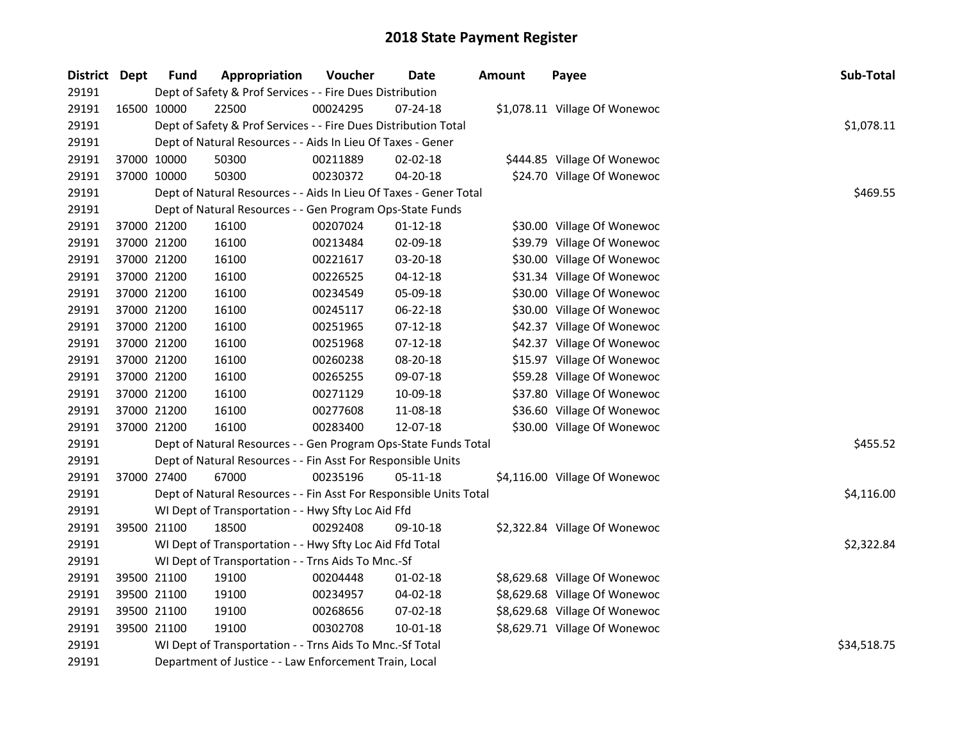| District Dept | <b>Fund</b>                                        | Appropriation                                                      | Voucher  | <b>Date</b>    | <b>Amount</b> | Payee                         | Sub-Total   |  |  |  |  |
|---------------|----------------------------------------------------|--------------------------------------------------------------------|----------|----------------|---------------|-------------------------------|-------------|--|--|--|--|
| 29191         |                                                    | Dept of Safety & Prof Services - - Fire Dues Distribution          |          |                |               |                               |             |  |  |  |  |
| 29191         | 16500 10000                                        | 22500                                                              | 00024295 | $07 - 24 - 18$ |               | \$1,078.11 Village Of Wonewoc |             |  |  |  |  |
| 29191         |                                                    | Dept of Safety & Prof Services - - Fire Dues Distribution Total    |          |                |               |                               | \$1,078.11  |  |  |  |  |
| 29191         |                                                    | Dept of Natural Resources - - Aids In Lieu Of Taxes - Gener        |          |                |               |                               |             |  |  |  |  |
| 29191         | 37000 10000                                        | 50300                                                              | 00211889 | 02-02-18       |               | \$444.85 Village Of Wonewoc   |             |  |  |  |  |
| 29191         | 37000 10000                                        | 50300                                                              | 00230372 | 04-20-18       |               | \$24.70 Village Of Wonewoc    |             |  |  |  |  |
| 29191         |                                                    | Dept of Natural Resources - - Aids In Lieu Of Taxes - Gener Total  |          |                |               |                               | \$469.55    |  |  |  |  |
| 29191         |                                                    | Dept of Natural Resources - - Gen Program Ops-State Funds          |          |                |               |                               |             |  |  |  |  |
| 29191         | 37000 21200                                        | 16100                                                              | 00207024 | $01 - 12 - 18$ |               | \$30.00 Village Of Wonewoc    |             |  |  |  |  |
| 29191         | 37000 21200                                        | 16100                                                              | 00213484 | 02-09-18       |               | \$39.79 Village Of Wonewoc    |             |  |  |  |  |
| 29191         | 37000 21200                                        | 16100                                                              | 00221617 | 03-20-18       |               | \$30.00 Village Of Wonewoc    |             |  |  |  |  |
| 29191         | 37000 21200                                        | 16100                                                              | 00226525 | $04 - 12 - 18$ |               | \$31.34 Village Of Wonewoc    |             |  |  |  |  |
| 29191         | 37000 21200                                        | 16100                                                              | 00234549 | 05-09-18       |               | \$30.00 Village Of Wonewoc    |             |  |  |  |  |
| 29191         | 37000 21200                                        | 16100                                                              | 00245117 | 06-22-18       |               | \$30.00 Village Of Wonewoc    |             |  |  |  |  |
| 29191         | 37000 21200                                        | 16100                                                              | 00251965 | $07-12-18$     |               | \$42.37 Village Of Wonewoc    |             |  |  |  |  |
| 29191         | 37000 21200                                        | 16100                                                              | 00251968 | $07 - 12 - 18$ |               | \$42.37 Village Of Wonewoc    |             |  |  |  |  |
| 29191         | 37000 21200                                        | 16100                                                              | 00260238 | 08-20-18       |               | \$15.97 Village Of Wonewoc    |             |  |  |  |  |
| 29191         | 37000 21200                                        | 16100                                                              | 00265255 | 09-07-18       |               | \$59.28 Village Of Wonewoc    |             |  |  |  |  |
| 29191         | 37000 21200                                        | 16100                                                              | 00271129 | 10-09-18       |               | \$37.80 Village Of Wonewoc    |             |  |  |  |  |
| 29191         | 37000 21200                                        | 16100                                                              | 00277608 | 11-08-18       |               | \$36.60 Village Of Wonewoc    |             |  |  |  |  |
| 29191         | 37000 21200                                        | 16100                                                              | 00283400 | 12-07-18       |               | \$30.00 Village Of Wonewoc    |             |  |  |  |  |
| 29191         |                                                    | Dept of Natural Resources - - Gen Program Ops-State Funds Total    |          |                |               |                               | \$455.52    |  |  |  |  |
| 29191         |                                                    | Dept of Natural Resources - - Fin Asst For Responsible Units       |          |                |               |                               |             |  |  |  |  |
| 29191         | 37000 27400                                        | 67000                                                              | 00235196 | $05 - 11 - 18$ |               | \$4,116.00 Village Of Wonewoc |             |  |  |  |  |
| 29191         |                                                    | Dept of Natural Resources - - Fin Asst For Responsible Units Total |          |                |               |                               | \$4,116.00  |  |  |  |  |
| 29191         |                                                    | WI Dept of Transportation - - Hwy Sfty Loc Aid Ffd                 |          |                |               |                               |             |  |  |  |  |
| 29191         | 39500 21100                                        | 18500                                                              | 00292408 | 09-10-18       |               | \$2,322.84 Village Of Wonewoc |             |  |  |  |  |
| 29191         |                                                    | WI Dept of Transportation - - Hwy Sfty Loc Aid Ffd Total           |          |                |               |                               | \$2,322.84  |  |  |  |  |
| 29191         | WI Dept of Transportation - - Trns Aids To Mnc.-Sf |                                                                    |          |                |               |                               |             |  |  |  |  |
| 29191         | 39500 21100                                        | 19100                                                              | 00204448 | $01 - 02 - 18$ |               | \$8,629.68 Village Of Wonewoc |             |  |  |  |  |
| 29191         | 39500 21100                                        | 19100                                                              | 00234957 | 04-02-18       |               | \$8,629.68 Village Of Wonewoc |             |  |  |  |  |
| 29191         | 39500 21100                                        | 19100                                                              | 00268656 | 07-02-18       |               | \$8,629.68 Village Of Wonewoc |             |  |  |  |  |
| 29191         | 39500 21100                                        | 19100                                                              | 00302708 | 10-01-18       |               | \$8,629.71 Village Of Wonewoc |             |  |  |  |  |
| 29191         |                                                    | WI Dept of Transportation - - Trns Aids To Mnc.-Sf Total           |          |                |               |                               | \$34,518.75 |  |  |  |  |
| 29191         |                                                    | Department of Justice - - Law Enforcement Train, Local             |          |                |               |                               |             |  |  |  |  |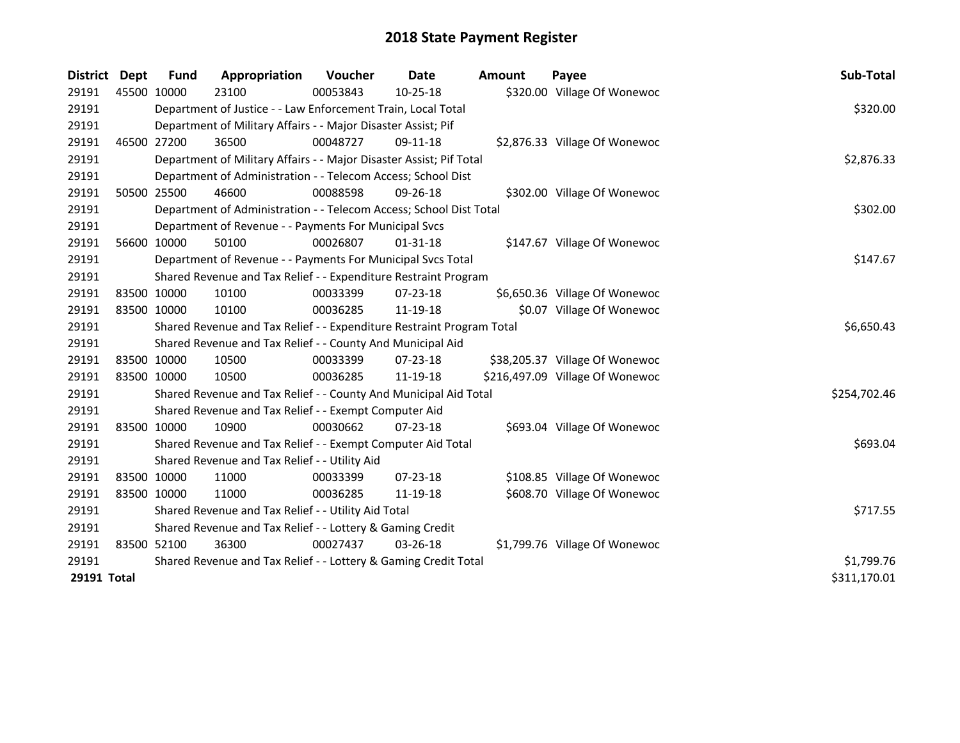| District Dept | <b>Fund</b> | Appropriation                                                         | Voucher  | Date           | <b>Amount</b> | Payee                           | Sub-Total    |  |  |
|---------------|-------------|-----------------------------------------------------------------------|----------|----------------|---------------|---------------------------------|--------------|--|--|
| 29191         | 45500 10000 | 23100                                                                 | 00053843 | 10-25-18       |               | \$320.00 Village Of Wonewoc     |              |  |  |
| 29191         |             | Department of Justice - - Law Enforcement Train, Local Total          |          |                |               |                                 | \$320.00     |  |  |
| 29191         |             | Department of Military Affairs - - Major Disaster Assist; Pif         |          |                |               |                                 |              |  |  |
| 29191         | 46500 27200 | 36500                                                                 | 00048727 | 09-11-18       |               | \$2,876.33 Village Of Wonewoc   |              |  |  |
| 29191         |             | Department of Military Affairs - - Major Disaster Assist; Pif Total   |          |                |               |                                 | \$2,876.33   |  |  |
| 29191         |             | Department of Administration - - Telecom Access; School Dist          |          |                |               |                                 |              |  |  |
| 29191         | 50500 25500 | 46600                                                                 | 00088598 | $09 - 26 - 18$ |               | \$302.00 Village Of Wonewoc     |              |  |  |
| 29191         |             | Department of Administration - - Telecom Access; School Dist Total    |          |                |               |                                 | \$302.00     |  |  |
| 29191         |             | Department of Revenue - - Payments For Municipal Svcs                 |          |                |               |                                 |              |  |  |
| 29191         | 56600 10000 | 50100                                                                 | 00026807 | $01 - 31 - 18$ |               | \$147.67 Village Of Wonewoc     |              |  |  |
| 29191         |             | Department of Revenue - - Payments For Municipal Svcs Total           |          |                |               |                                 | \$147.67     |  |  |
| 29191         |             | Shared Revenue and Tax Relief - - Expenditure Restraint Program       |          |                |               |                                 |              |  |  |
| 29191         | 83500 10000 | 10100                                                                 | 00033399 | 07-23-18       |               | \$6,650.36 Village Of Wonewoc   |              |  |  |
| 29191         | 83500 10000 | 10100                                                                 | 00036285 | 11-19-18       |               | \$0.07 Village Of Wonewoc       |              |  |  |
| 29191         |             | Shared Revenue and Tax Relief - - Expenditure Restraint Program Total |          |                |               |                                 | \$6,650.43   |  |  |
| 29191         |             | Shared Revenue and Tax Relief - - County And Municipal Aid            |          |                |               |                                 |              |  |  |
| 29191         | 83500 10000 | 10500                                                                 | 00033399 | $07 - 23 - 18$ |               | \$38,205.37 Village Of Wonewoc  |              |  |  |
| 29191         | 83500 10000 | 10500                                                                 | 00036285 | 11-19-18       |               | \$216,497.09 Village Of Wonewoc |              |  |  |
| 29191         |             | Shared Revenue and Tax Relief - - County And Municipal Aid Total      |          |                |               |                                 | \$254,702.46 |  |  |
| 29191         |             | Shared Revenue and Tax Relief - - Exempt Computer Aid                 |          |                |               |                                 |              |  |  |
| 29191         | 83500 10000 | 10900                                                                 | 00030662 | 07-23-18       |               | \$693.04 Village Of Wonewoc     |              |  |  |
| 29191         |             | Shared Revenue and Tax Relief - - Exempt Computer Aid Total           |          |                |               |                                 | \$693.04     |  |  |
| 29191         |             | Shared Revenue and Tax Relief - - Utility Aid                         |          |                |               |                                 |              |  |  |
| 29191         | 83500 10000 | 11000                                                                 | 00033399 | $07 - 23 - 18$ |               | \$108.85 Village Of Wonewoc     |              |  |  |
| 29191         | 83500 10000 | 11000                                                                 | 00036285 | 11-19-18       |               | \$608.70 Village Of Wonewoc     |              |  |  |
| 29191         |             | Shared Revenue and Tax Relief - - Utility Aid Total                   |          |                |               |                                 | \$717.55     |  |  |
| 29191         |             | Shared Revenue and Tax Relief - - Lottery & Gaming Credit             |          |                |               |                                 |              |  |  |
| 29191         | 83500 52100 | 36300                                                                 | 00027437 | 03-26-18       |               | \$1,799.76 Village Of Wonewoc   |              |  |  |
| 29191         |             | Shared Revenue and Tax Relief - - Lottery & Gaming Credit Total       |          |                |               |                                 | \$1,799.76   |  |  |
| 29191 Total   |             |                                                                       |          |                |               |                                 | \$311,170.01 |  |  |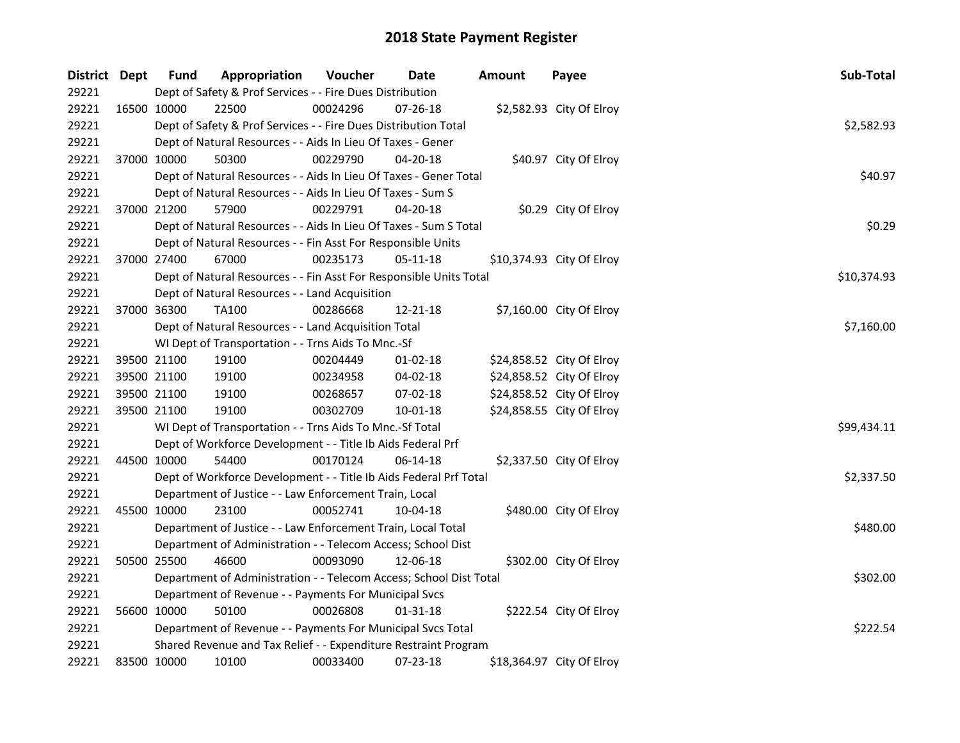| District Dept |             | <b>Fund</b>                                                     | Appropriation                                                      | Voucher  | <b>Date</b>    | <b>Amount</b> | Payee                     | Sub-Total   |  |  |
|---------------|-------------|-----------------------------------------------------------------|--------------------------------------------------------------------|----------|----------------|---------------|---------------------------|-------------|--|--|
| 29221         |             |                                                                 | Dept of Safety & Prof Services - - Fire Dues Distribution          |          |                |               |                           |             |  |  |
| 29221         | 16500 10000 |                                                                 | 22500                                                              | 00024296 | 07-26-18       |               | \$2,582.93 City Of Elroy  |             |  |  |
| 29221         |             |                                                                 | Dept of Safety & Prof Services - - Fire Dues Distribution Total    |          |                |               |                           | \$2,582.93  |  |  |
| 29221         |             |                                                                 | Dept of Natural Resources - - Aids In Lieu Of Taxes - Gener        |          |                |               |                           |             |  |  |
| 29221         | 37000 10000 |                                                                 | 50300                                                              | 00229790 | 04-20-18       |               | \$40.97 City Of Elroy     |             |  |  |
| 29221         |             |                                                                 | Dept of Natural Resources - - Aids In Lieu Of Taxes - Gener Total  |          |                |               |                           | \$40.97     |  |  |
| 29221         |             |                                                                 | Dept of Natural Resources - - Aids In Lieu Of Taxes - Sum S        |          |                |               |                           |             |  |  |
| 29221         |             | 37000 21200                                                     | 57900                                                              | 00229791 | $04 - 20 - 18$ |               | \$0.29 City Of Elroy      |             |  |  |
| 29221         |             |                                                                 | Dept of Natural Resources - - Aids In Lieu Of Taxes - Sum S Total  |          |                |               |                           | \$0.29      |  |  |
| 29221         |             |                                                                 | Dept of Natural Resources - - Fin Asst For Responsible Units       |          |                |               |                           |             |  |  |
| 29221         | 37000 27400 |                                                                 | 67000                                                              | 00235173 | 05-11-18       |               | \$10,374.93 City Of Elroy |             |  |  |
| 29221         |             |                                                                 | Dept of Natural Resources - - Fin Asst For Responsible Units Total |          |                |               |                           | \$10,374.93 |  |  |
| 29221         |             |                                                                 | Dept of Natural Resources - - Land Acquisition                     |          |                |               |                           |             |  |  |
| 29221         | 37000 36300 |                                                                 | TA100                                                              | 00286668 | 12-21-18       |               | \$7,160.00 City Of Elroy  |             |  |  |
| 29221         |             |                                                                 | Dept of Natural Resources - - Land Acquisition Total               |          |                |               |                           | \$7,160.00  |  |  |
| 29221         |             |                                                                 | WI Dept of Transportation - - Trns Aids To Mnc.-Sf                 |          |                |               |                           |             |  |  |
| 29221         |             | 39500 21100                                                     | 19100                                                              | 00204449 | 01-02-18       |               | \$24,858.52 City Of Elroy |             |  |  |
| 29221         | 39500 21100 |                                                                 | 19100                                                              | 00234958 | 04-02-18       |               | \$24,858.52 City Of Elroy |             |  |  |
| 29221         | 39500 21100 |                                                                 | 19100                                                              | 00268657 | 07-02-18       |               | \$24,858.52 City Of Elroy |             |  |  |
| 29221         | 39500 21100 |                                                                 | 19100                                                              | 00302709 | $10 - 01 - 18$ |               | \$24,858.55 City Of Elroy |             |  |  |
| 29221         |             |                                                                 | WI Dept of Transportation - - Trns Aids To Mnc.-Sf Total           |          |                |               |                           | \$99,434.11 |  |  |
| 29221         |             |                                                                 | Dept of Workforce Development - - Title Ib Aids Federal Prf        |          |                |               |                           |             |  |  |
| 29221         | 44500 10000 |                                                                 | 54400                                                              | 00170124 | 06-14-18       |               | \$2,337.50 City Of Elroy  |             |  |  |
| 29221         |             |                                                                 | Dept of Workforce Development - - Title Ib Aids Federal Prf Total  |          |                |               |                           | \$2,337.50  |  |  |
| 29221         |             |                                                                 | Department of Justice - - Law Enforcement Train, Local             |          |                |               |                           |             |  |  |
| 29221         | 45500 10000 |                                                                 | 23100                                                              | 00052741 | 10-04-18       |               | \$480.00 City Of Elroy    |             |  |  |
| 29221         |             |                                                                 | Department of Justice - - Law Enforcement Train, Local Total       |          |                |               |                           | \$480.00    |  |  |
| 29221         |             |                                                                 | Department of Administration - - Telecom Access; School Dist       |          |                |               |                           |             |  |  |
| 29221         | 50500 25500 |                                                                 | 46600                                                              | 00093090 | 12-06-18       |               | \$302.00 City Of Elroy    |             |  |  |
| 29221         |             |                                                                 | Department of Administration - - Telecom Access; School Dist Total |          |                |               |                           | \$302.00    |  |  |
| 29221         |             |                                                                 | Department of Revenue - - Payments For Municipal Svcs              |          |                |               |                           |             |  |  |
| 29221         | 56600 10000 |                                                                 | 50100                                                              | 00026808 | $01 - 31 - 18$ |               | \$222.54 City Of Elroy    |             |  |  |
| 29221         |             |                                                                 | Department of Revenue - - Payments For Municipal Svcs Total        |          |                |               |                           | \$222.54    |  |  |
| 29221         |             | Shared Revenue and Tax Relief - - Expenditure Restraint Program |                                                                    |          |                |               |                           |             |  |  |
| 29221         | 83500 10000 |                                                                 | 10100                                                              | 00033400 | 07-23-18       |               | \$18,364.97 City Of Elroy |             |  |  |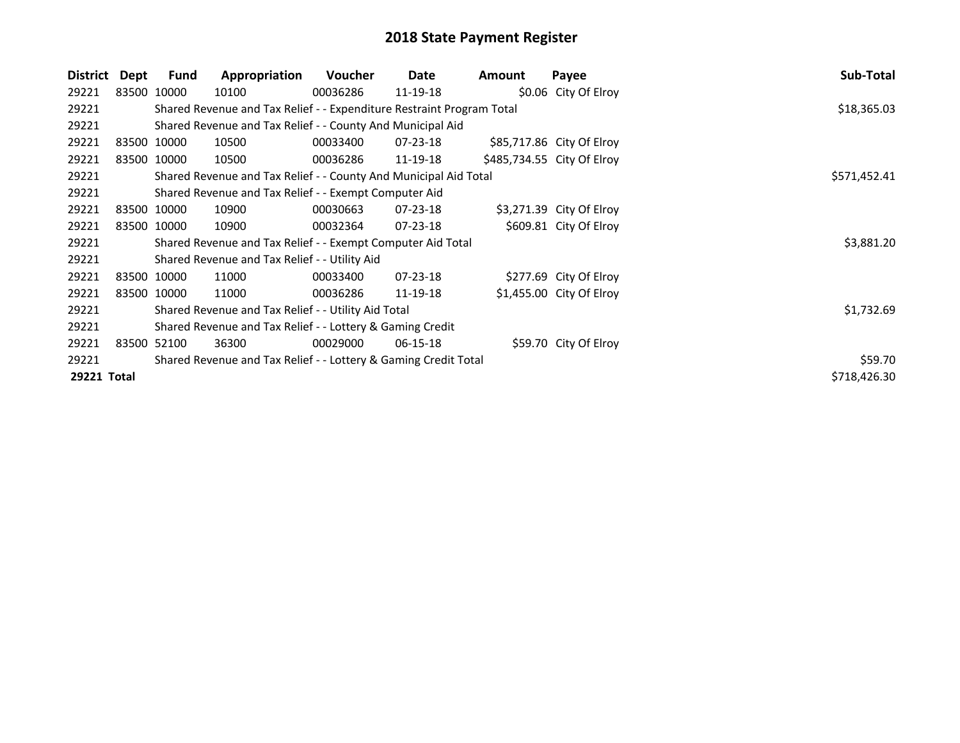| District    | Dept        | Fund        | Appropriation                                                         | <b>Voucher</b> | Date           | Amount | Payee                      | Sub-Total    |
|-------------|-------------|-------------|-----------------------------------------------------------------------|----------------|----------------|--------|----------------------------|--------------|
| 29221       | 83500 10000 |             | 10100                                                                 | 00036286       | 11-19-18       |        | \$0.06 City Of Elroy       |              |
| 29221       |             |             | Shared Revenue and Tax Relief - - Expenditure Restraint Program Total |                |                |        |                            | \$18,365.03  |
| 29221       |             |             | Shared Revenue and Tax Relief - - County And Municipal Aid            |                |                |        |                            |              |
| 29221       |             | 83500 10000 | 10500                                                                 | 00033400       | 07-23-18       |        | \$85,717.86 City Of Elroy  |              |
| 29221       |             | 83500 10000 | 10500                                                                 | 00036286       | 11-19-18       |        | \$485,734.55 City Of Elroy |              |
| 29221       |             |             | Shared Revenue and Tax Relief - - County And Municipal Aid Total      |                |                |        |                            | \$571,452.41 |
| 29221       |             |             | Shared Revenue and Tax Relief - - Exempt Computer Aid                 |                |                |        |                            |              |
| 29221       | 83500 10000 |             | 10900                                                                 | 00030663       | 07-23-18       |        | \$3,271.39 City Of Elroy   |              |
| 29221       | 83500 10000 |             | 10900                                                                 | 00032364       | $07 - 23 - 18$ |        | \$609.81 City Of Elroy     |              |
| 29221       |             |             | Shared Revenue and Tax Relief - - Exempt Computer Aid Total           |                |                |        |                            | \$3,881.20   |
| 29221       |             |             | Shared Revenue and Tax Relief - - Utility Aid                         |                |                |        |                            |              |
| 29221       | 83500 10000 |             | 11000                                                                 | 00033400       | 07-23-18       |        | \$277.69 City Of Elroy     |              |
| 29221       |             | 83500 10000 | 11000                                                                 | 00036286       | 11-19-18       |        | \$1,455.00 City Of Elroy   |              |
| 29221       |             |             | Shared Revenue and Tax Relief - - Utility Aid Total                   |                |                |        |                            | \$1,732.69   |
| 29221       |             |             | Shared Revenue and Tax Relief - - Lottery & Gaming Credit             |                |                |        |                            |              |
| 29221       |             | 83500 52100 | 36300                                                                 | 00029000       | $06 - 15 - 18$ |        | \$59.70 City Of Elroy      |              |
| 29221       |             |             | Shared Revenue and Tax Relief - - Lottery & Gaming Credit Total       |                |                |        |                            | \$59.70      |
| 29221 Total |             |             |                                                                       |                |                |        |                            | \$718,426.30 |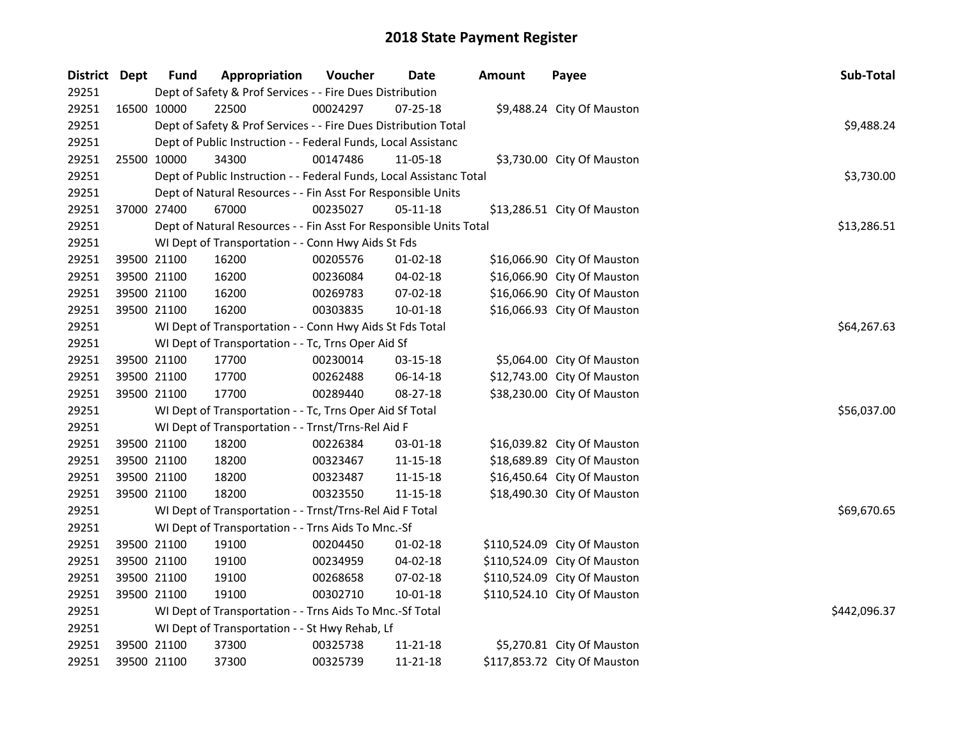| District Dept | <b>Fund</b> | Appropriation                                                       | Voucher    | Date           | <b>Amount</b> | Payee                        | Sub-Total    |
|---------------|-------------|---------------------------------------------------------------------|------------|----------------|---------------|------------------------------|--------------|
| 29251         |             | Dept of Safety & Prof Services - - Fire Dues Distribution           |            |                |               |                              |              |
| 29251         | 16500 10000 | 22500                                                               | 00024297   | 07-25-18       |               | \$9,488.24 City Of Mauston   |              |
| 29251         |             | Dept of Safety & Prof Services - - Fire Dues Distribution Total     | \$9,488.24 |                |               |                              |              |
| 29251         |             | Dept of Public Instruction - - Federal Funds, Local Assistanc       |            |                |               |                              |              |
| 29251         | 25500 10000 | 34300                                                               | 00147486   | 11-05-18       |               | \$3,730.00 City Of Mauston   |              |
| 29251         |             | Dept of Public Instruction - - Federal Funds, Local Assistanc Total |            |                |               |                              | \$3,730.00   |
| 29251         |             | Dept of Natural Resources - - Fin Asst For Responsible Units        |            |                |               |                              |              |
| 29251         | 37000 27400 | 67000                                                               | 00235027   | $05 - 11 - 18$ |               | \$13,286.51 City Of Mauston  |              |
| 29251         |             | Dept of Natural Resources - - Fin Asst For Responsible Units Total  |            |                |               |                              | \$13,286.51  |
| 29251         |             | WI Dept of Transportation - - Conn Hwy Aids St Fds                  |            |                |               |                              |              |
| 29251         | 39500 21100 | 16200                                                               | 00205576   | 01-02-18       |               | \$16,066.90 City Of Mauston  |              |
| 29251         | 39500 21100 | 16200                                                               | 00236084   | 04-02-18       |               | \$16,066.90 City Of Mauston  |              |
| 29251         | 39500 21100 | 16200                                                               | 00269783   | 07-02-18       |               | \$16,066.90 City Of Mauston  |              |
| 29251         | 39500 21100 | 16200                                                               | 00303835   | 10-01-18       |               | \$16,066.93 City Of Mauston  |              |
| 29251         |             | WI Dept of Transportation - - Conn Hwy Aids St Fds Total            |            |                |               |                              | \$64,267.63  |
| 29251         |             | WI Dept of Transportation - - Tc, Trns Oper Aid Sf                  |            |                |               |                              |              |
| 29251         | 39500 21100 | 17700                                                               | 00230014   | 03-15-18       |               | \$5,064.00 City Of Mauston   |              |
| 29251         | 39500 21100 | 17700                                                               | 00262488   | 06-14-18       |               | \$12,743.00 City Of Mauston  |              |
| 29251         | 39500 21100 | 17700                                                               | 00289440   | 08-27-18       |               | \$38,230.00 City Of Mauston  |              |
| 29251         |             | WI Dept of Transportation - - Tc, Trns Oper Aid Sf Total            |            |                |               |                              | \$56,037.00  |
| 29251         |             | WI Dept of Transportation - - Trnst/Trns-Rel Aid F                  |            |                |               |                              |              |
| 29251         | 39500 21100 | 18200                                                               | 00226384   | 03-01-18       |               | \$16,039.82 City Of Mauston  |              |
| 29251         | 39500 21100 | 18200                                                               | 00323467   | 11-15-18       |               | \$18,689.89 City Of Mauston  |              |
| 29251         | 39500 21100 | 18200                                                               | 00323487   | 11-15-18       |               | \$16,450.64 City Of Mauston  |              |
| 29251         | 39500 21100 | 18200                                                               | 00323550   | 11-15-18       |               | \$18,490.30 City Of Mauston  |              |
| 29251         |             | WI Dept of Transportation - - Trnst/Trns-Rel Aid F Total            |            |                |               |                              | \$69,670.65  |
| 29251         |             | WI Dept of Transportation - - Trns Aids To Mnc.-Sf                  |            |                |               |                              |              |
| 29251         | 39500 21100 | 19100                                                               | 00204450   | $01 - 02 - 18$ |               | \$110,524.09 City Of Mauston |              |
| 29251         | 39500 21100 | 19100                                                               | 00234959   | 04-02-18       |               | \$110,524.09 City Of Mauston |              |
| 29251         | 39500 21100 | 19100                                                               | 00268658   | 07-02-18       |               | \$110,524.09 City Of Mauston |              |
| 29251         | 39500 21100 | 19100                                                               | 00302710   | 10-01-18       |               | \$110,524.10 City Of Mauston |              |
| 29251         |             | WI Dept of Transportation - - Trns Aids To Mnc.-Sf Total            |            |                |               |                              | \$442,096.37 |
| 29251         |             | WI Dept of Transportation - - St Hwy Rehab, Lf                      |            |                |               |                              |              |
| 29251         | 39500 21100 | 37300                                                               | 00325738   | 11-21-18       |               | \$5,270.81 City Of Mauston   |              |
| 29251         | 39500 21100 | 37300                                                               | 00325739   | 11-21-18       |               | \$117,853.72 City Of Mauston |              |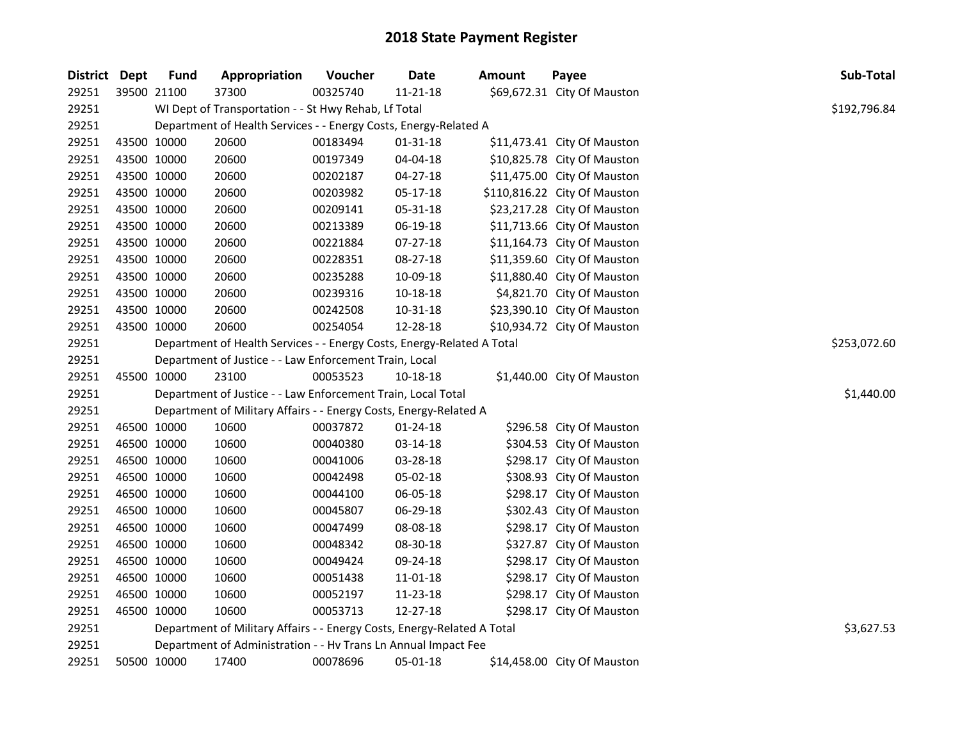| District Dept | <b>Fund</b> | Appropriation                                                           | Voucher  | <b>Date</b>    | Amount | Payee                        | Sub-Total    |
|---------------|-------------|-------------------------------------------------------------------------|----------|----------------|--------|------------------------------|--------------|
| 29251         | 39500 21100 | 37300                                                                   | 00325740 | 11-21-18       |        | \$69,672.31 City Of Mauston  |              |
| 29251         |             | WI Dept of Transportation - - St Hwy Rehab, Lf Total                    |          |                |        |                              | \$192,796.84 |
| 29251         |             | Department of Health Services - - Energy Costs, Energy-Related A        |          |                |        |                              |              |
| 29251         | 43500 10000 | 20600                                                                   | 00183494 | $01 - 31 - 18$ |        | \$11,473.41 City Of Mauston  |              |
| 29251         | 43500 10000 | 20600                                                                   | 00197349 | 04-04-18       |        | \$10,825.78 City Of Mauston  |              |
| 29251         | 43500 10000 | 20600                                                                   | 00202187 | $04 - 27 - 18$ |        | \$11,475.00 City Of Mauston  |              |
| 29251         | 43500 10000 | 20600                                                                   | 00203982 | 05-17-18       |        | \$110,816.22 City Of Mauston |              |
| 29251         | 43500 10000 | 20600                                                                   | 00209141 | 05-31-18       |        | \$23,217.28 City Of Mauston  |              |
| 29251         | 43500 10000 | 20600                                                                   | 00213389 | 06-19-18       |        | \$11,713.66 City Of Mauston  |              |
| 29251         | 43500 10000 | 20600                                                                   | 00221884 | 07-27-18       |        | \$11,164.73 City Of Mauston  |              |
| 29251         | 43500 10000 | 20600                                                                   | 00228351 | 08-27-18       |        | \$11,359.60 City Of Mauston  |              |
| 29251         | 43500 10000 | 20600                                                                   | 00235288 | 10-09-18       |        | \$11,880.40 City Of Mauston  |              |
| 29251         | 43500 10000 | 20600                                                                   | 00239316 | 10-18-18       |        | \$4,821.70 City Of Mauston   |              |
| 29251         | 43500 10000 | 20600                                                                   | 00242508 | 10-31-18       |        | \$23,390.10 City Of Mauston  |              |
| 29251         | 43500 10000 | 20600                                                                   | 00254054 | 12-28-18       |        | \$10,934.72 City Of Mauston  |              |
| 29251         |             | Department of Health Services - - Energy Costs, Energy-Related A Total  |          |                |        |                              | \$253,072.60 |
| 29251         |             | Department of Justice - - Law Enforcement Train, Local                  |          |                |        |                              |              |
| 29251         | 45500 10000 | 23100                                                                   | 00053523 | 10-18-18       |        | \$1,440.00 City Of Mauston   |              |
| 29251         |             | Department of Justice - - Law Enforcement Train, Local Total            |          |                |        |                              | \$1,440.00   |
| 29251         |             | Department of Military Affairs - - Energy Costs, Energy-Related A       |          |                |        |                              |              |
| 29251         | 46500 10000 | 10600                                                                   | 00037872 | 01-24-18       |        | \$296.58 City Of Mauston     |              |
| 29251         | 46500 10000 | 10600                                                                   | 00040380 | 03-14-18       |        | \$304.53 City Of Mauston     |              |
| 29251         | 46500 10000 | 10600                                                                   | 00041006 | 03-28-18       |        | \$298.17 City Of Mauston     |              |
| 29251         | 46500 10000 | 10600                                                                   | 00042498 | 05-02-18       |        | \$308.93 City Of Mauston     |              |
| 29251         | 46500 10000 | 10600                                                                   | 00044100 | 06-05-18       |        | \$298.17 City Of Mauston     |              |
| 29251         | 46500 10000 | 10600                                                                   | 00045807 | 06-29-18       |        | \$302.43 City Of Mauston     |              |
| 29251         | 46500 10000 | 10600                                                                   | 00047499 | 08-08-18       |        | \$298.17 City Of Mauston     |              |
| 29251         | 46500 10000 | 10600                                                                   | 00048342 | 08-30-18       |        | \$327.87 City Of Mauston     |              |
| 29251         | 46500 10000 | 10600                                                                   | 00049424 | 09-24-18       |        | \$298.17 City Of Mauston     |              |
| 29251         | 46500 10000 | 10600                                                                   | 00051438 | 11-01-18       |        | \$298.17 City Of Mauston     |              |
| 29251         | 46500 10000 | 10600                                                                   | 00052197 | 11-23-18       |        | \$298.17 City Of Mauston     |              |
| 29251         | 46500 10000 | 10600                                                                   | 00053713 | 12-27-18       |        | \$298.17 City Of Mauston     |              |
| 29251         |             | Department of Military Affairs - - Energy Costs, Energy-Related A Total |          |                |        |                              | \$3,627.53   |
| 29251         |             | Department of Administration - - Hv Trans Ln Annual Impact Fee          |          |                |        |                              |              |
| 29251         | 50500 10000 | 17400                                                                   | 00078696 | 05-01-18       |        | \$14,458.00 City Of Mauston  |              |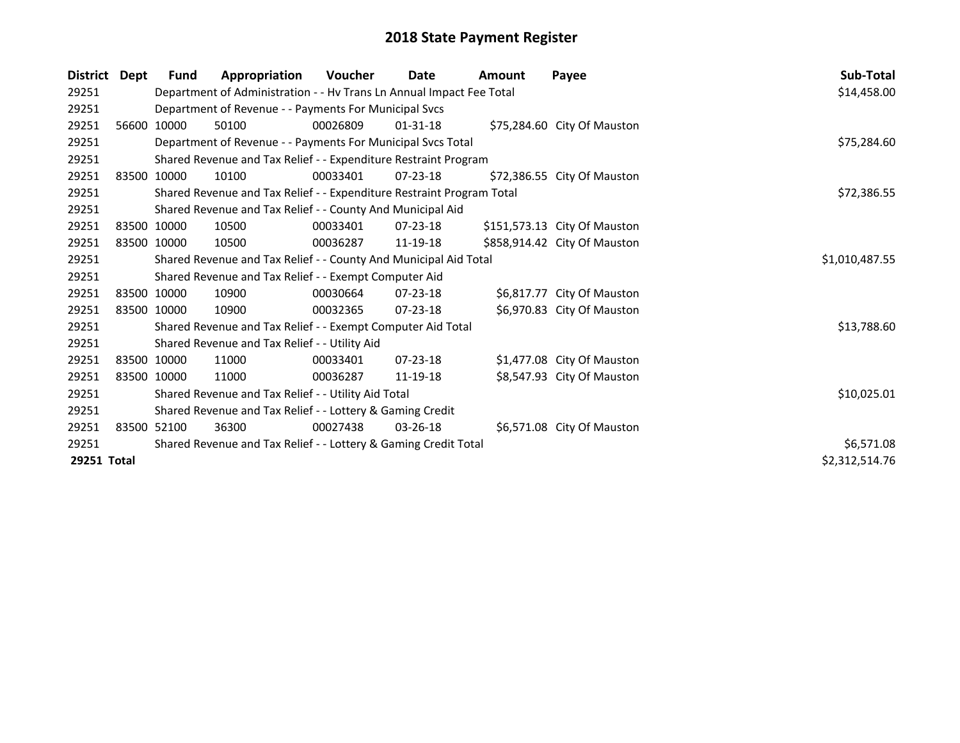| <b>District</b> | Dept | <b>Fund</b> | Appropriation                                                         | Voucher  | Date           | Amount | Payee                        | Sub-Total      |
|-----------------|------|-------------|-----------------------------------------------------------------------|----------|----------------|--------|------------------------------|----------------|
| 29251           |      |             | Department of Administration - - Hv Trans Ln Annual Impact Fee Total  |          |                |        |                              | \$14,458.00    |
| 29251           |      |             | Department of Revenue - - Payments For Municipal Svcs                 |          |                |        |                              |                |
| 29251           |      | 56600 10000 | 50100                                                                 | 00026809 | $01 - 31 - 18$ |        | \$75,284.60 City Of Mauston  |                |
| 29251           |      |             | Department of Revenue - - Payments For Municipal Svcs Total           |          |                |        |                              | \$75,284.60    |
| 29251           |      |             | Shared Revenue and Tax Relief - - Expenditure Restraint Program       |          |                |        |                              |                |
| 29251           |      | 83500 10000 | 10100                                                                 | 00033401 | $07 - 23 - 18$ |        | \$72,386.55 City Of Mauston  |                |
| 29251           |      |             | Shared Revenue and Tax Relief - - Expenditure Restraint Program Total |          |                |        |                              | \$72,386.55    |
| 29251           |      |             | Shared Revenue and Tax Relief - - County And Municipal Aid            |          |                |        |                              |                |
| 29251           |      | 83500 10000 | 10500                                                                 | 00033401 | $07 - 23 - 18$ |        | \$151,573.13 City Of Mauston |                |
| 29251           |      | 83500 10000 | 10500                                                                 | 00036287 | 11-19-18       |        | \$858,914.42 City Of Mauston |                |
| 29251           |      |             | Shared Revenue and Tax Relief - - County And Municipal Aid Total      |          |                |        |                              | \$1,010,487.55 |
| 29251           |      |             | Shared Revenue and Tax Relief - - Exempt Computer Aid                 |          |                |        |                              |                |
| 29251           |      | 83500 10000 | 10900                                                                 | 00030664 | $07 - 23 - 18$ |        | \$6,817.77 City Of Mauston   |                |
| 29251           |      | 83500 10000 | 10900                                                                 | 00032365 | $07 - 23 - 18$ |        | \$6,970.83 City Of Mauston   |                |
| 29251           |      |             | Shared Revenue and Tax Relief - - Exempt Computer Aid Total           |          |                |        |                              | \$13,788.60    |
| 29251           |      |             | Shared Revenue and Tax Relief - - Utility Aid                         |          |                |        |                              |                |
| 29251           |      | 83500 10000 | 11000                                                                 | 00033401 | $07 - 23 - 18$ |        | \$1,477.08 City Of Mauston   |                |
| 29251           |      | 83500 10000 | 11000                                                                 | 00036287 | 11-19-18       |        | \$8,547.93 City Of Mauston   |                |
| 29251           |      |             | Shared Revenue and Tax Relief - - Utility Aid Total                   |          |                |        |                              | \$10,025.01    |
| 29251           |      |             | Shared Revenue and Tax Relief - - Lottery & Gaming Credit             |          |                |        |                              |                |
| 29251           |      | 83500 52100 | 36300                                                                 | 00027438 | $03 - 26 - 18$ |        | \$6,571.08 City Of Mauston   |                |
| 29251           |      |             | Shared Revenue and Tax Relief - - Lottery & Gaming Credit Total       |          |                |        |                              | \$6,571.08     |
| 29251 Total     |      |             |                                                                       |          |                |        |                              | \$2,312,514.76 |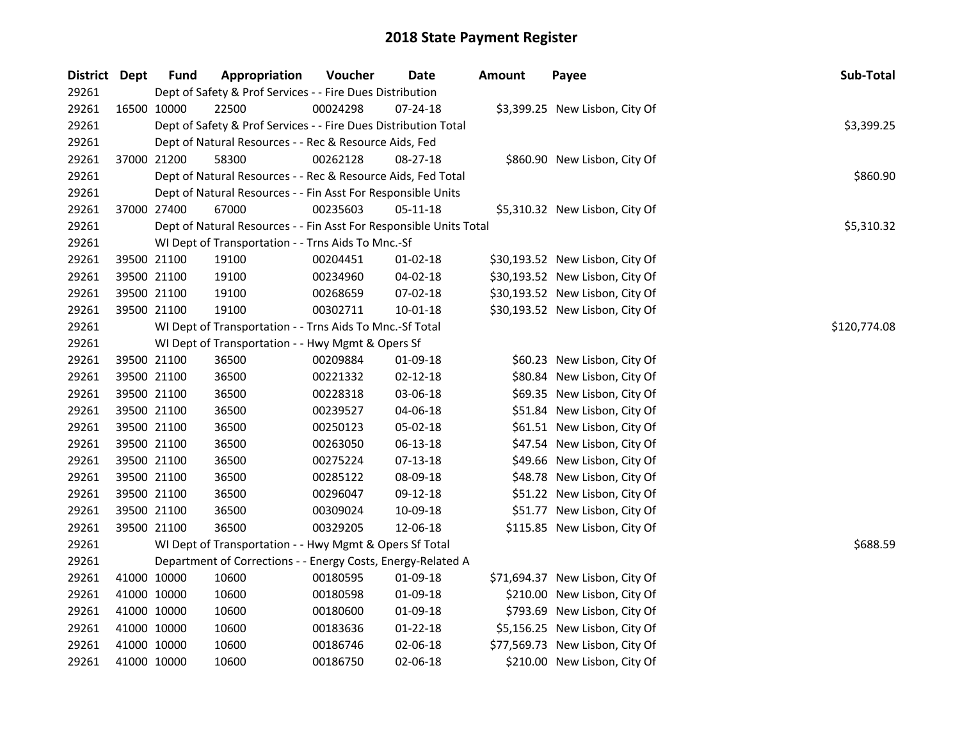| District Dept |             | <b>Fund</b> | Appropriation                                                      | Voucher  | Date           | <b>Amount</b> | Payee                           | Sub-Total    |
|---------------|-------------|-------------|--------------------------------------------------------------------|----------|----------------|---------------|---------------------------------|--------------|
| 29261         |             |             | Dept of Safety & Prof Services - - Fire Dues Distribution          |          |                |               |                                 |              |
| 29261         |             | 16500 10000 | 22500                                                              | 00024298 | $07 - 24 - 18$ |               | \$3,399.25 New Lisbon, City Of  |              |
| 29261         |             |             | Dept of Safety & Prof Services - - Fire Dues Distribution Total    |          |                |               |                                 | \$3,399.25   |
| 29261         |             |             | Dept of Natural Resources - - Rec & Resource Aids, Fed             |          |                |               |                                 |              |
| 29261         |             | 37000 21200 | 58300                                                              | 00262128 | 08-27-18       |               | \$860.90 New Lisbon, City Of    |              |
| 29261         |             |             | Dept of Natural Resources - - Rec & Resource Aids, Fed Total       |          |                |               |                                 | \$860.90     |
| 29261         |             |             | Dept of Natural Resources - - Fin Asst For Responsible Units       |          |                |               |                                 |              |
| 29261         |             | 37000 27400 | 67000                                                              | 00235603 | 05-11-18       |               | \$5,310.32 New Lisbon, City Of  |              |
| 29261         |             |             | Dept of Natural Resources - - Fin Asst For Responsible Units Total |          |                |               |                                 | \$5,310.32   |
| 29261         |             |             | WI Dept of Transportation - - Trns Aids To Mnc.-Sf                 |          |                |               |                                 |              |
| 29261         |             | 39500 21100 | 19100                                                              | 00204451 | $01 - 02 - 18$ |               | \$30,193.52 New Lisbon, City Of |              |
| 29261         |             | 39500 21100 | 19100                                                              | 00234960 | 04-02-18       |               | \$30,193.52 New Lisbon, City Of |              |
| 29261         |             | 39500 21100 | 19100                                                              | 00268659 | 07-02-18       |               | \$30,193.52 New Lisbon, City Of |              |
| 29261         |             | 39500 21100 | 19100                                                              | 00302711 | 10-01-18       |               | \$30,193.52 New Lisbon, City Of |              |
| 29261         |             |             | WI Dept of Transportation - - Trns Aids To Mnc.-Sf Total           |          |                |               |                                 | \$120,774.08 |
| 29261         |             |             | WI Dept of Transportation - - Hwy Mgmt & Opers Sf                  |          |                |               |                                 |              |
| 29261         |             | 39500 21100 | 36500                                                              | 00209884 | 01-09-18       |               | \$60.23 New Lisbon, City Of     |              |
| 29261         |             | 39500 21100 | 36500                                                              | 00221332 | $02 - 12 - 18$ |               | \$80.84 New Lisbon, City Of     |              |
| 29261         |             | 39500 21100 | 36500                                                              | 00228318 | 03-06-18       |               | \$69.35 New Lisbon, City Of     |              |
| 29261         |             | 39500 21100 | 36500                                                              | 00239527 | 04-06-18       |               | \$51.84 New Lisbon, City Of     |              |
| 29261         |             | 39500 21100 | 36500                                                              | 00250123 | 05-02-18       |               | \$61.51 New Lisbon, City Of     |              |
| 29261         |             | 39500 21100 | 36500                                                              | 00263050 | 06-13-18       |               | \$47.54 New Lisbon, City Of     |              |
| 29261         |             | 39500 21100 | 36500                                                              | 00275224 | 07-13-18       |               | \$49.66 New Lisbon, City Of     |              |
| 29261         |             | 39500 21100 | 36500                                                              | 00285122 | 08-09-18       |               | \$48.78 New Lisbon, City Of     |              |
| 29261         |             | 39500 21100 | 36500                                                              | 00296047 | 09-12-18       |               | \$51.22 New Lisbon, City Of     |              |
| 29261         |             | 39500 21100 | 36500                                                              | 00309024 | 10-09-18       |               | \$51.77 New Lisbon, City Of     |              |
| 29261         |             | 39500 21100 | 36500                                                              | 00329205 | 12-06-18       |               | \$115.85 New Lisbon, City Of    |              |
| 29261         |             |             | WI Dept of Transportation - - Hwy Mgmt & Opers Sf Total            |          |                |               |                                 | \$688.59     |
| 29261         |             |             | Department of Corrections - - Energy Costs, Energy-Related A       |          |                |               |                                 |              |
| 29261         |             | 41000 10000 | 10600                                                              | 00180595 | 01-09-18       |               | \$71,694.37 New Lisbon, City Of |              |
| 29261         |             | 41000 10000 | 10600                                                              | 00180598 | 01-09-18       |               | \$210.00 New Lisbon, City Of    |              |
| 29261         |             | 41000 10000 | 10600                                                              | 00180600 | 01-09-18       |               | \$793.69 New Lisbon, City Of    |              |
| 29261         | 41000 10000 |             | 10600                                                              | 00183636 | $01 - 22 - 18$ |               | \$5,156.25 New Lisbon, City Of  |              |
| 29261         | 41000 10000 |             | 10600                                                              | 00186746 | 02-06-18       |               | \$77,569.73 New Lisbon, City Of |              |
| 29261         |             | 41000 10000 | 10600                                                              | 00186750 | 02-06-18       |               | \$210.00 New Lisbon, City Of    |              |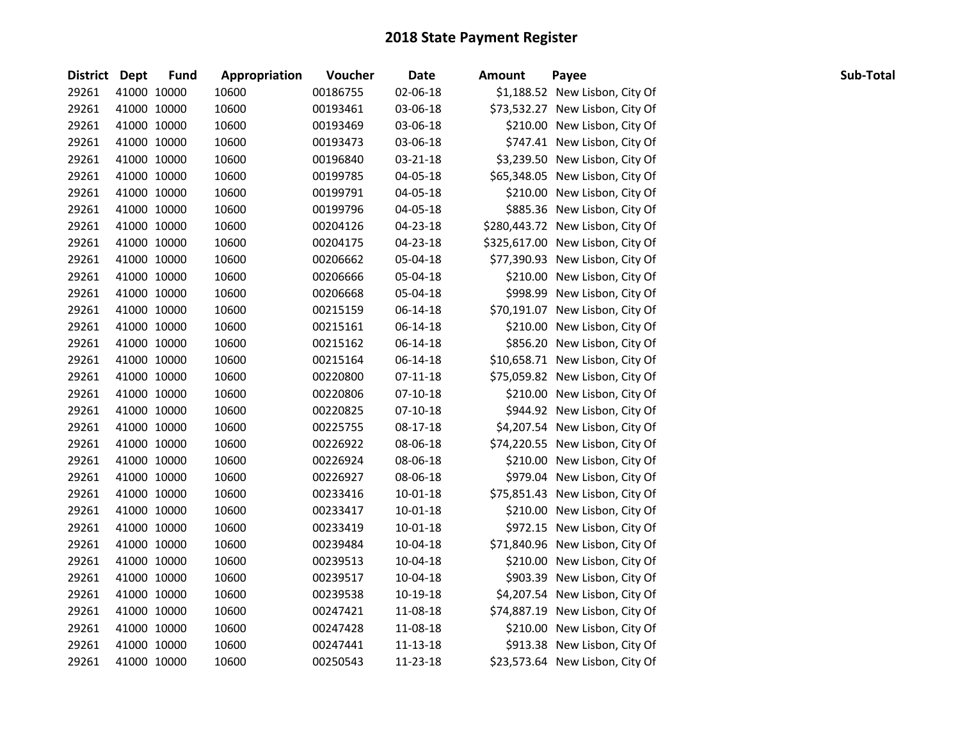| District Dept |             | <b>Fund</b> | Appropriation | Voucher  | <b>Date</b> | <b>Amount</b> | Payee                            | Sub-Total |
|---------------|-------------|-------------|---------------|----------|-------------|---------------|----------------------------------|-----------|
| 29261         | 41000 10000 |             | 10600         | 00186755 | 02-06-18    |               | \$1,188.52 New Lisbon, City Of   |           |
| 29261         | 41000 10000 |             | 10600         | 00193461 | 03-06-18    |               | \$73,532.27 New Lisbon, City Of  |           |
| 29261         | 41000 10000 |             | 10600         | 00193469 | 03-06-18    |               | \$210.00 New Lisbon, City Of     |           |
| 29261         | 41000 10000 |             | 10600         | 00193473 | 03-06-18    |               | \$747.41 New Lisbon, City Of     |           |
| 29261         |             | 41000 10000 | 10600         | 00196840 | 03-21-18    |               | \$3,239.50 New Lisbon, City Of   |           |
| 29261         | 41000 10000 |             | 10600         | 00199785 | 04-05-18    |               | \$65,348.05 New Lisbon, City Of  |           |
| 29261         | 41000 10000 |             | 10600         | 00199791 | 04-05-18    |               | \$210.00 New Lisbon, City Of     |           |
| 29261         | 41000 10000 |             | 10600         | 00199796 | 04-05-18    |               | \$885.36 New Lisbon, City Of     |           |
| 29261         | 41000 10000 |             | 10600         | 00204126 | 04-23-18    |               | \$280,443.72 New Lisbon, City Of |           |
| 29261         | 41000 10000 |             | 10600         | 00204175 | 04-23-18    |               | \$325,617.00 New Lisbon, City Of |           |
| 29261         | 41000 10000 |             | 10600         | 00206662 | 05-04-18    |               | \$77,390.93 New Lisbon, City Of  |           |
| 29261         | 41000 10000 |             | 10600         | 00206666 | 05-04-18    |               | \$210.00 New Lisbon, City Of     |           |
| 29261         | 41000 10000 |             | 10600         | 00206668 | 05-04-18    |               | \$998.99 New Lisbon, City Of     |           |
| 29261         | 41000 10000 |             | 10600         | 00215159 | 06-14-18    |               | \$70,191.07 New Lisbon, City Of  |           |
| 29261         | 41000 10000 |             | 10600         | 00215161 | 06-14-18    |               | \$210.00 New Lisbon, City Of     |           |
| 29261         | 41000 10000 |             | 10600         | 00215162 | 06-14-18    |               | \$856.20 New Lisbon, City Of     |           |
| 29261         | 41000 10000 |             | 10600         | 00215164 | 06-14-18    |               | \$10,658.71 New Lisbon, City Of  |           |
| 29261         | 41000 10000 |             | 10600         | 00220800 | 07-11-18    |               | \$75,059.82 New Lisbon, City Of  |           |
| 29261         | 41000 10000 |             | 10600         | 00220806 | 07-10-18    |               | \$210.00 New Lisbon, City Of     |           |
| 29261         | 41000 10000 |             | 10600         | 00220825 | 07-10-18    |               | \$944.92 New Lisbon, City Of     |           |
| 29261         | 41000 10000 |             | 10600         | 00225755 | 08-17-18    |               | \$4,207.54 New Lisbon, City Of   |           |
| 29261         | 41000 10000 |             | 10600         | 00226922 | 08-06-18    |               | \$74,220.55 New Lisbon, City Of  |           |
| 29261         |             | 41000 10000 | 10600         | 00226924 | 08-06-18    |               | \$210.00 New Lisbon, City Of     |           |
| 29261         | 41000 10000 |             | 10600         | 00226927 | 08-06-18    |               | \$979.04 New Lisbon, City Of     |           |
| 29261         | 41000 10000 |             | 10600         | 00233416 | 10-01-18    |               | \$75,851.43 New Lisbon, City Of  |           |
| 29261         | 41000 10000 |             | 10600         | 00233417 | 10-01-18    |               | \$210.00 New Lisbon, City Of     |           |
| 29261         | 41000 10000 |             | 10600         | 00233419 | 10-01-18    |               | \$972.15 New Lisbon, City Of     |           |
| 29261         | 41000 10000 |             | 10600         | 00239484 | 10-04-18    |               | \$71,840.96 New Lisbon, City Of  |           |
| 29261         | 41000 10000 |             | 10600         | 00239513 | 10-04-18    |               | \$210.00 New Lisbon, City Of     |           |
| 29261         | 41000 10000 |             | 10600         | 00239517 | 10-04-18    |               | \$903.39 New Lisbon, City Of     |           |
| 29261         | 41000 10000 |             | 10600         | 00239538 | 10-19-18    |               | \$4,207.54 New Lisbon, City Of   |           |
| 29261         | 41000 10000 |             | 10600         | 00247421 | 11-08-18    |               | \$74,887.19 New Lisbon, City Of  |           |
| 29261         | 41000 10000 |             | 10600         | 00247428 | 11-08-18    |               | \$210.00 New Lisbon, City Of     |           |
| 29261         | 41000 10000 |             | 10600         | 00247441 | 11-13-18    |               | \$913.38 New Lisbon, City Of     |           |
| 29261         | 41000 10000 |             | 10600         | 00250543 | 11-23-18    |               | \$23,573.64 New Lisbon, City Of  |           |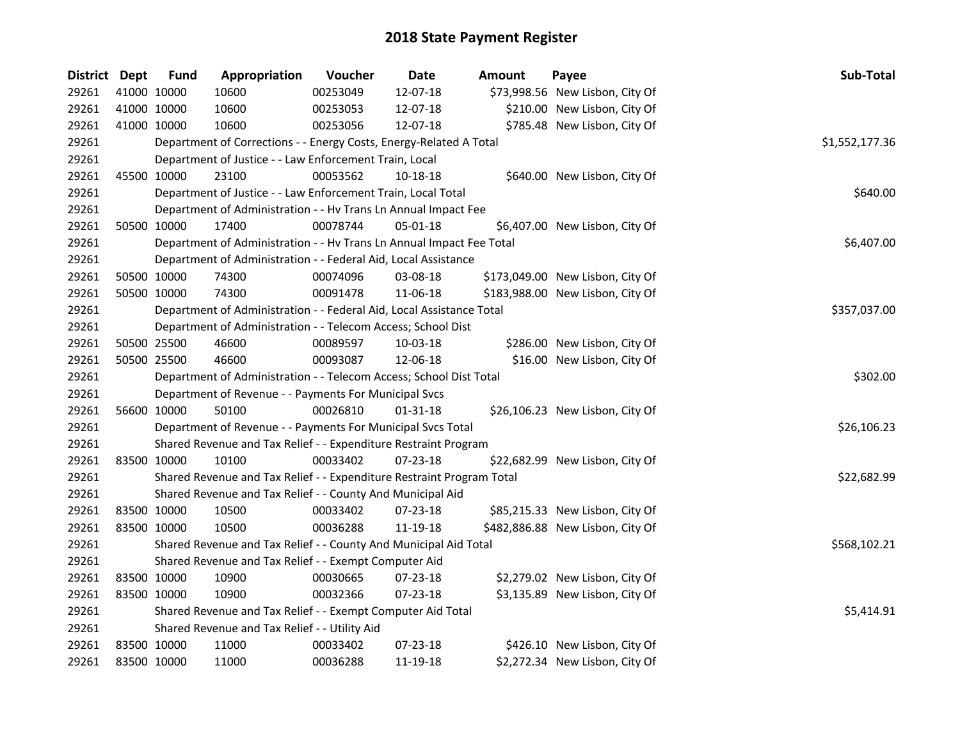| District Dept |             | <b>Fund</b> | Appropriation                                                         | Voucher  | Date           | <b>Amount</b> | Payee                            | Sub-Total      |
|---------------|-------------|-------------|-----------------------------------------------------------------------|----------|----------------|---------------|----------------------------------|----------------|
| 29261         |             | 41000 10000 | 10600                                                                 | 00253049 | 12-07-18       |               | \$73,998.56 New Lisbon, City Of  |                |
| 29261         |             | 41000 10000 | 10600                                                                 | 00253053 | 12-07-18       |               | \$210.00 New Lisbon, City Of     |                |
| 29261         |             | 41000 10000 | 10600                                                                 | 00253056 | 12-07-18       |               | \$785.48 New Lisbon, City Of     |                |
| 29261         |             |             | Department of Corrections - - Energy Costs, Energy-Related A Total    |          |                |               |                                  | \$1,552,177.36 |
| 29261         |             |             | Department of Justice - - Law Enforcement Train, Local                |          |                |               |                                  |                |
| 29261         |             | 45500 10000 | 23100                                                                 | 00053562 | 10-18-18       |               | \$640.00 New Lisbon, City Of     |                |
| 29261         |             |             | Department of Justice - - Law Enforcement Train, Local Total          |          |                |               |                                  | \$640.00       |
| 29261         |             |             | Department of Administration - - Hv Trans Ln Annual Impact Fee        |          |                |               |                                  |                |
| 29261         |             | 50500 10000 | 17400                                                                 | 00078744 | 05-01-18       |               | \$6,407.00 New Lisbon, City Of   |                |
| 29261         |             |             | Department of Administration - - Hv Trans Ln Annual Impact Fee Total  |          |                |               |                                  | \$6,407.00     |
| 29261         |             |             | Department of Administration - - Federal Aid, Local Assistance        |          |                |               |                                  |                |
| 29261         |             | 50500 10000 | 74300                                                                 | 00074096 | 03-08-18       |               | \$173,049.00 New Lisbon, City Of |                |
| 29261         |             | 50500 10000 | 74300                                                                 | 00091478 | 11-06-18       |               | \$183,988.00 New Lisbon, City Of |                |
| 29261         |             |             | Department of Administration - - Federal Aid, Local Assistance Total  |          |                |               |                                  | \$357,037.00   |
| 29261         |             |             | Department of Administration - - Telecom Access; School Dist          |          |                |               |                                  |                |
| 29261         |             | 50500 25500 | 46600                                                                 | 00089597 | 10-03-18       |               | \$286.00 New Lisbon, City Of     |                |
| 29261         |             | 50500 25500 | 46600                                                                 | 00093087 | 12-06-18       |               | \$16.00 New Lisbon, City Of      |                |
| 29261         |             |             | Department of Administration - - Telecom Access; School Dist Total    |          |                |               |                                  | \$302.00       |
| 29261         |             |             | Department of Revenue - - Payments For Municipal Svcs                 |          |                |               |                                  |                |
| 29261         |             | 56600 10000 | 50100                                                                 | 00026810 | $01 - 31 - 18$ |               | \$26,106.23 New Lisbon, City Of  |                |
| 29261         |             |             | Department of Revenue - - Payments For Municipal Svcs Total           |          |                |               |                                  | \$26,106.23    |
| 29261         |             |             | Shared Revenue and Tax Relief - - Expenditure Restraint Program       |          |                |               |                                  |                |
| 29261         |             | 83500 10000 | 10100                                                                 | 00033402 | 07-23-18       |               | \$22,682.99 New Lisbon, City Of  |                |
| 29261         |             |             | Shared Revenue and Tax Relief - - Expenditure Restraint Program Total |          |                |               |                                  | \$22,682.99    |
| 29261         |             |             | Shared Revenue and Tax Relief - - County And Municipal Aid            |          |                |               |                                  |                |
| 29261         |             | 83500 10000 | 10500                                                                 | 00033402 | 07-23-18       |               | \$85,215.33 New Lisbon, City Of  |                |
| 29261         |             | 83500 10000 | 10500                                                                 | 00036288 | 11-19-18       |               | \$482,886.88 New Lisbon, City Of |                |
| 29261         |             |             | Shared Revenue and Tax Relief - - County And Municipal Aid Total      |          |                |               |                                  | \$568,102.21   |
| 29261         |             |             | Shared Revenue and Tax Relief - - Exempt Computer Aid                 |          |                |               |                                  |                |
| 29261         |             | 83500 10000 | 10900                                                                 | 00030665 | 07-23-18       |               | \$2,279.02 New Lisbon, City Of   |                |
| 29261         |             | 83500 10000 | 10900                                                                 | 00032366 | 07-23-18       |               | \$3,135.89 New Lisbon, City Of   |                |
| 29261         |             |             | Shared Revenue and Tax Relief - - Exempt Computer Aid Total           |          |                |               |                                  | \$5,414.91     |
| 29261         |             |             | Shared Revenue and Tax Relief - - Utility Aid                         |          |                |               |                                  |                |
| 29261         |             | 83500 10000 | 11000                                                                 | 00033402 | 07-23-18       |               | \$426.10 New Lisbon, City Of     |                |
| 29261         | 83500 10000 |             | 11000                                                                 | 00036288 | 11-19-18       |               | \$2,272.34 New Lisbon, City Of   |                |